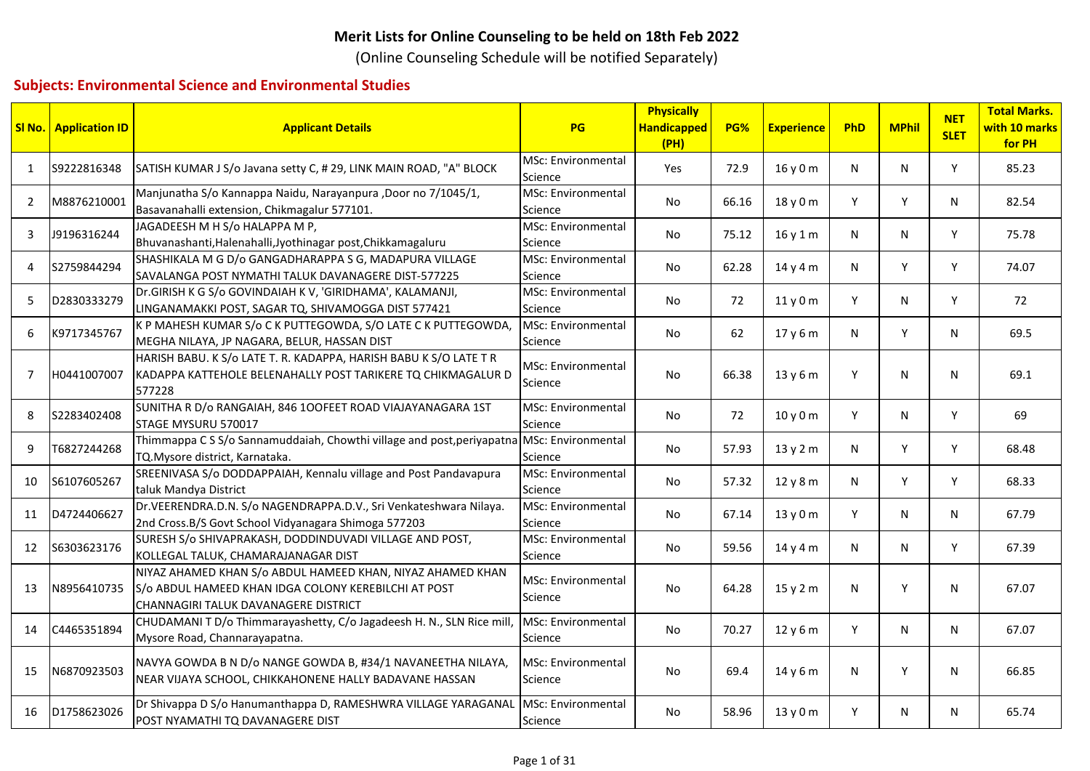## **Merit Lists for Online Counseling to be held on 18th Feb 2022**

(Online Counseling Schedule will be notified Separately)

## **Subjects: Environmental Science and Environmental Studies**

|                | <b>SI No.</b> Application ID | <b>Applicant Details</b>                                                                                                                                   | PG                                   | <b>Physically</b><br><b>Handicapped</b><br>(PH) | PG%   | <b>Experience</b> | PhD | <b>MPhil</b> | <b>NET</b><br><b>SLET</b> | <b>Total Marks.</b><br>with 10 marks<br>for PH |
|----------------|------------------------------|------------------------------------------------------------------------------------------------------------------------------------------------------------|--------------------------------------|-------------------------------------------------|-------|-------------------|-----|--------------|---------------------------|------------------------------------------------|
| 1              | S9222816348                  | SATISH KUMAR J S/o Javana setty C, # 29, LINK MAIN ROAD, "A" BLOCK                                                                                         | MSc: Environmental<br>Science        | Yes                                             | 72.9  | 16y0m             | N   | N            | Y                         | 85.23                                          |
| $\overline{2}$ | M8876210001                  | Manjunatha S/o Kannappa Naidu, Narayanpura ,Door no 7/1045/1,<br>Basavanahalli extension, Chikmagalur 577101.                                              | MSc: Environmental<br>Science        | No                                              | 66.16 | 18y0m             | Y   | Y            | N                         | 82.54                                          |
| 3              | J9196316244                  | JAGADEESH M H S/o HALAPPA M P,<br>Bhuvanashanti, Halenahalli, Jyothinagar post, Chikkamagaluru                                                             | MSc: Environmental<br>Science        | No                                              | 75.12 | 16y1m             | N   | N            | Y                         | 75.78                                          |
| 4              | S2759844294                  | SHASHIKALA M G D/o GANGADHARAPPA S G, MADAPURA VILLAGE<br>SAVALANGA POST NYMATHI TALUK DAVANAGERE DIST-577225                                              | <b>MSc: Environmental</b><br>Science | No                                              | 62.28 | 14y4m             | N   | Y            | Y                         | 74.07                                          |
| 5              | D2830333279                  | Dr.GIRISH K G S/o GOVINDAIAH K V, 'GIRIDHAMA', KALAMANJI,<br>LINGANAMAKKI POST, SAGAR TQ, SHIVAMOGGA DIST 577421                                           | <b>MSc: Environmental</b><br>Science | No                                              | 72    | 11y0m             | Y   | N            | Y                         | 72                                             |
| 6              | K9717345767                  | K P MAHESH KUMAR S/o C K PUTTEGOWDA, S/O LATE C K PUTTEGOWDA,<br>MEGHA NILAYA, JP NAGARA, BELUR, HASSAN DIST                                               | MSc: Environmental<br>Science        | No                                              | 62    | 17 y 6 m          | N   | Y            | N                         | 69.5                                           |
| $\overline{7}$ | H0441007007                  | HARISH BABU. K S/o LATE T. R. KADAPPA, HARISH BABU K S/O LATE T R<br>KADAPPA KATTEHOLE BELENAHALLY POST TARIKERE TQ CHIKMAGALUR D<br>577228                | MSc: Environmental<br>Science        | No                                              | 66.38 | 13y6m             | Y   | N            | N                         | 69.1                                           |
| 8              | S2283402408                  | SUNITHA R D/o RANGAIAH, 846 100FEET ROAD VIAJAYANAGARA 1ST<br>STAGE MYSURU 570017                                                                          | <b>MSc: Environmental</b><br>Science | No                                              | 72    | 10 y 0 m          | Y   | N            | Y                         | 69                                             |
| 9              | T6827244268                  | Thimmappa C S S/o Sannamuddaiah, Chowthi village and post, periyapatna<br>TQ. Mysore district, Karnataka.                                                  | <b>MSc: Environmental</b><br>Science | No                                              | 57.93 | 13y2m             | N   | Y            | Y                         | 68.48                                          |
| 10             | S6107605267                  | SREENIVASA S/o DODDAPPAIAH, Kennalu village and Post Pandavapura<br>taluk Mandya District                                                                  | MSc: Environmental<br>Science        | No                                              | 57.32 | 12 y 8 m          | N   | Y            | Y                         | 68.33                                          |
| 11             | D4724406627                  | Dr.VEERENDRA.D.N. S/o NAGENDRAPPA.D.V., Sri Venkateshwara Nilaya.<br>2nd Cross.B/S Govt School Vidyanagara Shimoga 577203                                  | MSc: Environmental<br>Science        | No                                              | 67.14 | 13y0m             | Y   | N            | N                         | 67.79                                          |
| 12             | S6303623176                  | SURESH S/o SHIVAPRAKASH, DODDINDUVADI VILLAGE AND POST,<br>KOLLEGAL TALUK, CHAMARAJANAGAR DIST                                                             | MSc: Environmental<br>Science        | No                                              | 59.56 | 14y4m             | N   | N            | Y                         | 67.39                                          |
| 13             | N8956410735                  | NIYAZ AHAMED KHAN S/o ABDUL HAMEED KHAN, NIYAZ AHAMED KHAN<br>S/o ABDUL HAMEED KHAN IDGA COLONY KEREBILCHI AT POST<br>CHANNAGIRI TALUK DAVANAGERE DISTRICT | MSc: Environmental<br>Science        | No                                              | 64.28 | 15 y 2 m          | N   | Y            | N                         | 67.07                                          |
| 14             | C4465351894                  | CHUDAMANI T D/o Thimmarayashetty, C/o Jagadeesh H. N., SLN Rice mill,<br>Mysore Road, Channarayapatna.                                                     | MSc: Environmental<br>Science        | No                                              | 70.27 | 12y6m             | Y   | N            | N                         | 67.07                                          |
| 15             | N6870923503                  | NAVYA GOWDA B N D/o NANGE GOWDA B, #34/1 NAVANEETHA NILAYA,<br>NEAR VIJAYA SCHOOL, CHIKKAHONENE HALLY BADAVANE HASSAN                                      | MSc: Environmental<br>Science        | No                                              | 69.4  | 14 y 6 m          | N   | Y            | N                         | 66.85                                          |
| 16             | D1758623026                  | Dr Shivappa D S/o Hanumanthappa D, RAMESHWRA VILLAGE YARAGANAL<br>POST NYAMATHI TQ DAVANAGERE DIST                                                         | <b>MSc: Environmental</b><br>Science | No                                              | 58.96 | 13y0m             | Y   | N            | N                         | 65.74                                          |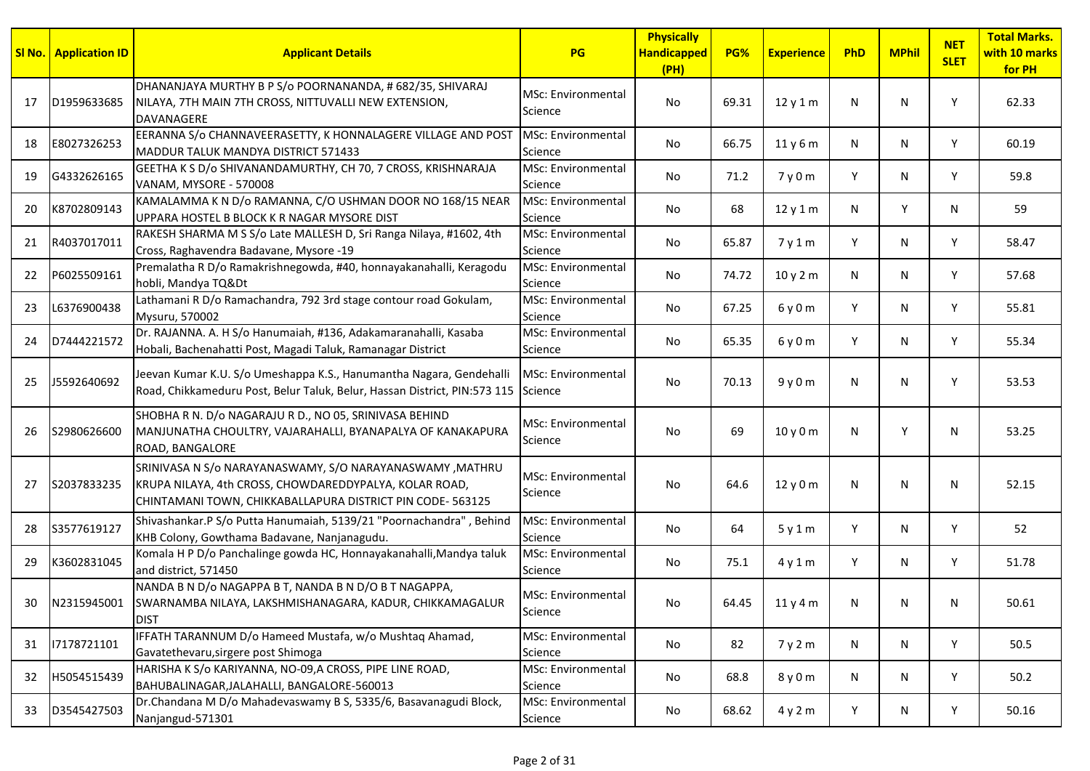| SI No. | <b>Application ID</b> | <b>Applicant Details</b>                                                                                                                                                         | PG                                   | <b>Physically</b><br><b>Handicapped</b><br>(PH) | PG%   | <b>Experience</b> | PhD | <b>MPhil</b> | <b>NET</b><br><b>SLET</b> | <b>Total Marks.</b><br>with 10 marks<br>for PH |
|--------|-----------------------|----------------------------------------------------------------------------------------------------------------------------------------------------------------------------------|--------------------------------------|-------------------------------------------------|-------|-------------------|-----|--------------|---------------------------|------------------------------------------------|
| 17     | D1959633685           | DHANANJAYA MURTHY B P S/o POORNANANDA, # 682/35, SHIVARAJ<br>NILAYA, 7TH MAIN 7TH CROSS, NITTUVALLI NEW EXTENSION,<br><b>DAVANAGERE</b>                                          | MSc: Environmental<br>Science        | No                                              | 69.31 | 12y1m             | N   | N            | Υ                         | 62.33                                          |
| 18     | E8027326253           | EERANNA S/o CHANNAVEERASETTY, K HONNALAGERE VILLAGE AND POST<br>MADDUR TALUK MANDYA DISTRICT 571433                                                                              | <b>MSc: Environmental</b><br>Science | No                                              | 66.75 | 11y6m             | N   | N            | Y                         | 60.19                                          |
| 19     | G4332626165           | GEETHA K S D/o SHIVANANDAMURTHY, CH 70, 7 CROSS, KRISHNARAJA<br>VANAM, MYSORE - 570008                                                                                           | MSc: Environmental<br>Science        | No                                              | 71.2  | 7y0m              | Y   | N            | Υ                         | 59.8                                           |
| 20     | K8702809143           | KAMALAMMA K N D/o RAMANNA, C/O USHMAN DOOR NO 168/15 NEAR<br>UPPARA HOSTEL B BLOCK K R NAGAR MYSORE DIST                                                                         | MSc: Environmental<br>Science        | No                                              | 68    | 12y1m             | N   | Y            | N                         | 59                                             |
| 21     | R4037017011           | RAKESH SHARMA M S S/o Late MALLESH D, Sri Ranga Nilaya, #1602, 4th<br>Cross, Raghavendra Badavane, Mysore -19                                                                    | MSc: Environmental<br>Science        | No                                              | 65.87 | 7y1m              | Y   | N            | Y                         | 58.47                                          |
| 22     | P6025509161           | Premalatha R D/o Ramakrishnegowda, #40, honnayakanahalli, Keragodu<br>hobli, Mandya TQ&Dt                                                                                        | MSc: Environmental<br>Science        | No                                              | 74.72 | 10y2m             | N   | N            | Y                         | 57.68                                          |
| 23     | L6376900438           | Lathamani R D/o Ramachandra, 792 3rd stage contour road Gokulam,<br>Mysuru, 570002                                                                                               | MSc: Environmental<br>Science        | No                                              | 67.25 | 6y0m              | Y   | N            | Y                         | 55.81                                          |
| 24     | D7444221572           | Dr. RAJANNA. A. H S/o Hanumaiah, #136, Adakamaranahalli, Kasaba<br>Hobali, Bachenahatti Post, Magadi Taluk, Ramanagar District                                                   | <b>MSc: Environmental</b><br>Science | No                                              | 65.35 | 6y0m              | Y   | N            | Y                         | 55.34                                          |
| 25     | J5592640692           | Jeevan Kumar K.U. S/o Umeshappa K.S., Hanumantha Nagara, Gendehalli<br>Road, Chikkameduru Post, Belur Taluk, Belur, Hassan District, PIN:573 115 Science                         | MSc: Environmental                   | No                                              | 70.13 | 9y0m              | N   | N            | Υ                         | 53.53                                          |
| 26     | S2980626600           | SHOBHA R N. D/o NAGARAJU R D., NO 05, SRINIVASA BEHIND<br>MANJUNATHA CHOULTRY, VAJARAHALLI, BYANAPALYA OF KANAKAPURA<br>ROAD, BANGALORE                                          | MSc: Environmental<br>Science        | No                                              | 69    | 10y0m             | N   | Y            | N                         | 53.25                                          |
| 27     | S2037833235           | SRINIVASA N S/o NARAYANASWAMY, S/O NARAYANASWAMY , MATHRU<br>KRUPA NILAYA, 4th CROSS, CHOWDAREDDYPALYA, KOLAR ROAD,<br>CHINTAMANI TOWN, CHIKKABALLAPURA DISTRICT PIN CODE-563125 | MSc: Environmental<br>Science        | No                                              | 64.6  | 12 y 0 m          | N   | N            | N                         | 52.15                                          |
| 28     | S3577619127           | Shivashankar.P S/o Putta Hanumaiah, 5139/21 "Poornachandra", Behind<br>KHB Colony, Gowthama Badavane, Nanjanagudu.                                                               | MSc: Environmental<br>Science        | No                                              | 64    | 5y1m              | Y   | N            | Y                         | 52                                             |
| 29     | K3602831045           | Komala H P D/o Panchalinge gowda HC, Honnayakanahalli, Mandya taluk<br>and district, 571450                                                                                      | MSc: Environmental<br>Science        | No                                              | 75.1  | 4y1m              | Y   | N            | Y                         | 51.78                                          |
| 30     | N2315945001           | NANDA B N D/o NAGAPPA B T, NANDA B N D/O B T NAGAPPA,<br>SWARNAMBA NILAYA, LAKSHMISHANAGARA, KADUR, CHIKKAMAGALUR<br><b>DIST</b>                                                 | MSc: Environmental<br>Science        | No                                              | 64.45 | 11 y 4 m          | N.  | N            | N.                        | 50.61                                          |
| 31     | 17178721101           | IFFATH TARANNUM D/o Hameed Mustafa, w/o Mushtaq Ahamad,<br>Gavatethevaru, sirgere post Shimoga                                                                                   | MSc: Environmental<br>Science        | No                                              | 82    | 7 y 2 m           | N   | N            | Y                         | 50.5                                           |
| 32     | H5054515439           | HARISHA K S/o KARIYANNA, NO-09, A CROSS, PIPE LINE ROAD,<br>BAHUBALINAGAR, JALAHALLI, BANGALORE-560013                                                                           | <b>MSc: Environmental</b><br>Science | No                                              | 68.8  | 8 y 0 m           | N   | N            | Y                         | 50.2                                           |
| 33     | D3545427503           | Dr.Chandana M D/o Mahadevaswamy B S, 5335/6, Basavanagudi Block,<br>Nanjangud-571301                                                                                             | <b>MSc: Environmental</b><br>Science | No                                              | 68.62 | 4y2m              | Y   | N            | Y                         | 50.16                                          |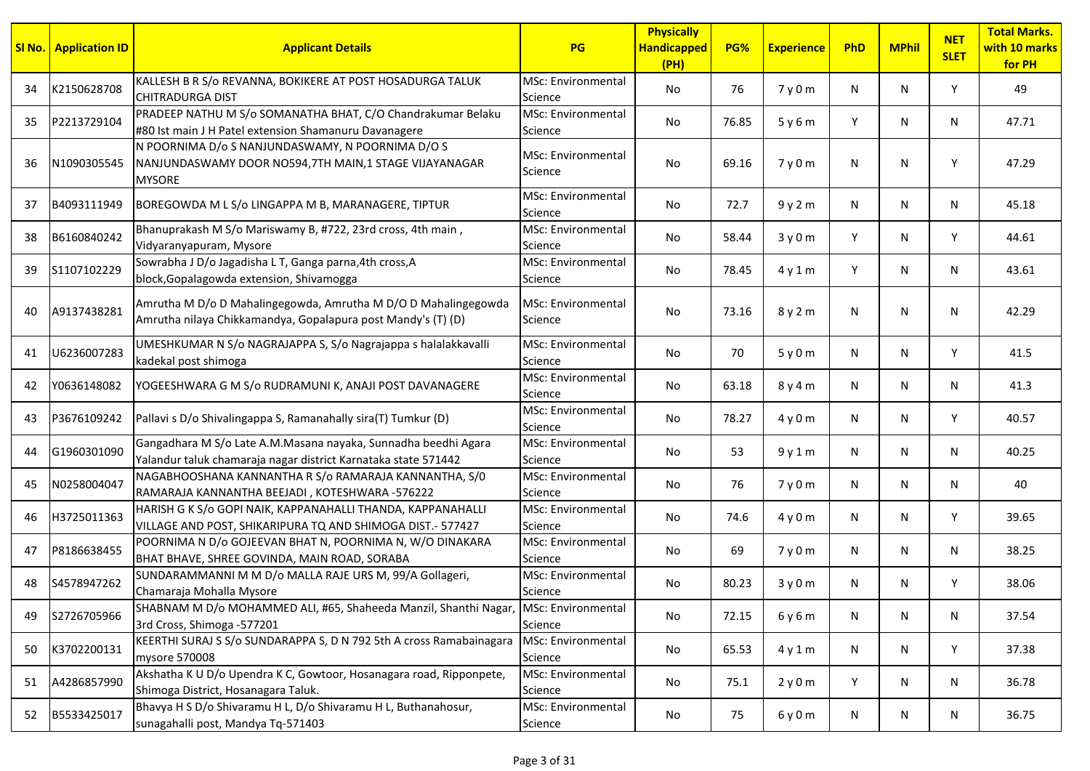|    | <b>SI No.   Application ID</b> | <b>Applicant Details</b>                                                                                                         | <b>PG</b>                            | <b>Physically</b><br><b>Handicapped</b><br>(PH) | PG%   | <b>Experience</b> | PhD | <b>MPhil</b> | <b>NET</b><br><b>SLET</b> | <b>Total Marks.</b><br>with 10 marks<br>for PH |
|----|--------------------------------|----------------------------------------------------------------------------------------------------------------------------------|--------------------------------------|-------------------------------------------------|-------|-------------------|-----|--------------|---------------------------|------------------------------------------------|
| 34 | K2150628708                    | KALLESH B R S/o REVANNA, BOKIKERE AT POST HOSADURGA TALUK<br><b>CHITRADURGA DIST</b>                                             | MSc: Environmental<br>Science        | No                                              | 76    | 7y0m              | N   | N            | Y                         | 49                                             |
| 35 | P2213729104                    | PRADEEP NATHU M S/o SOMANATHA BHAT, C/O Chandrakumar Belaku<br>#80 Ist main J H Patel extension Shamanuru Davanagere             | MSc: Environmental<br>Science        | No                                              | 76.85 | 5y6m              | Y   | N            | N                         | 47.71                                          |
| 36 | N1090305545                    | N POORNIMA D/o S NANJUNDASWAMY, N POORNIMA D/O S<br>NANJUNDASWAMY DOOR NO594,7TH MAIN,1 STAGE VIJAYANAGAR<br><b>MYSORE</b>       | <b>MSc: Environmental</b><br>Science | No                                              | 69.16 | 7y0m              | N   | N            | Υ                         | 47.29                                          |
| 37 | B4093111949                    | BOREGOWDA M L S/o LINGAPPA M B, MARANAGERE, TIPTUR                                                                               | <b>MSc: Environmental</b><br>Science | No                                              | 72.7  | 9y2m              | N   | N            | N                         | 45.18                                          |
| 38 | B6160840242                    | Bhanuprakash M S/o Mariswamy B, #722, 23rd cross, 4th main,<br>Vidyaranyapuram, Mysore                                           | <b>MSc: Environmental</b><br>Science | No                                              | 58.44 | 3y0m              | Y   | N            | Y                         | 44.61                                          |
| 39 | S1107102229                    | Sowrabha J D/o Jagadisha L T, Ganga parna, 4th cross, A<br>block, Gopalagowda extension, Shivamogga                              | <b>MSc: Environmental</b><br>Science | No                                              | 78.45 | 4y1m              | Y   | N            | N                         | 43.61                                          |
| 40 | A9137438281                    | Amrutha M D/o D Mahalingegowda, Amrutha M D/O D Mahalingegowda<br>Amrutha nilaya Chikkamandya, Gopalapura post Mandy's (T) (D)   | <b>MSc: Environmental</b><br>Science | No                                              | 73.16 | 8 y 2 m           | N   | N            | N                         | 42.29                                          |
| 41 | U6236007283                    | UMESHKUMAR N S/o NAGRAJAPPA S, S/o Nagrajappa s halalakkavalli<br>kadekal post shimoga                                           | <b>MSc: Environmental</b><br>Science | No                                              | 70    | 5y0m              | N   | N            | Y                         | 41.5                                           |
| 42 | Y0636148082                    | YOGEESHWARA G M S/o RUDRAMUNI K, ANAJI POST DAVANAGERE                                                                           | <b>MSc: Environmental</b><br>Science | No                                              | 63.18 | 8 y 4 m           | N   | N            | N                         | 41.3                                           |
| 43 | P3676109242                    | Pallavi s D/o Shivalingappa S, Ramanahally sira(T) Tumkur (D)                                                                    | MSc: Environmental<br>Science        | No                                              | 78.27 | 4y0m              | N   | N            | Y                         | 40.57                                          |
| 44 | G1960301090                    | Gangadhara M S/o Late A.M.Masana nayaka, Sunnadha beedhi Agara<br>Yalandur taluk chamaraja nagar district Karnataka state 571442 | MSc: Environmental<br>Science        | No                                              | 53    | 9y1m              | N   | N            | N                         | 40.25                                          |
| 45 | N0258004047                    | NAGABHOOSHANA KANNANTHA R S/o RAMARAJA KANNANTHA, S/0<br>RAMARAJA KANNANTHA BEEJADI, KOTESHWARA -576222                          | <b>MSc: Environmental</b><br>Science | No                                              | 76    | 7y0m              | N   | N            | N                         | 40                                             |
| 46 | H3725011363                    | HARISH G K S/o GOPI NAIK, KAPPANAHALLI THANDA, KAPPANAHALLI<br>VILLAGE AND POST, SHIKARIPURA TQ AND SHIMOGA DIST.- 577427        | <b>MSc: Environmental</b><br>Science | No                                              | 74.6  | 4y0m              | N   | N            | Y                         | 39.65                                          |
| 47 | P8186638455                    | POORNIMA N D/o GOJEEVAN BHAT N, POORNIMA N, W/O DINAKARA<br>BHAT BHAVE, SHREE GOVINDA, MAIN ROAD, SORABA                         | <b>MSc: Environmental</b><br>Science | No                                              | 69    | 7y0m              | N   | N            | N                         | 38.25                                          |
| 48 | S4578947262                    | SUNDARAMMANNI M M D/o MALLA RAJE URS M, 99/A Gollageri,<br>Chamaraja Mohalla Mysore                                              | <b>MSc: Environmental</b><br>Science | No                                              | 80.23 | 3y0m              | N   | N            | Υ                         | 38.06                                          |
| 49 | S2726705966                    | SHABNAM M D/o MOHAMMED ALI, #65, Shaheeda Manzil, Shanthi Nagar, MSc: Environmental<br>3rd Cross, Shimoga -577201                | Science                              | No                                              | 72.15 | 6 y 6 m           | N   | N            | N                         | 37.54                                          |
| 50 | K3702200131                    | KEERTHI SURAJ S S/o SUNDARAPPA S, D N 792 5th A cross Ramabainagara<br>mysore 570008                                             | MSc: Environmental<br>Science        | No                                              | 65.53 | 4y1m              | N   | N            | Y                         | 37.38                                          |
| 51 | A4286857990                    | Akshatha K U D/o Upendra K C, Gowtoor, Hosanagara road, Ripponpete,<br>Shimoga District, Hosanagara Taluk.                       | <b>MSc: Environmental</b><br>Science | No                                              | 75.1  | 2y0m              | Y   | N            | N                         | 36.78                                          |
| 52 | B5533425017                    | Bhavya H S D/o Shivaramu H L, D/o Shivaramu H L, Buthanahosur,<br>sunagahalli post, Mandya Tq-571403                             | MSc: Environmental<br>Science        | No                                              | 75    | 6y0m              | N   | N            | N                         | 36.75                                          |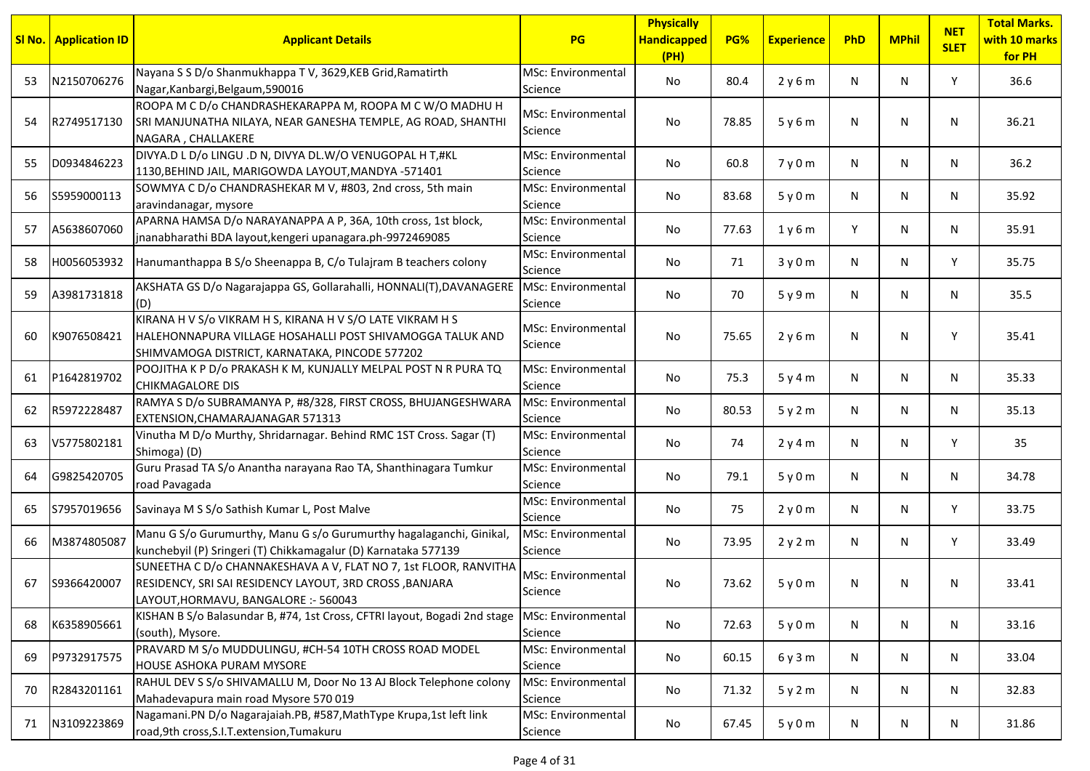|    | <b>SI No.</b> Application ID | <b>Applicant Details</b>                                                                                                                                                  | <b>PG</b>                            | <b>Physically</b><br><b>Handicapped</b><br>(PH) | PG%   | <b>Experience</b> | PhD | <b>MPhil</b> | <b>NET</b><br><b>SLET</b> | <b>Total Marks.</b><br>with 10 marks<br>for PH |
|----|------------------------------|---------------------------------------------------------------------------------------------------------------------------------------------------------------------------|--------------------------------------|-------------------------------------------------|-------|-------------------|-----|--------------|---------------------------|------------------------------------------------|
| 53 | N2150706276                  | Nayana S S D/o Shanmukhappa T V, 3629, KEB Grid, Ramatirth<br>Nagar, Kanbargi, Belgaum, 590016                                                                            | MSc: Environmental<br>Science        | No                                              | 80.4  | 2y6m              | N   | N            | Y                         | 36.6                                           |
| 54 | R2749517130                  | ROOPA M C D/o CHANDRASHEKARAPPA M, ROOPA M C W/O MADHU H<br>SRI MANJUNATHA NILAYA, NEAR GANESHA TEMPLE, AG ROAD, SHANTHI<br>NAGARA, CHALLAKERE                            | MSc: Environmental<br>Science        | No.                                             | 78.85 | 5y6m              | N   | N            | N                         | 36.21                                          |
| 55 | D0934846223                  | DIVYA.D L D/o LINGU .D N, DIVYA DL.W/O VENUGOPAL H T,#KL<br>1130, BEHIND JAIL, MARIGOWDA LAYOUT, MANDYA -571401                                                           | MSc: Environmental<br>Science        | No                                              | 60.8  | 7y0m              | N   | N            | N                         | 36.2                                           |
| 56 | S5959000113                  | SOWMYA C D/o CHANDRASHEKAR M V, #803, 2nd cross, 5th main<br>aravindanagar, mysore                                                                                        | MSc: Environmental<br>Science        | No.                                             | 83.68 | 5y0m              | N   | N            | N                         | 35.92                                          |
| 57 | A5638607060                  | APARNA HAMSA D/o NARAYANAPPA A P, 36A, 10th cross, 1st block,<br>jnanabharathi BDA layout, kengeri upanagara.ph-9972469085                                                | MSc: Environmental<br>Science        | No.                                             | 77.63 | 1y6m              | Y   | N            | N                         | 35.91                                          |
| 58 | H0056053932                  | Hanumanthappa B S/o Sheenappa B, C/o Tulajram B teachers colony                                                                                                           | MSc: Environmental<br>Science        | No.                                             | 71    | 3y0m              | N   | N            | Y                         | 35.75                                          |
| 59 | A3981731818                  | AKSHATA GS D/o Nagarajappa GS, Gollarahalli, HONNALI(T), DAVANAGERE                                                                                                       | MSc: Environmental<br>Science        | No                                              | 70    | 5y9m              | N   | N            | N                         | 35.5                                           |
| 60 | K9076508421                  | KIRANA H V S/o VIKRAM H S, KIRANA H V S/O LATE VIKRAM H S<br>IHALEHONNAPURA VILLAGE HOSAHALLI POST SHIVAMOGGA TALUK AND<br>SHIMVAMOGA DISTRICT, KARNATAKA, PINCODE 577202 | MSc: Environmental<br>Science        | No                                              | 75.65 | 2y6m              | N.  | N            | Υ                         | 35.41                                          |
| 61 | P1642819702                  | POOJITHA K P D/o PRAKASH K M, KUNJALLY MELPAL POST N R PURA TQ<br><b>CHIKMAGALORE DIS</b>                                                                                 | MSc: Environmental<br>Science        | No                                              | 75.3  | 5y4m              | N   | N            | N                         | 35.33                                          |
| 62 | R5972228487                  | RAMYA S D/o SUBRAMANYA P, #8/328, FIRST CROSS, BHUJANGESHWARA<br>EXTENSION, CHAMARAJANAGAR 571313                                                                         | MSc: Environmental<br>Science        | No                                              | 80.53 | 5y2m              | N   | N            | N                         | 35.13                                          |
| 63 | V5775802181                  | Vinutha M D/o Murthy, Shridarnagar. Behind RMC 1ST Cross. Sagar (T)<br>Shimoga) (D)                                                                                       | MSc: Environmental<br>Science        | No                                              | 74    | 2y4m              | N   | N            | Y                         | 35                                             |
| 64 | G9825420705                  | Guru Prasad TA S/o Anantha narayana Rao TA, Shanthinagara Tumkur<br>road Pavagada                                                                                         | MSc: Environmental<br>Science        | No                                              | 79.1  | 5y0m              | N   | N            | N                         | 34.78                                          |
| 65 | S7957019656                  | Savinaya M S S/o Sathish Kumar L, Post Malve                                                                                                                              | MSc: Environmental<br>Science        | No                                              | 75    | 2y0m              | N   | N            | Y                         | 33.75                                          |
| 66 | M3874805087                  | Manu G S/o Gurumurthy, Manu G s/o Gurumurthy hagalaganchi, Ginikal,<br>kunchebyil (P) Sringeri (T) Chikkamagalur (D) Karnataka 577139                                     | MSc: Environmental<br>Science        | No                                              | 73.95 | 2y2m              | N   | N            | Y                         | 33.49                                          |
| 67 | S9366420007                  | SUNEETHA C D/o CHANNAKESHAVA A V, FLAT NO 7, 1st FLOOR, RANVITHA<br>RESIDENCY, SRI SAI RESIDENCY LAYOUT, 3RD CROSS, BANJARA<br>LAYOUT, HORMAVU, BANGALORE :- 560043       | MSc: Environmental<br>Science        | No                                              | 73.62 | 5y0m              | N   | N            | N.                        | 33.41                                          |
| 68 | K6358905661                  | KISHAN B S/o Balasundar B, #74, 1st Cross, CFTRI layout, Bogadi 2nd stage<br>(south), Mysore.                                                                             | MSc: Environmental<br>Science        | No                                              | 72.63 | 5y0m              | N   | N            | N                         | 33.16                                          |
| 69 | P9732917575                  | PRAVARD M S/o MUDDULINGU, #CH-54 10TH CROSS ROAD MODEL<br><b>HOUSE ASHOKA PURAM MYSORE</b>                                                                                | <b>MSc: Environmental</b><br>Science | No                                              | 60.15 | 6y3m              | N   | N            | N                         | 33.04                                          |
| 70 | R2843201161                  | RAHUL DEV S S/o SHIVAMALLU M, Door No 13 AJ Block Telephone colony<br>Mahadevapura main road Mysore 570 019                                                               | MSc: Environmental<br>Science        | No                                              | 71.32 | 5y2m              | N   | N            | N                         | 32.83                                          |
| 71 | N3109223869                  | Nagamani.PN D/o Nagarajaiah.PB, #587,MathType Krupa,1st left link<br>road, 9th cross, S.I.T. extension, Tumakuru                                                          | <b>MSc: Environmental</b><br>Science | No                                              | 67.45 | 5y0m              | N   | N            | N                         | 31.86                                          |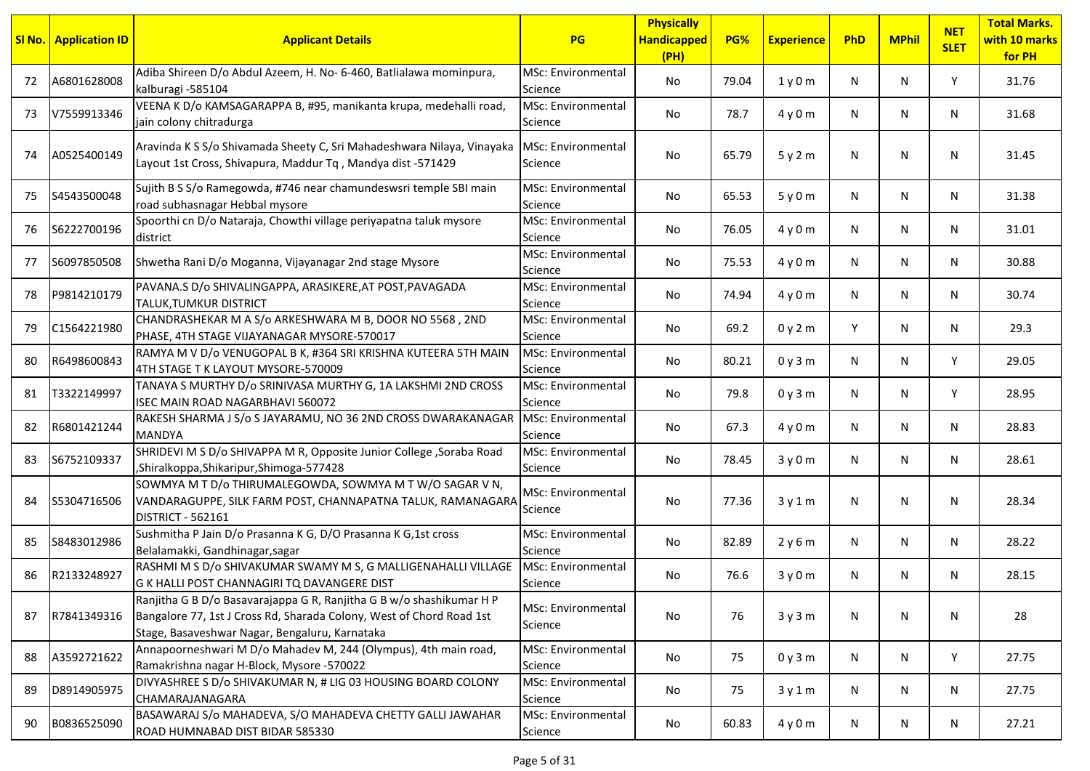|    | <b>SI No.   Application ID</b> | <b>Applicant Details</b>                                                                                                                                                                       | <b>PG</b>                            | <b>Physically</b><br><b>Handicapped</b><br>(PH) | PG%   | <b>Experience</b> | PhD | <b>MPhil</b> | <b>NET</b><br><b>SLET</b> | <b>Total Marks.</b><br>with 10 marks<br>for PH |
|----|--------------------------------|------------------------------------------------------------------------------------------------------------------------------------------------------------------------------------------------|--------------------------------------|-------------------------------------------------|-------|-------------------|-----|--------------|---------------------------|------------------------------------------------|
| 72 | A6801628008                    | Adiba Shireen D/o Abdul Azeem, H. No- 6-460, Batlialawa mominpura,<br>kalburagi -585104                                                                                                        | MSc: Environmental<br>Science        | No                                              | 79.04 | 1y0m              | N   | N            | Y                         | 31.76                                          |
| 73 | V7559913346                    | VEENA K D/o KAMSAGARAPPA B, #95, manikanta krupa, medehalli road,<br>jain colony chitradurga                                                                                                   | <b>MSc: Environmental</b><br>Science | No                                              | 78.7  | 4y0m              | Ν   | N            | N                         | 31.68                                          |
| 74 | A0525400149                    | Aravinda K S S/o Shivamada Sheety C, Sri Mahadeshwara Nilaya, Vinayaka MSc: Environmental<br>Layout 1st Cross, Shivapura, Maddur Tq, Mandya dist -571429                                       | Science                              | No                                              | 65.79 | 5y2m              | N   | N            | N                         | 31.45                                          |
| 75 | S4543500048                    | Sujith B S S/o Ramegowda, #746 near chamundeswsri temple SBI main<br>road subhasnagar Hebbal mysore                                                                                            | MSc: Environmental<br>Science        | No                                              | 65.53 | 5y0m              | N   | N            | N                         | 31.38                                          |
| 76 | S6222700196                    | Spoorthi cn D/o Nataraja, Chowthi village periyapatna taluk mysore<br>district                                                                                                                 | <b>MSc: Environmental</b><br>Science | No                                              | 76.05 | 4y0m              | N   | N            | N                         | 31.01                                          |
| 77 | S6097850508                    | Shwetha Rani D/o Moganna, Vijayanagar 2nd stage Mysore                                                                                                                                         | <b>MSc: Environmental</b><br>Science | No                                              | 75.53 | 4y0m              | N   | N            | N                         | 30.88                                          |
| 78 | P9814210179                    | PAVANA.S D/o SHIVALINGAPPA, ARASIKERE,AT POST,PAVAGADA<br><b>TALUK, TUMKUR DISTRICT</b>                                                                                                        | <b>MSc: Environmental</b><br>Science | No                                              | 74.94 | 4y0m              | N   | N            | N                         | 30.74                                          |
| 79 | C1564221980                    | CHANDRASHEKAR M A S/o ARKESHWARA M B, DOOR NO 5568, 2ND<br>PHASE, 4TH STAGE VIJAYANAGAR MYSORE-570017                                                                                          | MSc: Environmental<br>Science        | No                                              | 69.2  | 0y2m              | Y   | N            | N                         | 29.3                                           |
| 80 | R6498600843                    | RAMYA M V D/o VENUGOPAL B K, #364 SRI KRISHNA KUTEERA 5TH MAIN<br>4TH STAGE T K LAYOUT MYSORE-570009                                                                                           | MSc: Environmental<br>Science        | No                                              | 80.21 | 0y3m              | N   | N            | Y                         | 29.05                                          |
| 81 | T3322149997                    | TANAYA S MURTHY D/o SRINIVASA MURTHY G, 1A LAKSHMI 2ND CROSS<br>ISEC MAIN ROAD NAGARBHAVI 560072                                                                                               | MSc: Environmental<br>Science        | No                                              | 79.8  | 0y3m              | N   | N            | Y                         | 28.95                                          |
| 82 | R6801421244                    | RAKESH SHARMA J S/o S JAYARAMU, NO 36 2ND CROSS DWARAKANAGAR MSc: Environmental<br><b>MANDYA</b>                                                                                               | Science                              | No                                              | 67.3  | 4y0m              | N   | N            | N                         | 28.83                                          |
| 83 | S6752109337                    | SHRIDEVI M S D/o SHIVAPPA M R, Opposite Junior College , Soraba Road<br>,Shiralkoppa,Shikaripur,Shimoga-577428                                                                                 | MSc: Environmental<br>Science        | No                                              | 78.45 | 3y0m              | N   | N            | N                         | 28.61                                          |
| 84 | S5304716506                    | SOWMYA M T D/o THIRUMALEGOWDA, SOWMYA M T W/O SAGAR V N,<br>VANDARAGUPPE, SILK FARM POST, CHANNAPATNA TALUK, RAMANAGARA<br>DISTRICT - 562161                                                   | <b>MSc: Environmental</b><br>Science | No                                              | 77.36 | 3y1m              | N   | N            | N                         | 28.34                                          |
| 85 | S8483012986                    | Sushmitha P Jain D/o Prasanna K G, D/O Prasanna K G,1st cross<br>Belalamakki, Gandhinagar, sagar                                                                                               | <b>MSc: Environmental</b><br>Science | No                                              | 82.89 | 2y6m              | N   | N            | N                         | 28.22                                          |
| 86 | R2133248927                    | RASHMI M S D/o SHIVAKUMAR SWAMY M S, G MALLIGENAHALLI VILLAGE<br>G K HALLI POST CHANNAGIRI TQ DAVANGERE DIST                                                                                   | MSc: Environmental<br>Science        | No                                              | 76.6  | 3y0m              | N   | N            | N                         | 28.15                                          |
| 87 | R7841349316                    | Ranjitha G B D/o Basavarajappa G R, Ranjitha G B w/o shashikumar H P<br>Bangalore 77, 1st J Cross Rd, Sharada Colony, West of Chord Road 1st<br>Stage, Basaveshwar Nagar, Bengaluru, Karnataka | MSc: Environmental<br>Science        | No                                              | 76    | 3y3m              | N   | N            | N                         | 28                                             |
| 88 | A3592721622                    | Annapoorneshwari M D/o Mahadev M, 244 (Olympus), 4th main road,<br>Ramakrishna nagar H-Block, Mysore -570022                                                                                   | MSc: Environmental<br>Science        | No                                              | 75    | 0y3m              | N   | N            | Y                         | 27.75                                          |
| 89 | D8914905975                    | DIVYASHREE S D/o SHIVAKUMAR N, # LIG 03 HOUSING BOARD COLONY<br>CHAMARAJANAGARA                                                                                                                | MSc: Environmental<br>Science        | No                                              | 75    | 3y1m              | N   | N            | N                         | 27.75                                          |
| 90 | B0836525090                    | BASAWARAJ S/o MAHADEVA, S/O MAHADEVA CHETTY GALLI JAWAHAR<br>ROAD HUMNABAD DIST BIDAR 585330                                                                                                   | MSc: Environmental<br>Science        | No                                              | 60.83 | 4y0m              | N   | N            | N                         | 27.21                                          |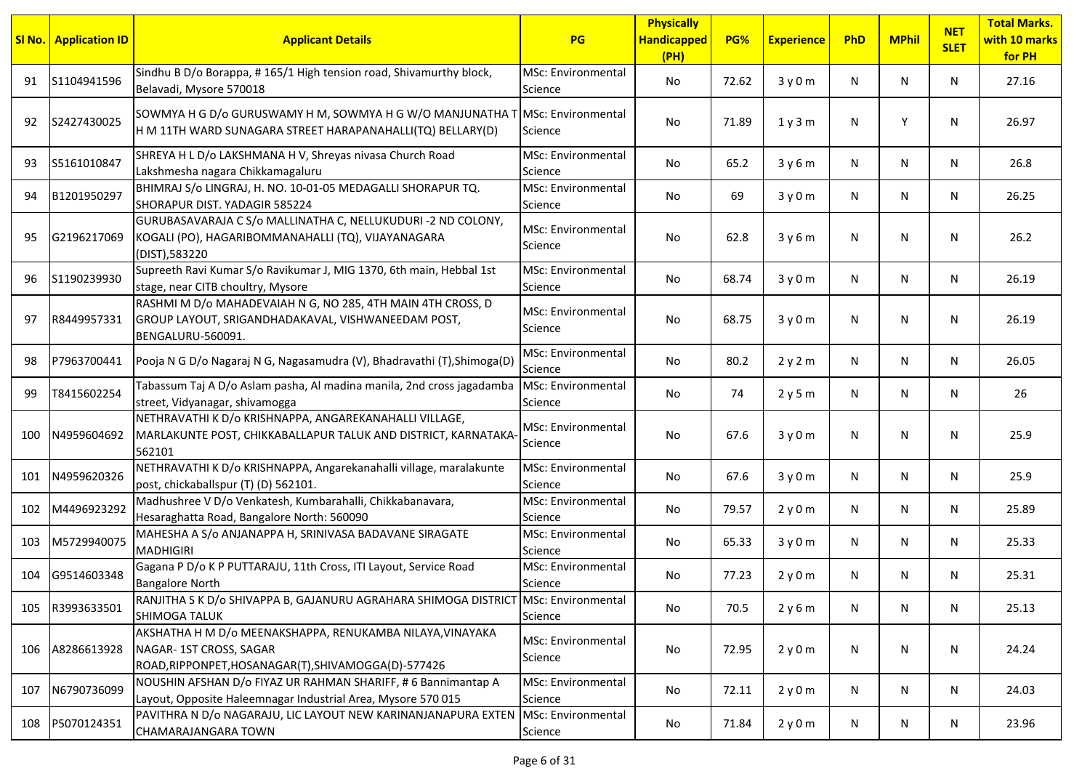|     | <b>SI No.</b> Application ID | <b>Applicant Details</b>                                                                                                                   | <b>PG</b>                            | <b>Physically</b><br><b>Handicapped</b><br>(PH) | PG%   | <b>Experience</b> | PhD | <b>MPhil</b> | <b>NET</b><br><b>SLET</b> | <b>Total Marks.</b><br>with 10 marks<br>for PH |
|-----|------------------------------|--------------------------------------------------------------------------------------------------------------------------------------------|--------------------------------------|-------------------------------------------------|-------|-------------------|-----|--------------|---------------------------|------------------------------------------------|
| 91  | S1104941596                  | Sindhu B D/o Borappa, #165/1 High tension road, Shivamurthy block,<br>Belavadi, Mysore 570018                                              | <b>MSc: Environmental</b><br>Science | No                                              | 72.62 | 3y0m              | N   | N            | N.                        | 27.16                                          |
| 92  | S2427430025                  | SOWMYA H G D/o GURUSWAMY H M, SOWMYA H G W/O MANJUNATHA T MSC: Environmental<br>H M 11TH WARD SUNAGARA STREET HARAPANAHALLI(TQ) BELLARY(D) | Science                              | No.                                             | 71.89 | 1y3m              | N   | Y            | N                         | 26.97                                          |
| 93  | S5161010847                  | SHREYA H L D/o LAKSHMANA H V, Shreyas nivasa Church Road<br>Lakshmesha nagara Chikkamagaluru                                               | MSc: Environmental<br>Science        | No                                              | 65.2  | 3y6m              | N   | N            | N                         | 26.8                                           |
| 94  | B1201950297                  | BHIMRAJ S/o LINGRAJ, H. NO. 10-01-05 MEDAGALLI SHORAPUR TQ.<br><b>I</b> SHORAPUR DIST. YADAGIR 585224                                      | <b>MSc: Environmental</b><br>Science | No                                              | 69    | 3y0m              | N   | N            | N.                        | 26.25                                          |
| 95  | G2196217069                  | GURUBASAVARAJA C S/o MALLINATHA C, NELLUKUDURI -2 ND COLONY,<br>KOGALI (PO), HAGARIBOMMANAHALLI (TQ), VIJAYANAGARA<br>(DIST), 583220       | MSc: Environmental<br>Science        | No                                              | 62.8  | 3y6m              | N   | N            | N                         | 26.2                                           |
| 96  | S1190239930                  | Supreeth Ravi Kumar S/o Ravikumar J, MIG 1370, 6th main, Hebbal 1st<br>stage, near CITB choultry, Mysore                                   | <b>MSc: Environmental</b><br>Science | No                                              | 68.74 | 3y0m              | N   | N            | N                         | 26.19                                          |
| 97  | R8449957331                  | RASHMI M D/o MAHADEVAIAH N G, NO 285, 4TH MAIN 4TH CROSS, D<br>GROUP LAYOUT, SRIGANDHADAKAVAL, VISHWANEEDAM POST,<br>BENGALURU-560091.     | <b>MSc: Environmental</b><br>Science | No                                              | 68.75 | 3y0m              | N   | N            | N                         | 26.19                                          |
| 98  | P7963700441                  | Pooja N G D/o Nagaraj N G, Nagasamudra (V), Bhadravathi (T), Shimoga (D                                                                    | <b>MSc: Environmental</b><br>Science | No.                                             | 80.2  | 2y2m              | N   | N            | N                         | 26.05                                          |
| 99  | T8415602254                  | Tabassum Taj A D/o Aslam pasha, Al madina manila, 2nd cross jagadamba<br>street, Vidyanagar, shivamogga                                    | <b>MSc: Environmental</b><br>Science | No                                              | 74    | 2y5m              | N   | N            | N.                        | 26                                             |
| 100 | N4959604692                  | NETHRAVATHI K D/o KRISHNAPPA, ANGAREKANAHALLI VILLAGE,<br>MARLAKUNTE POST, CHIKKABALLAPUR TALUK AND DISTRICT, KARNATAKA-<br>562101         | <b>MSc: Environmental</b><br>Science | No                                              | 67.6  | 3y0m              | N.  | N            | N                         | 25.9                                           |
| 101 | N4959620326                  | NETHRAVATHI K D/o KRISHNAPPA, Angarekanahalli village, maralakunte<br>post, chickaballspur (T) (D) 562101.                                 | MSc: Environmental<br>Science        | No                                              | 67.6  | 3y0m              | N   | N            | N.                        | 25.9                                           |
| 102 | M4496923292                  | Madhushree V D/o Venkatesh, Kumbarahalli, Chikkabanavara,<br>Hesaraghatta Road, Bangalore North: 560090                                    | <b>MSc: Environmental</b><br>Science | No.                                             | 79.57 | 2y0m              | N   | N            | N.                        | 25.89                                          |
| 103 | M5729940075                  | MAHESHA A S/o ANJANAPPA H, SRINIVASA BADAVANE SIRAGATE<br><b>MADHIGIRI</b>                                                                 | MSc: Environmental<br>Science        | No.                                             | 65.33 | 3y0m              | N   | N            | N                         | 25.33                                          |
| 104 | G9514603348                  | Gagana P D/o K P PUTTARAJU, 11th Cross, ITI Layout, Service Road<br><b>Bangalore North</b>                                                 | <b>MSc: Environmental</b><br>Science | No.                                             | 77.23 | 2y0m              | N   | N            | N                         | 25.31                                          |
| 105 | R3993633501                  | RANJITHA S K D/o SHIVAPPA B, GAJANURU AGRAHARA SHIMOGA DISTRICT MSc: Environmental<br>SHIMOGA TALUK                                        | Science                              | No                                              | 70.5  | 2y6m              | N   | N            | N                         | 25.13                                          |
| 106 | A8286613928                  | AKSHATHA H M D/o MEENAKSHAPPA, RENUKAMBA NILAYA, VINAYAKA<br>NAGAR-1ST CROSS, SAGAR<br>ROAD, RIPPONPET, HOSANAGAR(T), SHIVAMOGGA(D)-577426 | MSc: Environmental<br>Science        | No                                              | 72.95 | 2y0m              | N   | N            | N                         | 24.24                                          |
| 107 | N6790736099                  | NOUSHIN AFSHAN D/o FIYAZ UR RAHMAN SHARIFF, #6 Bannimantap A<br>Layout, Opposite Haleemnagar Industrial Area, Mysore 570 015               | MSc: Environmental<br>Science        | No                                              | 72.11 | 2y0m              | N   | N            | N                         | 24.03                                          |
| 108 | P5070124351                  | PAVITHRA N D/o NAGARAJU, LIC LAYOUT NEW KARINANJANAPURA EXTEN MSc: Environmental<br>CHAMARAJANGARA TOWN                                    | Science                              | No                                              | 71.84 | 2y0m              | N   | N            | N                         | 23.96                                          |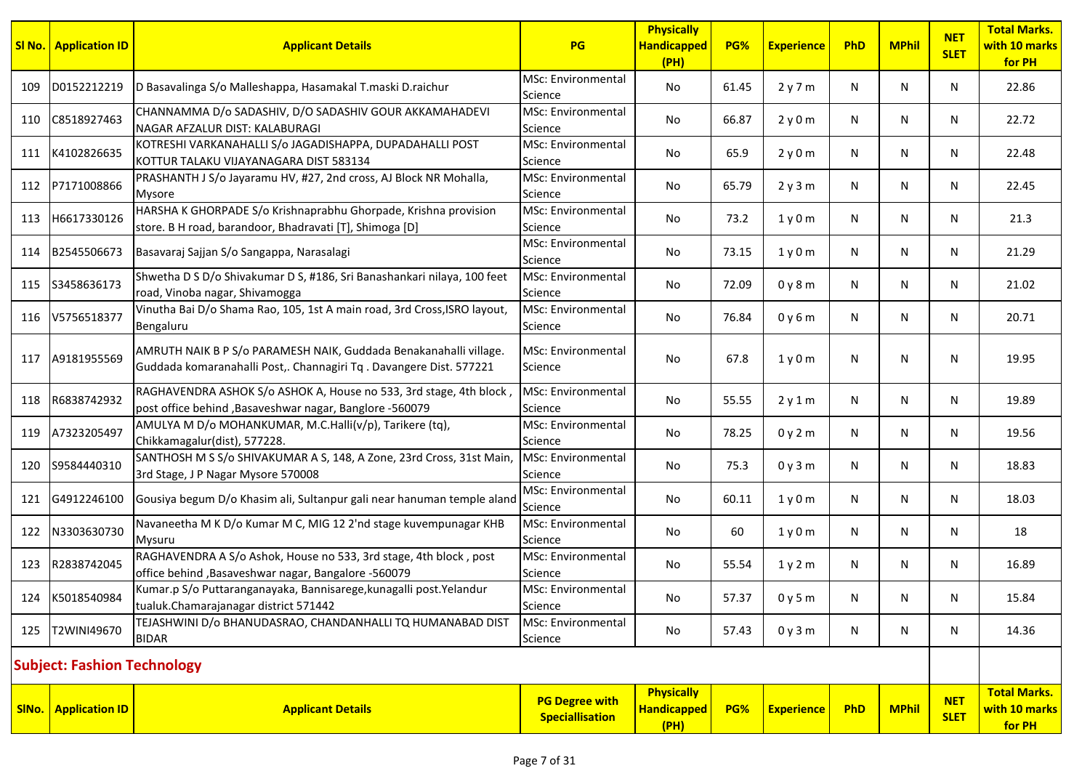|       | <b>SI No.</b> Application ID       | <b>Applicant Details</b>                                                                                                                | <b>PG</b>                                       | <b>Physically</b><br><b>Handicapped</b><br>(PH) | PG%   | <b>Experience</b> | PhD | <b>MPhil</b> | <b>NET</b><br><b>SLET</b> | <b>Total Marks.</b><br>with 10 marks<br>for PH |
|-------|------------------------------------|-----------------------------------------------------------------------------------------------------------------------------------------|-------------------------------------------------|-------------------------------------------------|-------|-------------------|-----|--------------|---------------------------|------------------------------------------------|
| 109   | D0152212219                        | D Basavalinga S/o Malleshappa, Hasamakal T.maski D.raichur                                                                              | <b>MSc: Environmental</b><br>Science            | No                                              | 61.45 | 2y7m              | N   | N            | N.                        | 22.86                                          |
| 110   | C8518927463                        | CHANNAMMA D/o SADASHIV, D/O SADASHIV GOUR AKKAMAHADEVI<br>NAGAR AFZALUR DIST: KALABURAGI                                                | <b>MSc: Environmental</b><br>Science            | No.                                             | 66.87 | 2y0m              | N   | N            | N                         | 22.72                                          |
| 111   | K4102826635                        | KOTRESHI VARKANAHALLI S/o JAGADISHAPPA, DUPADAHALLI POST<br>KOTTUR TALAKU VIJAYANAGARA DIST 583134                                      | <b>MSc: Environmental</b><br>Science            | No                                              | 65.9  | 2y0m              | N   | N            | N                         | 22.48                                          |
| 112   | P7171008866                        | PRASHANTH J S/o Jayaramu HV, #27, 2nd cross, AJ Block NR Mohalla,<br>Mysore                                                             | <b>MSc: Environmental</b><br>Science            | No.                                             | 65.79 | 2y3m              | N   | N            | N                         | 22.45                                          |
| 113   | H6617330126                        | HARSHA K GHORPADE S/o Krishnaprabhu Ghorpade, Krishna provision<br>store. B H road, barandoor, Bhadravati [T], Shimoga [D]              | <b>MSc: Environmental</b><br>Science            | No                                              | 73.2  | 1y0m              | N   | N            | N.                        | 21.3                                           |
| 114   | B2545506673                        | Basavaraj Sajjan S/o Sangappa, Narasalagi                                                                                               | <b>MSc: Environmental</b><br>Science            | No.                                             | 73.15 | 1y0m              | N   | N            | N                         | 21.29                                          |
| 115   | S3458636173                        | Shwetha D S D/o Shivakumar D S, #186, Sri Banashankari nilaya, 100 feet<br>road, Vinoba nagar, Shivamogga                               | MSc: Environmental<br>Science                   | No                                              | 72.09 | 0y8m              | N   | N            | N                         | 21.02                                          |
| 116   | V5756518377                        | Vinutha Bai D/o Shama Rao, 105, 1st A main road, 3rd Cross, ISRO layout,<br>Bengaluru                                                   | MSc: Environmental<br>Science                   | No                                              | 76.84 | 0y6m              | N   | N            | N                         | 20.71                                          |
| 117   | A9181955569                        | AMRUTH NAIK B P S/o PARAMESH NAIK, Guddada Benakanahalli village.<br>Guddada komaranahalli Post,. Channagiri Tq. Davangere Dist. 577221 | MSc: Environmental<br>Science                   | No                                              | 67.8  | 1y0m              | N   | N            | N                         | 19.95                                          |
| 118   | R6838742932                        | RAGHAVENDRA ASHOK S/o ASHOK A, House no 533, 3rd stage, 4th block,<br>post office behind , Basaveshwar nagar, Banglore -560079          | MSc: Environmental<br>Science                   | No                                              | 55.55 | 2y1m              | N   | N            | N                         | 19.89                                          |
| 119   | A7323205497                        | AMULYA M D/o MOHANKUMAR, M.C.Halli(v/p), Tarikere (tq),<br>Chikkamagalur(dist), 577228.                                                 | <b>MSc: Environmental</b><br>Science            | No                                              | 78.25 | 0y2m              | N   | N            | N                         | 19.56                                          |
| 120   | S9584440310                        | SANTHOSH M S S/o SHIVAKUMAR A S, 148, A Zone, 23rd Cross, 31st Main,<br>3rd Stage, J P Nagar Mysore 570008                              | MSc: Environmental<br>Science                   | No                                              | 75.3  | 0y3m              | N   | N            | N                         | 18.83                                          |
| 121   | G4912246100                        | Gousiya begum D/o Khasim ali, Sultanpur gali near hanuman temple aland                                                                  | <b>MSc: Environmental</b><br>Science            | No                                              | 60.11 | 1y0m              | N   | N            | N.                        | 18.03                                          |
| 122   | N3303630730                        | Navaneetha M K D/o Kumar M C, MIG 12 2'nd stage kuvempunagar KHB<br>Mysuru                                                              | <b>MSc: Environmental</b><br>Science            | No.                                             | 60    | 1y0m              | N   | N            | N                         | 18                                             |
| 123   | R2838742045                        | RAGHAVENDRA A S/o Ashok, House no 533, 3rd stage, 4th block, post<br>office behind, Basaveshwar nagar, Bangalore -560079                | <b>MSc: Environmental</b><br>Science            | No                                              | 55.54 | 1y2m              | N   | N            | N                         | 16.89                                          |
|       | 124 K5018540984                    | Kumar.p S/o Puttaranganayaka, Bannisarege, kunagalli post. Yelandur<br>tualuk.Chamarajanagar district 571442                            | <b>MSc: Environmental</b><br>Science            | No.                                             | 57.37 | 0y5m              | N   | N            | N                         | 15.84                                          |
| 125   | T2WINI49670                        | TEJASHWINI D/o BHANUDASRAO, CHANDANHALLI TQ HUMANABAD DIST<br><b>BIDAR</b>                                                              | MSc: Environmental<br>Science                   | No                                              | 57.43 | 0y3m              | N   | N            | N                         | 14.36                                          |
|       | <b>Subject: Fashion Technology</b> |                                                                                                                                         |                                                 |                                                 |       |                   |     |              |                           |                                                |
| SINo. | <b>Application ID</b>              | <b>Applicant Details</b>                                                                                                                | <b>PG Degree with</b><br><b>Speciallisation</b> | <b>Physically</b><br><b>Handicapped</b><br>(HH) | PG%   | <b>Experience</b> | PhD | <b>MPhil</b> | <b>NET</b><br><b>SLET</b> | <b>Total Marks.</b><br>with 10 marks<br>for PH |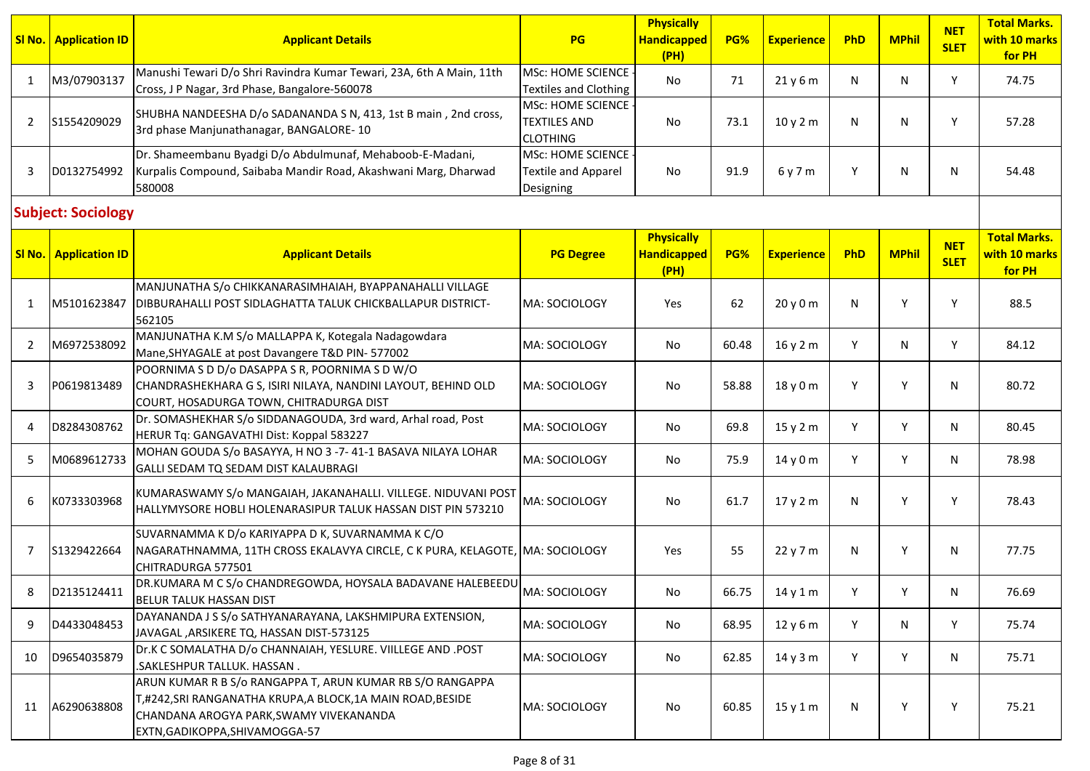|    | <b>SI No.   Application ID</b> | <b>Applicant Details</b>                                                                                                                                                                          | PG                                                          | <b>Physically</b><br><b>Handicapped</b><br>(PH) | PG%   | <b>Experience</b> | PhD | <b>MPhil</b> | <b>NET</b><br><b>SLET</b> | <b>Total Marks.</b><br>with 10 marks<br>for PH |
|----|--------------------------------|---------------------------------------------------------------------------------------------------------------------------------------------------------------------------------------------------|-------------------------------------------------------------|-------------------------------------------------|-------|-------------------|-----|--------------|---------------------------|------------------------------------------------|
| 1  | M3/07903137                    | Manushi Tewari D/o Shri Ravindra Kumar Tewari, 23A, 6th A Main, 11th<br>Cross, J P Nagar, 3rd Phase, Bangalore-560078                                                                             | <b>MSc: HOME SCIENCE</b><br><b>Textiles and Clothing</b>    | No                                              | 71    | 21y6m             | N   | N            | Y                         | 74.75                                          |
| 2  | S1554209029                    | SHUBHA NANDEESHA D/o SADANANDA S N, 413, 1st B main, 2nd cross,<br>3rd phase Manjunathanagar, BANGALORE-10                                                                                        | MSc: HOME SCIENCE<br><b>TEXTILES AND</b><br><b>CLOTHING</b> | No                                              | 73.1  | 10y2m             | N   | N            | Y                         | 57.28                                          |
| 3  | D0132754992                    | Dr. Shameembanu Byadgi D/o Abdulmunaf, Mehaboob-E-Madani,<br>Kurpalis Compound, Saibaba Mandir Road, Akashwani Marg, Dharwad<br>580008                                                            | MSc: HOME SCIENCE -<br>Textile and Apparel<br>Designing     | No                                              | 91.9  | 6 y 7 m           | Y   | N            | N                         | 54.48                                          |
|    | <b>Subject: Sociology</b>      |                                                                                                                                                                                                   |                                                             |                                                 |       |                   |     |              |                           |                                                |
|    | <b>SI No.   Application ID</b> | <b>Applicant Details</b>                                                                                                                                                                          | <b>PG Degree</b>                                            | <b>Physically</b><br><b>Handicapped</b><br>(PH) | PG%   | <b>Experience</b> | PhD | <b>MPhil</b> | <b>NET</b><br><b>SLET</b> | <b>Total Marks.</b><br>with 10 marks<br>for PH |
| 1  | M5101623847                    | MANJUNATHA S/o CHIKKANARASIMHAIAH, BYAPPANAHALLI VILLAGE<br>DIBBURAHALLI POST SIDLAGHATTA TALUK CHICKBALLAPUR DISTRICT-<br>562105                                                                 | MA: SOCIOLOGY                                               | Yes                                             | 62    | 20y0m             | N   | Y            | Y                         | 88.5                                           |
| 2  | M6972538092                    | MANJUNATHA K.M S/o MALLAPPA K, Kotegala Nadagowdara<br>Mane, SHYAGALE at post Davangere T&D PIN- 577002                                                                                           | MA: SOCIOLOGY                                               | No                                              | 60.48 | 16 y 2 m          | Y   | N            | Y                         | 84.12                                          |
| 3  | P0619813489                    | POORNIMA S D D/o DASAPPA S R, POORNIMA S D W/O<br>CHANDRASHEKHARA G S, ISIRI NILAYA, NANDINI LAYOUT, BEHIND OLD<br>COURT, HOSADURGA TOWN, CHITRADURGA DIST                                        | MA: SOCIOLOGY                                               | No                                              | 58.88 | 18 y 0 m          | Y   | Y            | N                         | 80.72                                          |
| 4  | D8284308762                    | Dr. SOMASHEKHAR S/o SIDDANAGOUDA, 3rd ward, Arhal road, Post<br>HERUR Tq: GANGAVATHI Dist: Koppal 583227                                                                                          | MA: SOCIOLOGY                                               | No                                              | 69.8  | 15y2m             | Y   | Y            | N                         | 80.45                                          |
| 5  | M0689612733                    | MOHAN GOUDA S/o BASAYYA, H NO 3 -7-41-1 BASAVA NILAYA LOHAR<br>GALLI SEDAM TQ SEDAM DIST KALAUBRAGI                                                                                               | MA: SOCIOLOGY                                               | No                                              | 75.9  | 14y0m             | Y   | Y            | N                         | 78.98                                          |
| 6  | K0733303968                    | KUMARASWAMY S/o MANGAIAH, JAKANAHALLI. VILLEGE. NIDUVANI POST<br>HALLYMYSORE HOBLI HOLENARASIPUR TALUK HASSAN DIST PIN 573210                                                                     | MA: SOCIOLOGY                                               | No                                              | 61.7  | 17y2m             | N   | Y            | Y                         | 78.43                                          |
| 7  | S1329422664                    | SUVARNAMMA K D/o KARIYAPPA D K, SUVARNAMMA K C/O<br>NAGARATHNAMMA, 11TH CROSS EKALAVYA CIRCLE, C K PURA, KELAGOTE, MA: SOCIOLOGY<br>CHITRADURGA 577501                                            |                                                             | Yes                                             | 55    | 22 y 7 m          | N   | Y            | N                         | 77.75                                          |
| 8  | D2135124411                    | DR.KUMARA M C S/o CHANDREGOWDA, HOYSALA BADAVANE HALEBEEDU<br><b>BELUR TALUK HASSAN DIST</b>                                                                                                      | MA: SOCIOLOGY                                               | No                                              | 66.75 | $14$ y $1$ m      | Y   | Υ            | N                         | 76.69                                          |
| 9  | D4433048453                    | DAYANANDA J S S/o SATHYANARAYANA, LAKSHMIPURA EXTENSION,<br>JAVAGAL, ARSIKERE TQ, HASSAN DIST-573125                                                                                              | MA: SOCIOLOGY                                               | No                                              | 68.95 | 12 y 6 m          | Y   | N            | Y                         | 75.74                                          |
| 10 | D9654035879                    | Dr.K C SOMALATHA D/o CHANNAIAH, YESLURE. VIILLEGE AND .POST<br>.SAKLESHPUR TALLUK. HASSAN.                                                                                                        | MA: SOCIOLOGY                                               | No                                              | 62.85 | 14y3m             | Y   | Y            | N                         | 75.71                                          |
| 11 | A6290638808                    | ARUN KUMAR R B S/o RANGAPPA T, ARUN KUMAR RB S/O RANGAPPA<br>T,#242,SRI RANGANATHA KRUPA,A BLOCK,1A MAIN ROAD,BESIDE<br>CHANDANA AROGYA PARK, SWAMY VIVEKANANDA<br>EXTN, GADIKOPPA, SHIVAMOGGA-57 | MA: SOCIOLOGY                                               | No                                              | 60.85 | 15 y 1 m          | N   | Y            | Υ                         | 75.21                                          |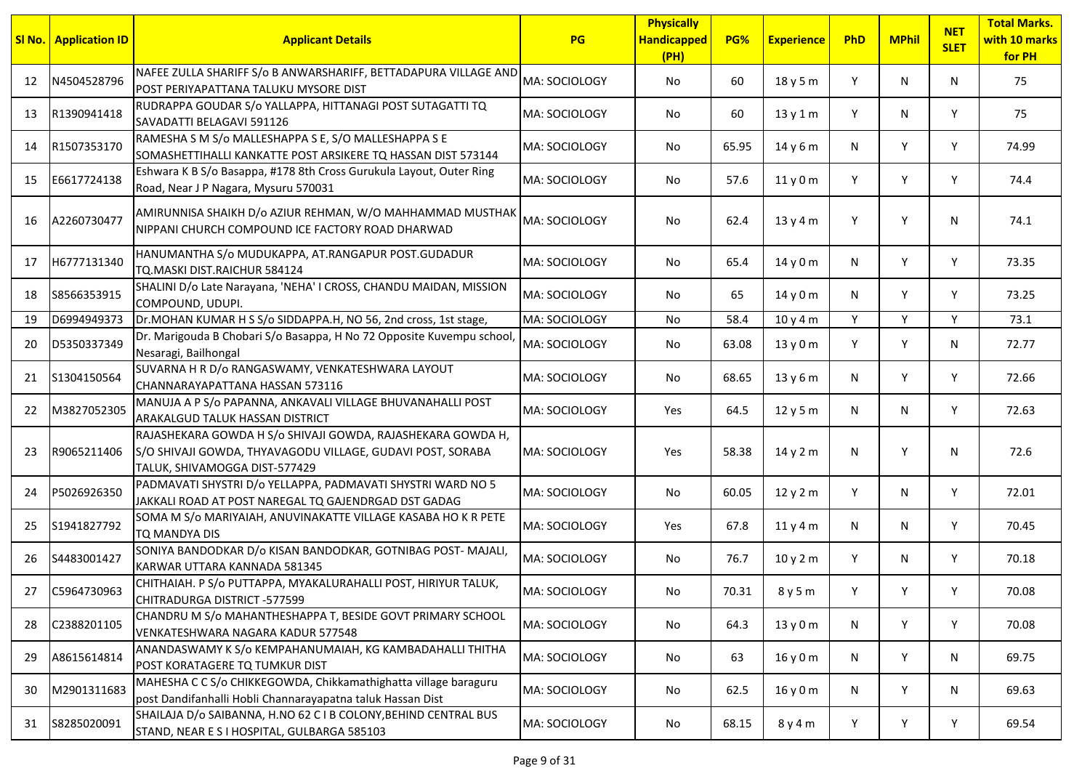|    | <b>SI No.   Application ID</b> | <b>Applicant Details</b>                                                                                                                                   | <b>PG</b>     | <b>Physically</b><br><b>Handicapped</b><br>(PH) | PG%   | <b>Experience</b> | PhD | <b>MPhil</b> | <b>NET</b><br><b>SLET</b> | <b>Total Marks.</b><br>with 10 marks<br>for PH |
|----|--------------------------------|------------------------------------------------------------------------------------------------------------------------------------------------------------|---------------|-------------------------------------------------|-------|-------------------|-----|--------------|---------------------------|------------------------------------------------|
| 12 | N4504528796                    | NAFEE ZULLA SHARIFF S/o B ANWARSHARIFF, BETTADAPURA VILLAGE AND<br>POST PERIYAPATTANA TALUKU MYSORE DIST                                                   | MA: SOCIOLOGY | No                                              | 60    | 18y5m             | Y   | N            | N                         | 75                                             |
| 13 | R1390941418                    | RUDRAPPA GOUDAR S/o YALLAPPA, HITTANAGI POST SUTAGATTI TQ<br>SAVADATTI BELAGAVI 591126                                                                     | MA: SOCIOLOGY | No                                              | 60    | 13y1m             | Y   | N            | Y                         | 75                                             |
| 14 | R1507353170                    | RAMESHA S M S/o MALLESHAPPA S E, S/O MALLESHAPPA S E<br>SOMASHETTIHALLI KANKATTE POST ARSIKERE TQ HASSAN DIST 573144                                       | MA: SOCIOLOGY | No                                              | 65.95 | 14 y 6 m          | N   | Y            | Y                         | 74.99                                          |
| 15 | E6617724138                    | Eshwara K B S/o Basappa, #178 8th Cross Gurukula Layout, Outer Ring<br>Road, Near J P Nagara, Mysuru 570031                                                | MA: SOCIOLOGY | No                                              | 57.6  | 11y0m             | Y   | Y            | Y                         | 74.4                                           |
| 16 | A2260730477                    | AMIRUNNISA SHAIKH D/o AZIUR REHMAN, W/O MAHHAMMAD MUSTHAK<br>NIPPANI CHURCH COMPOUND ICE FACTORY ROAD DHARWAD                                              | MA: SOCIOLOGY | No                                              | 62.4  | 13y4m             | Y   | Y            | N                         | 74.1                                           |
| 17 | H6777131340                    | HANUMANTHA S/o MUDUKAPPA, AT.RANGAPUR POST.GUDADUR<br>TQ.MASKI DIST.RAICHUR 584124                                                                         | MA: SOCIOLOGY | No.                                             | 65.4  | 14y0m             | N   | Y            | Y                         | 73.35                                          |
| 18 | S8566353915                    | SHALINI D/o Late Narayana, 'NEHA' I CROSS, CHANDU MAIDAN, MISSION<br>COMPOUND, UDUPI.                                                                      | MA: SOCIOLOGY | No                                              | 65    | 14 y 0 m          | N   | Y            | Υ                         | 73.25                                          |
| 19 | D6994949373                    | Dr.MOHAN KUMAR H S S/o SIDDAPPA.H, NO 56, 2nd cross, 1st stage,                                                                                            | MA: SOCIOLOGY | No                                              | 58.4  | 10 y 4 m          | Y   | Y            | Y                         | 73.1                                           |
| 20 | D5350337349                    | Dr. Marigouda B Chobari S/o Basappa, H No 72 Opposite Kuvempu school,<br>Nesaragi, Bailhongal                                                              | MA: SOCIOLOGY | No                                              | 63.08 | 13 y 0 m          | Υ   | Y            | N                         | 72.77                                          |
| 21 | S1304150564                    | SUVARNA H R D/o RANGASWAMY, VENKATESHWARA LAYOUT<br>CHANNARAYAPATTANA HASSAN 573116                                                                        | MA: SOCIOLOGY | No.                                             | 68.65 | 13 y 6 m          | N   | Y            | Y                         | 72.66                                          |
| 22 | M3827052305                    | MANUJA A P S/o PAPANNA, ANKAVALI VILLAGE BHUVANAHALLI POST<br><b>ARAKALGUD TALUK HASSAN DISTRICT</b>                                                       | MA: SOCIOLOGY | Yes                                             | 64.5  | 12y5m             | N   | N            | Y                         | 72.63                                          |
| 23 | R9065211406                    | RAJASHEKARA GOWDA H S/o SHIVAJI GOWDA, RAJASHEKARA GOWDA H,<br>S/O SHIVAJI GOWDA, THYAVAGODU VILLAGE, GUDAVI POST, SORABA<br>TALUK, SHIVAMOGGA DIST-577429 | MA: SOCIOLOGY | Yes                                             | 58.38 | 14y2m             | N   | Y            | N                         | 72.6                                           |
| 24 | P5026926350                    | PADMAVATI SHYSTRI D/o YELLAPPA, PADMAVATI SHYSTRI WARD NO 5<br>JAKKALI ROAD AT POST NAREGAL TQ GAJENDRGAD DST GADAG                                        | MA: SOCIOLOGY | No                                              | 60.05 | 12y2m             | Y   | N            | Y                         | 72.01                                          |
| 25 | S1941827792                    | SOMA M S/o MARIYAIAH, ANUVINAKATTE VILLAGE KASABA HO K R PETE<br>TO MANDYA DIS                                                                             | MA: SOCIOLOGY | Yes                                             | 67.8  | 11y4m             | N   | N            | Y                         | 70.45                                          |
| 26 | S4483001427                    | SONIYA BANDODKAR D/o KISAN BANDODKAR, GOTNIBAG POST- MAJALI,<br>KARWAR UTTARA KANNADA 581345                                                               | MA: SOCIOLOGY | No                                              | 76.7  | 10y2m             | Y   | N            | Y                         | 70.18                                          |
| 27 | C5964730963                    | CHITHAIAH. P S/o PUTTAPPA, MYAKALURAHALLI POST, HIRIYUR TALUK,<br>CHITRADURGA DISTRICT -577599                                                             | MA: SOCIOLOGY | No                                              | 70.31 | 8 y 5 m           |     | Υ            | Υ                         | 70.08                                          |
| 28 | C2388201105                    | CHANDRU M S/o MAHANTHESHAPPA T, BESIDE GOVT PRIMARY SCHOOL<br>VENKATESHWARA NAGARA KADUR 577548                                                            | MA: SOCIOLOGY | No                                              | 64.3  | 13y0m             | N   | Y            | Y                         | 70.08                                          |
| 29 | A8615614814                    | ANANDASWAMY K S/o KEMPAHANUMAIAH, KG KAMBADAHALLI THITHA<br>POST KORATAGERE TQ TUMKUR DIST                                                                 | MA: SOCIOLOGY | No                                              | 63    | 16y0m             | N   | Y            | N                         | 69.75                                          |
| 30 | M2901311683                    | MAHESHA C C S/o CHIKKEGOWDA, Chikkamathighatta village baraguru<br>post Dandifanhalli Hobli Channarayapatna taluk Hassan Dist                              | MA: SOCIOLOGY | No                                              | 62.5  | 16y0m             | N   | Y            | N                         | 69.63                                          |
| 31 | S8285020091                    | SHAILAJA D/o SAIBANNA, H.NO 62 C I B COLONY, BEHIND CENTRAL BUS<br>STAND, NEAR E S I HOSPITAL, GULBARGA 585103                                             | MA: SOCIOLOGY | No                                              | 68.15 | 8 y 4 m           | Y   | Υ            | Y                         | 69.54                                          |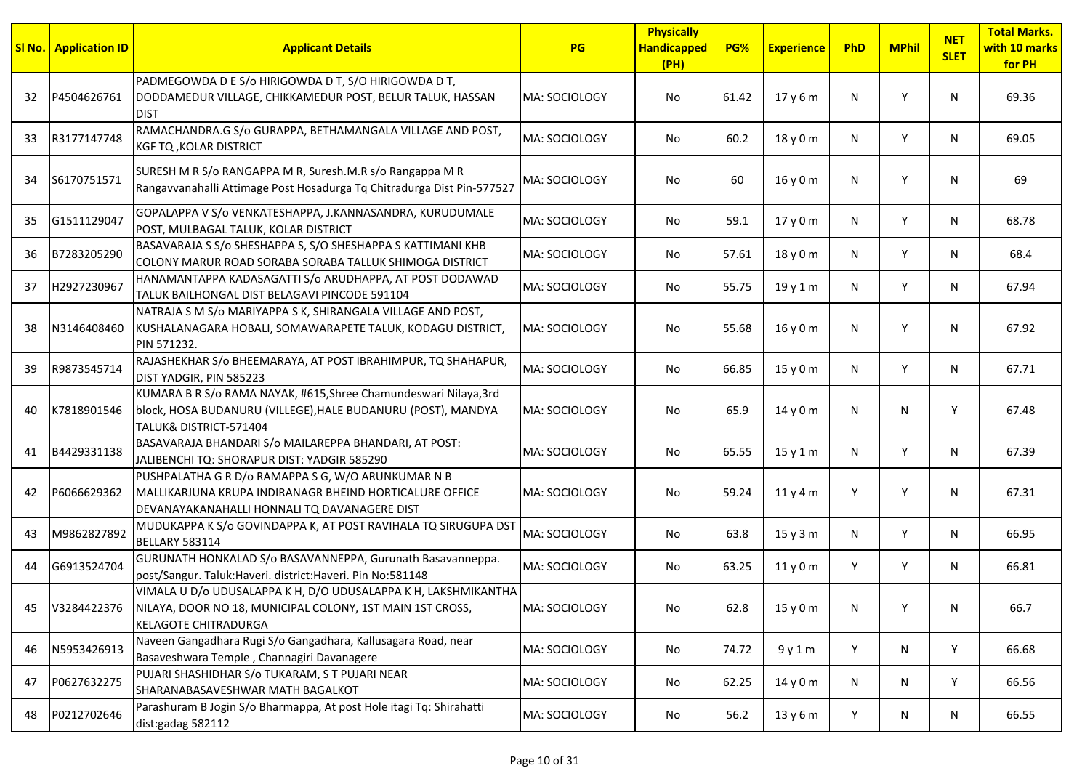|    | <b>SI No.</b> Application ID | <b>Applicant Details</b>                                                                                                                                      | <b>PG</b>     | <b>Physically</b><br><b>Handicapped</b><br>(PH) | PG%   | <b>Experience</b> | PhD | <b>MPhil</b> | <b>NET</b><br><b>SLET</b> | <b>Total Marks.</b><br>with 10 marks<br>for PH |
|----|------------------------------|---------------------------------------------------------------------------------------------------------------------------------------------------------------|---------------|-------------------------------------------------|-------|-------------------|-----|--------------|---------------------------|------------------------------------------------|
| 32 | P4504626761                  | PADMEGOWDA D E S/o HIRIGOWDA D T, S/O HIRIGOWDA D T,<br>DODDAMEDUR VILLAGE, CHIKKAMEDUR POST, BELUR TALUK, HASSAN<br><b>DIST</b>                              | MA: SOCIOLOGY | No                                              | 61.42 | 17y6m             | N   | Y            | N                         | 69.36                                          |
| 33 | R3177147748                  | RAMACHANDRA.G S/o GURAPPA, BETHAMANGALA VILLAGE AND POST,<br><b>KGF TQ, KOLAR DISTRICT</b>                                                                    | MA: SOCIOLOGY | No                                              | 60.2  | 18 y 0 m          | N   | Y            | N                         | 69.05                                          |
| 34 | S6170751571                  | SURESH M R S/o RANGAPPA M R, Suresh.M.R s/o Rangappa M R<br>Rangavvanahalli Attimage Post Hosadurga Tq Chitradurga Dist Pin-577527                            | MA: SOCIOLOGY | No                                              | 60    | 16y0m             | N   | Y            | N                         | 69                                             |
| 35 | G1511129047                  | GOPALAPPA V S/o VENKATESHAPPA, J.KANNASANDRA, KURUDUMALE<br>POST, MULBAGAL TALUK, KOLAR DISTRICT                                                              | MA: SOCIOLOGY | No                                              | 59.1  | 17 y 0 m          | N   | Y            | N                         | 68.78                                          |
| 36 | B7283205290                  | BASAVARAJA S S/o SHESHAPPA S, S/O SHESHAPPA S KATTIMANI KHB<br>COLONY MARUR ROAD SORABA SORABA TALLUK SHIMOGA DISTRICT                                        | MA: SOCIOLOGY | No.                                             | 57.61 | 18 y 0 m          | N   | Y            | N                         | 68.4                                           |
| 37 | H2927230967                  | HANAMANTAPPA KADASAGATTI S/o ARUDHAPPA, AT POST DODAWAD<br>TALUK BAILHONGAL DIST BELAGAVI PINCODE 591104                                                      | MA: SOCIOLOGY | No.                                             | 55.75 | 19 y 1 m          | N   | Y            | N                         | 67.94                                          |
| 38 | N3146408460                  | NATRAJA S M S/o MARIYAPPA S K, SHIRANGALA VILLAGE AND POST,<br>KUSHALANAGARA HOBALI, SOMAWARAPETE TALUK, KODAGU DISTRICT,<br>PIN 571232.                      | MA: SOCIOLOGY | No                                              | 55.68 | 16y0m             | N   | Y            | N                         | 67.92                                          |
| 39 | R9873545714                  | RAJASHEKHAR S/o BHEEMARAYA, AT POST IBRAHIMPUR, TO SHAHAPUR,<br>DIST YADGIR, PIN 585223                                                                       | MA: SOCIOLOGY | No.                                             | 66.85 | 15y0m             | N   | Y            | N                         | 67.71                                          |
| 40 | K7818901546                  | KUMARA B R S/o RAMA NAYAK, #615, Shree Chamundeswari Nilaya, 3rd<br>block, HOSA BUDANURU (VILLEGE), HALE BUDANURU (POST), MANDYA<br>TALUK& DISTRICT-571404    | MA: SOCIOLOGY | No                                              | 65.9  | 14y0m             | N   | N            | Y                         | 67.48                                          |
| 41 | B4429331138                  | BASAVARAJA BHANDARI S/o MAILAREPPA BHANDARI, AT POST:<br>JALIBENCHI TQ: SHORAPUR DIST: YADGIR 585290                                                          | MA: SOCIOLOGY | No.                                             | 65.55 | 15y1m             | N   | Y            | N                         | 67.39                                          |
| 42 | P6066629362                  | PUSHPALATHA G R D/o RAMAPPA S G, W/O ARUNKUMAR N B<br>MALLIKARJUNA KRUPA INDIRANAGR BHEIND HORTICALURE OFFICE<br>DEVANAYAKANAHALLI HONNALI TQ DAVANAGERE DIST | MA: SOCIOLOGY | No                                              | 59.24 | 11y4m             | Υ   | Y            | N                         | 67.31                                          |
| 43 | M9862827892                  | MUDUKAPPA K S/o GOVINDAPPA K, AT POST RAVIHALA TQ SIRUGUPA DST<br><b>BELLARY 583114</b>                                                                       | MA: SOCIOLOGY | No.                                             | 63.8  | 15y3m             | N   | Y            | N                         | 66.95                                          |
| 44 | G6913524704                  | GURUNATH HONKALAD S/o BASAVANNEPPA, Gurunath Basavanneppa.<br>post/Sangur. Taluk: Haveri. district: Haveri. Pin No: 581148                                    | MA: SOCIOLOGY | No.                                             | 63.25 | 11y0m             | Y   | Y            | N                         | 66.81                                          |
| 45 | V3284422376                  | VIMALA U D/o UDUSALAPPA K H, D/O UDUSALAPPA K H, LAKSHMIKANTHA<br>NILAYA, DOOR NO 18, MUNICIPAL COLONY, 1ST MAIN 1ST CROSS,<br><b>KELAGOTE CHITRADURGA</b>    | MA: SOCIOLOGY | No                                              | 62.8  | 15 y 0 m          | N   | Υ            | N                         | 66.7                                           |
| 46 | N5953426913                  | Naveen Gangadhara Rugi S/o Gangadhara, Kallusagara Road, near<br>Basaveshwara Temple, Channagiri Davanagere                                                   | MA: SOCIOLOGY | No                                              | 74.72 | 9y1m              | Y   | N            | Y                         | 66.68                                          |
| 47 | P0627632275                  | PUJARI SHASHIDHAR S/o TUKARAM, S T PUJARI NEAR<br>SHARANABASAVESHWAR MATH BAGALKOT                                                                            | MA: SOCIOLOGY | No                                              | 62.25 | 14 y 0 m          | N   | N            | Y                         | 66.56                                          |
| 48 | P0212702646                  | Parashuram B Jogin S/o Bharmappa, At post Hole itagi Tq: Shirahatti<br>dist:gadag 582112                                                                      | MA: SOCIOLOGY | No                                              | 56.2  | 13y6m             | Y   | N            | N                         | 66.55                                          |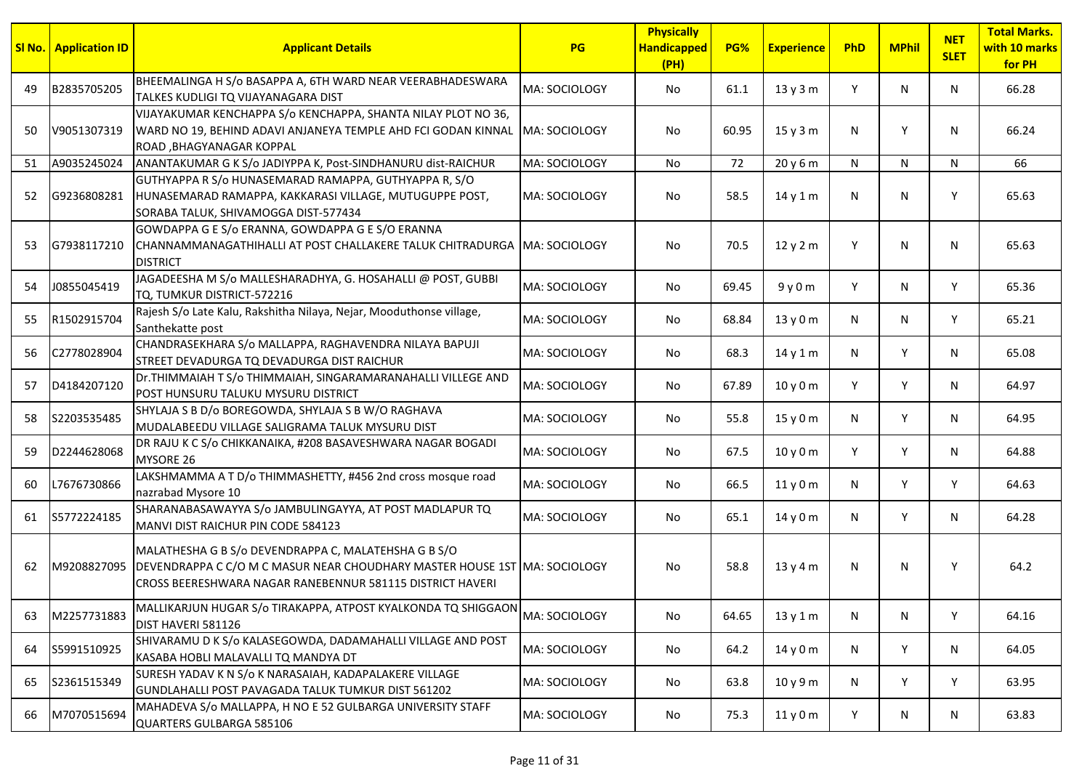|    | <b>SI No.   Application ID</b> | <b>Applicant Details</b>                                                                                                                                                                       | <b>PG</b>     | <b>Physically</b><br><b>Handicapped</b><br>(PH) | PG%   | <b>Experience</b> | PhD | <b>MPhil</b> | <b>NET</b><br><b>SLET</b> | <b>Total Marks.</b><br>with 10 marks<br>for PH |
|----|--------------------------------|------------------------------------------------------------------------------------------------------------------------------------------------------------------------------------------------|---------------|-------------------------------------------------|-------|-------------------|-----|--------------|---------------------------|------------------------------------------------|
| 49 | B2835705205                    | BHEEMALINGA H S/o BASAPPA A, 6TH WARD NEAR VEERABHADESWARA<br>TALKES KUDLIGI TQ VIJAYANAGARA DIST                                                                                              | MA: SOCIOLOGY | No                                              | 61.1  | 13y3m             | Y   | N            | N                         | 66.28                                          |
| 50 | V9051307319                    | VIJAYAKUMAR KENCHAPPA S/0 KENCHAPPA, SHANTA NILAY PLOT NO 36,<br>WARD NO 19, BEHIND ADAVI ANJANEYA TEMPLE AHD FCI GODAN KINNAL MA: SOCIOLOGY<br>ROAD, BHAGYANAGAR KOPPAL                       |               | No.                                             | 60.95 | 15y3m             | N   | Y            | N                         | 66.24                                          |
| 51 | A9035245024                    | ANANTAKUMAR G K S/o JADIYPPA K, Post-SINDHANURU dist-RAICHUR                                                                                                                                   | MA: SOCIOLOGY | No.                                             | 72    | 20y6m             | N   | N            | N                         | 66                                             |
| 52 | G9236808281                    | GUTHYAPPA R S/o HUNASEMARAD RAMAPPA, GUTHYAPPA R, S/O<br>HUNASEMARAD RAMAPPA, KAKKARASI VILLAGE, MUTUGUPPE POST,<br>SORABA TALUK, SHIVAMOGGA DIST-577434                                       | MA: SOCIOLOGY | No.                                             | 58.5  | 14y1m             | N.  | N            | Y                         | 65.63                                          |
| 53 | G7938117210                    | GOWDAPPA G E S/o ERANNA, GOWDAPPA G E S/O ERANNA<br>CHANNAMMANAGATHIHALLI AT POST CHALLAKERE TALUK CHITRADURGA MA: SOCIOLOGY<br><b>DISTRICT</b>                                                |               | No                                              | 70.5  | 12y2m             | Y   | N            | N                         | 65.63                                          |
| 54 | J0855045419                    | JAGADEESHA M S/o MALLESHARADHYA, G. HOSAHALLI @ POST, GUBBI<br>TQ, TUMKUR DISTRICT-572216                                                                                                      | MA: SOCIOLOGY | No                                              | 69.45 | 9y0m              | Y   | N            | Y                         | 65.36                                          |
| 55 | R1502915704                    | Rajesh S/o Late Kalu, Rakshitha Nilaya, Nejar, Mooduthonse village,<br>Santhekatte post                                                                                                        | MA: SOCIOLOGY | No                                              | 68.84 | 13y0m             | N   | N            | Y                         | 65.21                                          |
| 56 | C2778028904                    | CHANDRASEKHARA S/o MALLAPPA, RAGHAVENDRA NILAYA BAPUJI<br>STREET DEVADURGA TQ DEVADURGA DIST RAICHUR                                                                                           | MA: SOCIOLOGY | No                                              | 68.3  | 14 y 1 m          | N   | Y            | N                         | 65.08                                          |
| 57 | D4184207120                    | Dr. THIMMAIAH T S/o THIMMAIAH, SINGARAMARANAHALLI VILLEGE AND<br>POST HUNSURU TALUKU MYSURU DISTRICT                                                                                           | MA: SOCIOLOGY | No.                                             | 67.89 | 10y0m             | Y   | Y            | N                         | 64.97                                          |
| 58 | S2203535485                    | SHYLAJA S B D/o BOREGOWDA, SHYLAJA S B W/O RAGHAVA<br>MUDALABEEDU VILLAGE SALIGRAMA TALUK MYSURU DIST                                                                                          | MA: SOCIOLOGY | No.                                             | 55.8  | 15y0m             | N   | Y            | N                         | 64.95                                          |
| 59 | D2244628068                    | DR RAJU K C S/o CHIKKANAIKA, #208 BASAVESHWARA NAGAR BOGADI<br>MYSORE 26                                                                                                                       | MA: SOCIOLOGY | No                                              | 67.5  | 10 y 0 m          | Y   | Y            | N                         | 64.88                                          |
| 60 | L7676730866                    | LAKSHMAMMA A T D/o THIMMASHETTY, #456 2nd cross mosque road<br>nazrabad Mysore 10                                                                                                              | MA: SOCIOLOGY | No                                              | 66.5  | 11y0m             | N   | Y            | Y                         | 64.63                                          |
| 61 | S5772224185                    | SHARANABASAWAYYA S/o JAMBULINGAYYA, AT POST MADLAPUR TQ<br>MANVI DIST RAICHUR PIN CODE 584123                                                                                                  | MA: SOCIOLOGY | No                                              | 65.1  | 14y0m             | N   | Y            | N                         | 64.28                                          |
| 62 | M9208827095                    | MALATHESHA G B S/o DEVENDRAPPA C, MALATEHSHA G B S/O<br>DEVENDRAPPA C C/O M C MASUR NEAR CHOUDHARY MASTER HOUSE 1ST MA: SOCIOLOGY<br>CROSS BEERESHWARA NAGAR RANEBENNUR 581115 DISTRICT HAVERI |               | No                                              | 58.8  | 13y4m             | N   | N            | Y                         | 64.2                                           |
| 63 | M2257731883                    | MALLIKARJUN HUGAR S/o TIRAKAPPA, ATPOST KYALKONDA TQ SHIGGAON<br>DIST HAVERI 581126                                                                                                            | MA: SOCIOLOGY | No                                              | 64.65 | 13 y 1 m          | N   | N            | Y                         | 64.16                                          |
| 64 | S5991510925                    | SHIVARAMU D K S/o KALASEGOWDA, DADAMAHALLI VILLAGE AND POST<br>KASABA HOBLI MALAVALLI TQ MANDYA DT                                                                                             | MA: SOCIOLOGY | No                                              | 64.2  | 14y0m             | N   | Y            | N                         | 64.05                                          |
| 65 | S2361515349                    | SURESH YADAV K N S/o K NARASAIAH, KADAPALAKERE VILLAGE<br>GUNDLAHALLI POST PAVAGADA TALUK TUMKUR DIST 561202                                                                                   | MA: SOCIOLOGY | No                                              | 63.8  | 10 y 9 m          | N   | Y            | Y                         | 63.95                                          |
| 66 | M7070515694                    | MAHADEVA S/o MALLAPPA, H NO E 52 GULBARGA UNIVERSITY STAFF<br>QUARTERS GULBARGA 585106                                                                                                         | MA: SOCIOLOGY | No                                              | 75.3  | 11y0m             | Y.  | N            | N                         | 63.83                                          |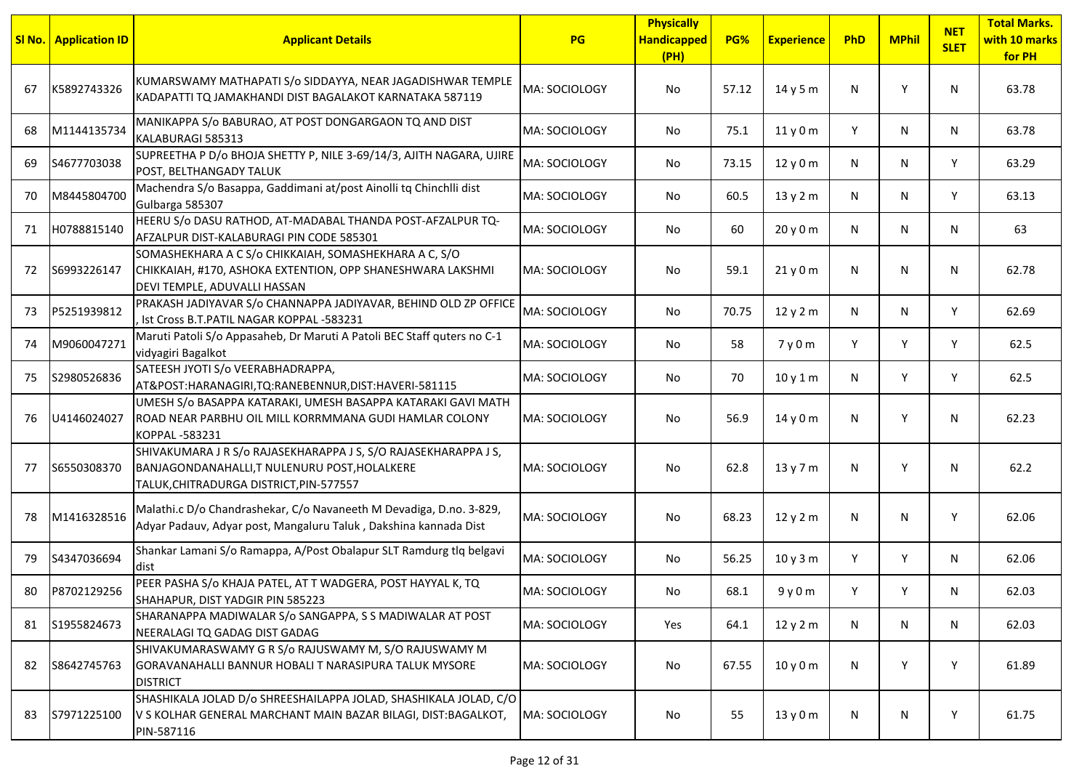|    | <b>SI No.</b> Application ID | <b>Applicant Details</b>                                                                                                                                 | <b>PG</b>     | <b>Physically</b><br><b>Handicapped</b><br>(PH) | PG%   | <b>Experience</b> | PhD | <b>MPhil</b> | <b>NET</b><br><b>SLET</b> | <b>Total Marks.</b><br>with 10 marks<br>for PH |
|----|------------------------------|----------------------------------------------------------------------------------------------------------------------------------------------------------|---------------|-------------------------------------------------|-------|-------------------|-----|--------------|---------------------------|------------------------------------------------|
| 67 | K5892743326                  | KUMARSWAMY MATHAPATI S/o SIDDAYYA, NEAR JAGADISHWAR TEMPLE<br>KADAPATTI TQ JAMAKHANDI DIST BAGALAKOT KARNATAKA 587119                                    | MA: SOCIOLOGY | No.                                             | 57.12 | 14 y 5 m          | N   | Υ            | N                         | 63.78                                          |
| 68 | M1144135734                  | MANIKAPPA S/o BABURAO, AT POST DONGARGAON TQ AND DIST<br>KALABURAGI 585313                                                                               | MA: SOCIOLOGY | No                                              | 75.1  | 11y0m             | Y   | N            | N                         | 63.78                                          |
| 69 | S4677703038                  | SUPREETHA P D/o BHOJA SHETTY P, NILE 3-69/14/3, AJITH NAGARA, UJIRE<br>POST, BELTHANGADY TALUK                                                           | MA: SOCIOLOGY | No                                              | 73.15 | 12y0m             | N   | N            | Y                         | 63.29                                          |
| 70 | M8445804700                  | Machendra S/o Basappa, Gaddimani at/post Ainolli tq Chinchlli dist<br>Gulbarga 585307                                                                    | MA: SOCIOLOGY | No                                              | 60.5  | 13 y 2 m          | N   | N            | Y                         | 63.13                                          |
| 71 | H0788815140                  | HEERU S/o DASU RATHOD, AT-MADABAL THANDA POST-AFZALPUR TQ-<br>AFZALPUR DIST-KALABURAGI PIN CODE 585301                                                   | MA: SOCIOLOGY | No                                              | 60    | 20y0m             | N   | N            | N                         | 63                                             |
| 72 | S6993226147                  | SOMASHEKHARA A C S/o CHIKKAIAH, SOMASHEKHARA A C, S/O<br>CHIKKAIAH, #170, ASHOKA EXTENTION, OPP SHANESHWARA LAKSHMI<br>DEVI TEMPLE, ADUVALLI HASSAN      | MA: SOCIOLOGY | No                                              | 59.1  | 21y0m             | N   | N            | N                         | 62.78                                          |
| 73 | P5251939812                  | PRAKASH JADIYAVAR S/o CHANNAPPA JADIYAVAR, BEHIND OLD ZP OFFICE<br>Ist Cross B.T.PATIL NAGAR KOPPAL -583231                                              | MA: SOCIOLOGY | No                                              | 70.75 | 12 y 2 m          | N   | N            | Y                         | 62.69                                          |
| 74 | M9060047271                  | Maruti Patoli S/o Appasaheb, Dr Maruti A Patoli BEC Staff quters no C-1<br>vidyagiri Bagalkot                                                            | MA: SOCIOLOGY | No                                              | 58    | 7y0m              | Y   | Y            | Y                         | 62.5                                           |
| 75 | S2980526836                  | SATEESH JYOTI S/o VEERABHADRAPPA,<br>AT&POST:HARANAGIRI,TQ:RANEBENNUR,DIST:HAVERI-581115                                                                 | MA: SOCIOLOGY | No                                              | 70    | 10y1m             | N   | Y            | Y                         | 62.5                                           |
| 76 | U4146024027                  | UMESH S/o BASAPPA KATARAKI, UMESH BASAPPA KATARAKI GAVI MATH<br>ROAD NEAR PARBHU OIL MILL KORRMMANA GUDI HAMLAR COLONY<br>KOPPAL-583231                  | MA: SOCIOLOGY | No.                                             | 56.9  | 14 y 0 m          | N   | Y            | N                         | 62.23                                          |
| 77 | S6550308370                  | SHIVAKUMARA JR S/o RAJASEKHARAPPA JS, S/O RAJASEKHARAPPA JS,<br>BANJAGONDANAHALLI, T NULENURU POST, HOLALKERE<br>TALUK, CHITRADURGA DISTRICT, PIN-577557 | MA: SOCIOLOGY | No                                              | 62.8  | 13y7m             | N   | Y            | N                         | 62.2                                           |
| 78 | M1416328516                  | Malathi.c D/o Chandrashekar, C/o Navaneeth M Devadiga, D.no. 3-829,<br>Adyar Padauv, Adyar post, Mangaluru Taluk, Dakshina kannada Dist                  | MA: SOCIOLOGY | No                                              | 68.23 | 12y2m             | N   | N            | Y                         | 62.06                                          |
| 79 | S4347036694                  | Shankar Lamani S/o Ramappa, A/Post Obalapur SLT Ramdurg tlq belgavi<br>ldist                                                                             | MA: SOCIOLOGY | No.                                             | 56.25 | 10y3m             | Y   | Y            | N                         | 62.06                                          |
|    | 80 P8702129256               | PEER PASHA S/o KHAJA PATEL, AT T WADGERA, POST HAYYAL K, TQ<br>SHAHAPUR, DIST YADGIR PIN 585223                                                          | MA: SOCIOLOGY | No                                              | 68.1  | 9y0m              | Υ   | Υ            | N                         | 62.03                                          |
| 81 | S1955824673                  | SHARANAPPA MADIWALAR S/o SANGAPPA, S S MADIWALAR AT POST<br>NEERALAGI TQ GADAG DIST GADAG                                                                | MA: SOCIOLOGY | Yes                                             | 64.1  | 12 y 2 m          | N   | N            | N                         | 62.03                                          |
| 82 | S8642745763                  | SHIVAKUMARASWAMY G R S/o RAJUSWAMY M, S/O RAJUSWAMY M<br>GORAVANAHALLI BANNUR HOBALI T NARASIPURA TALUK MYSORE<br><b>DISTRICT</b>                        | MA: SOCIOLOGY | No                                              | 67.55 | 10y0m             | N   | Y            | Y                         | 61.89                                          |
| 83 | S7971225100                  | SHASHIKALA JOLAD D/o SHREESHAILAPPA JOLAD, SHASHIKALA JOLAD, C/O<br>V S KOLHAR GENERAL MARCHANT MAIN BAZAR BILAGI, DIST:BAGALKOT,<br>PIN-587116          | MA: SOCIOLOGY | No                                              | 55    | 13 y 0 m          | N   | N            | Y                         | 61.75                                          |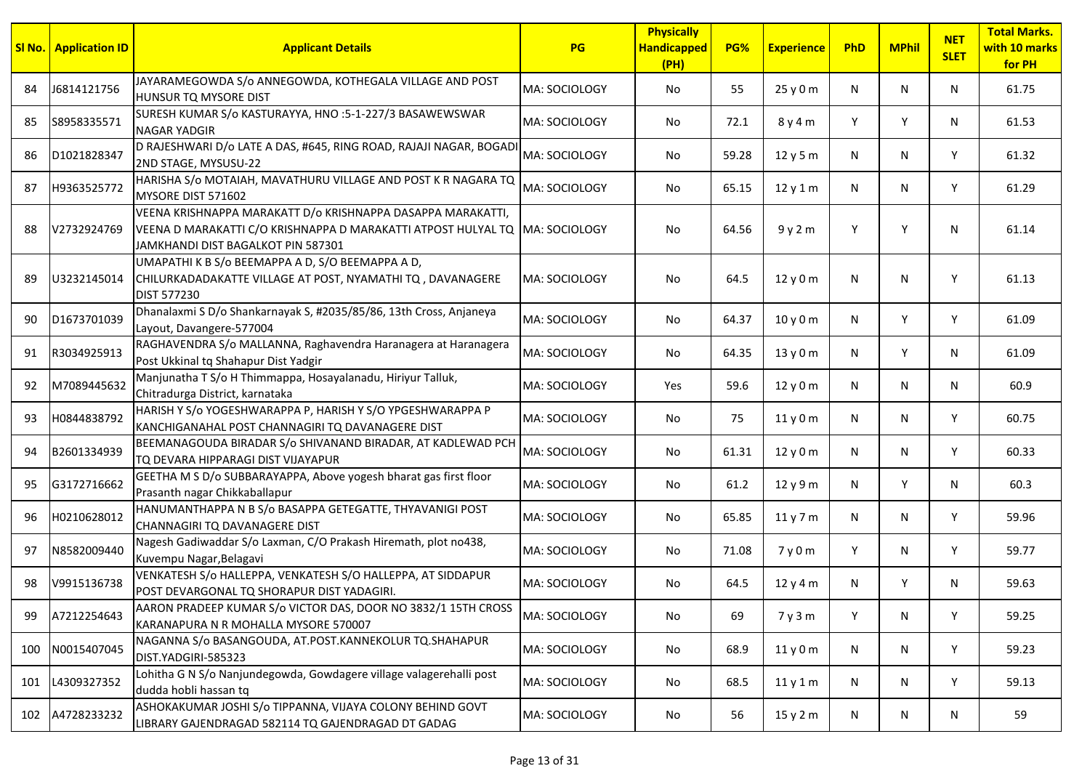|     | <b>SI No.</b> Application ID | <b>Applicant Details</b>                                                                                                                                                         | <b>PG</b>            | <b>Physically</b><br><b>Handicapped</b><br>(PH) | PG%   | <b>Experience</b> | PhD | <b>MPhil</b> | <b>NET</b><br><b>SLET</b> | <b>Total Marks.</b><br>with 10 marks<br>for PH |
|-----|------------------------------|----------------------------------------------------------------------------------------------------------------------------------------------------------------------------------|----------------------|-------------------------------------------------|-------|-------------------|-----|--------------|---------------------------|------------------------------------------------|
| 84  | J6814121756                  | JAYARAMEGOWDA S/o ANNEGOWDA, KOTHEGALA VILLAGE AND POST<br>HUNSUR TQ MYSORE DIST                                                                                                 | lMA: SOCIOLOGY       | No                                              | 55    | 25 y 0 m          | N   | N            | N                         | 61.75                                          |
| 85  | S8958335571                  | SURESH KUMAR S/o KASTURAYYA, HNO :5-1-227/3 BASAWEWSWAR<br><b>NAGAR YADGIR</b>                                                                                                   | MA: SOCIOLOGY        | No                                              | 72.1  | 8 y 4 m           | Y   | Y            | N                         | 61.53                                          |
| 86  | D1021828347                  | D RAJESHWARI D/o LATE A DAS, #645, RING ROAD, RAJAJI NAGAR, BOGADI<br>2ND STAGE, MYSUSU-22                                                                                       | MA: SOCIOLOGY        | No                                              | 59.28 | 12y5m             | N   | N            | Y                         | 61.32                                          |
| 87  | H9363525772                  | HARISHA S/o MOTAIAH, MAVATHURU VILLAGE AND POST K R NAGARA TQ<br>MYSORE DIST 571602                                                                                              | MA: SOCIOLOGY        | No                                              | 65.15 | 12y1m             | N   | N            | Y                         | 61.29                                          |
| 88  | V2732924769                  | VEENA KRISHNAPPA MARAKATT D/0 KRISHNAPPA DASAPPA MARAKATTI,<br>VEENA D MARAKATTI C/O KRISHNAPPA D MARAKATTI ATPOST HULYAL TQ MA: SOCIOLOGY<br>JAMKHANDI DIST BAGALKOT PIN 587301 |                      | No                                              | 64.56 | 9y2m              | Y   | Y            | N                         | 61.14                                          |
| 89  | U3232145014                  | UMAPATHI K B S/o BEEMAPPA A D, S/O BEEMAPPA A D,<br>CHILURKADADAKATTE VILLAGE AT POST, NYAMATHI TQ, DAVANAGERE<br>DIST 577230                                                    | MA: SOCIOLOGY        | No                                              | 64.5  | 12 y 0 m          | N   | N            | Y                         | 61.13                                          |
| 90  | D1673701039                  | Dhanalaxmi S D/o Shankarnayak S, #2035/85/86, 13th Cross, Anjaneya<br>Layout, Davangere-577004                                                                                   | MA: SOCIOLOGY        | No                                              | 64.37 | 10 y 0 m          | N   | Y            | Y                         | 61.09                                          |
| 91  | R3034925913                  | RAGHAVENDRA S/o MALLANNA, Raghavendra Haranagera at Haranagera<br>Post Ukkinal tq Shahapur Dist Yadgir                                                                           | MA: SOCIOLOGY        | No                                              | 64.35 | 13 y 0 m          | N   | Y            | N                         | 61.09                                          |
| 92  | M7089445632                  | Manjunatha T S/o H Thimmappa, Hosayalanadu, Hiriyur Talluk,<br>Chitradurga District, karnataka                                                                                   | MA: SOCIOLOGY        | Yes                                             | 59.6  | 12y0m             | N   | N            | N                         | 60.9                                           |
| 93  | H0844838792                  | HARISH Y S/o YOGESHWARAPPA P, HARISH Y S/O YPGESHWARAPPA P<br>KANCHIGANAHAL POST CHANNAGIRI TQ DAVANAGERE DIST                                                                   | MA: SOCIOLOGY        | No                                              | 75    | 11y0m             | N   | N            | Y                         | 60.75                                          |
| 94  | B2601334939                  | BEEMANAGOUDA BIRADAR S/o SHIVANAND BIRADAR, AT KADLEWAD PCH<br>TQ DEVARA HIPPARAGI DIST VIJAYAPUR                                                                                | MA: SOCIOLOGY        | No                                              | 61.31 | 12 y 0 m          | N   | N            | Y                         | 60.33                                          |
| 95  | G3172716662                  | GEETHA M S D/o SUBBARAYAPPA, Above yogesh bharat gas first floor<br>Prasanth nagar Chikkaballapur                                                                                | MA: SOCIOLOGY        | No                                              | 61.2  | 12 y 9 m          | N   | Y            | N                         | 60.3                                           |
| 96  | H0210628012                  | HANUMANTHAPPA N B S/o BASAPPA GETEGATTE, THYAVANIGI POST<br>CHANNAGIRI TQ DAVANAGERE DIST                                                                                        | MA: SOCIOLOGY        | No                                              | 65.85 | 11y7m             | N   | N            | Y                         | 59.96                                          |
| 97  | N8582009440                  | Nagesh Gadiwaddar S/o Laxman, C/O Prakash Hiremath, plot no438,<br>Kuvempu Nagar, Belagavi                                                                                       | MA: SOCIOLOGY        | No                                              | 71.08 | 7y0m              | Y   | N            | Y                         | 59.77                                          |
| 98  | V9915136738                  | VENKATESH S/o HALLEPPA, VENKATESH S/O HALLEPPA, AT SIDDAPUR<br>POST DEVARGONAL TQ SHORAPUR DIST YADAGIRI.                                                                        | <b>MA: SOCIOLOGY</b> | No                                              | 64.5  | 12y4m             | N   | Y            | N                         | 59.63                                          |
| 99  | A7212254643                  | AARON PRADEEP KUMAR S/o VICTOR DAS, DOOR NO 3832/1 15TH CROSS<br>KARANAPURA N R MOHALLA MYSORE 570007                                                                            | MA: SOCIOLOGY        | No                                              | 69    | 7y3m              | Y   | N            | Y                         | 59.25                                          |
| 100 | N0015407045                  | NAGANNA S/o BASANGOUDA, AT.POST.KANNEKOLUR TQ.SHAHAPUR<br>DIST.YADGIRI-585323                                                                                                    | MA: SOCIOLOGY        | No                                              | 68.9  | 11y0m             | N   | N            | Y                         | 59.23                                          |
| 101 | L4309327352                  | Lohitha G N S/o Nanjundegowda, Gowdagere village valagerehalli post<br>dudda hobli hassan tq                                                                                     | MA: SOCIOLOGY        | No                                              | 68.5  | 11y1m             | N   | N            | Y                         | 59.13                                          |
|     | 102 A4728233232              | ASHOKAKUMAR JOSHI S/o TIPPANNA, VIJAYA COLONY BEHIND GOVT<br>LIBRARY GAJENDRAGAD 582114 TQ GAJENDRAGAD DT GADAG                                                                  | MA: SOCIOLOGY        | No                                              | 56    | 15y2m             | N   | N            | N                         | 59                                             |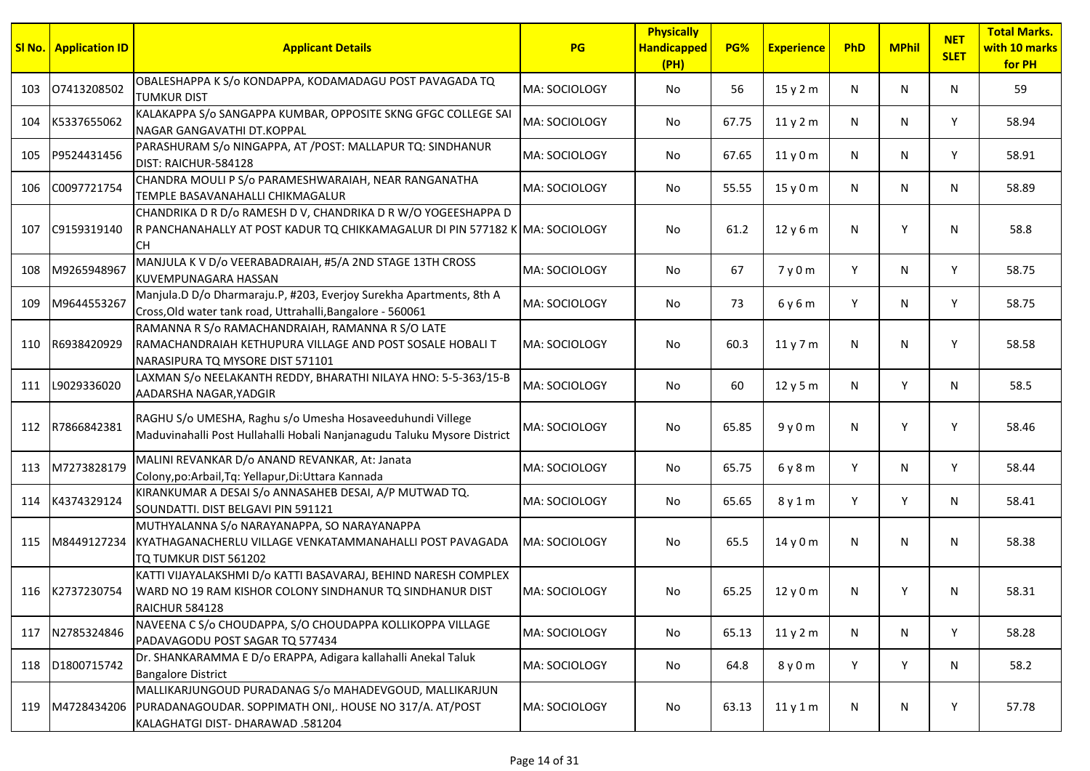|     | <b>SI No.</b> Application ID | <b>Applicant Details</b>                                                                                                                               | <b>PG</b>     | <b>Physically</b><br><b>Handicapped</b><br>(PH) | PG%   | <b>Experience</b> | PhD | <b>MPhil</b> | <b>NET</b><br><b>SLET</b> | <b>Total Marks.</b><br>with 10 marks<br>for PH |
|-----|------------------------------|--------------------------------------------------------------------------------------------------------------------------------------------------------|---------------|-------------------------------------------------|-------|-------------------|-----|--------------|---------------------------|------------------------------------------------|
| 103 | 07413208502                  | OBALESHAPPA K S/o KONDAPPA, KODAMADAGU POST PAVAGADA TQ<br><b>TUMKUR DIST</b>                                                                          | MA: SOCIOLOGY | No                                              | 56    | 15y2m             | N   | N            | N                         | 59                                             |
| 104 | K5337655062                  | KALAKAPPA S/o SANGAPPA KUMBAR, OPPOSITE SKNG GFGC COLLEGE SAI<br>NAGAR GANGAVATHI DT.KOPPAL                                                            | MA: SOCIOLOGY | No                                              | 67.75 | 11y2m             | N   | N            | Y                         | 58.94                                          |
| 105 | P9524431456                  | PARASHURAM S/o NINGAPPA, AT /POST: MALLAPUR TQ: SINDHANUR<br>DIST: RAICHUR-584128                                                                      | MA: SOCIOLOGY | No                                              | 67.65 | 11y0m             | N   | N            | Y                         | 58.91                                          |
| 106 | C0097721754                  | CHANDRA MOULI P S/o PARAMESHWARAIAH, NEAR RANGANATHA<br>TEMPLE BASAVANAHALLI CHIKMAGALUR                                                               | MA: SOCIOLOGY | No                                              | 55.55 | 15y0m             | N   | N            | N                         | 58.89                                          |
| 107 | C9159319140                  | CHANDRIKA D R D/o RAMESH D V, CHANDRIKA D R W/O YOGEESHAPPA D<br>R PANCHANAHALLY AT POST KADUR TQ CHIKKAMAGALUR DI PIN 577182 K MA: SOCIOLOGY<br>CH.   |               | No                                              | 61.2  | 12y6m             | N   | Y            | N                         | 58.8                                           |
| 108 | M9265948967                  | MANJULA K V D/o VEERABADRAIAH, #5/A 2ND STAGE 13TH CROSS<br>KUVEMPUNAGARA HASSAN                                                                       | MA: SOCIOLOGY | No                                              | 67    | 7y0m              | Y   | N            | Y                         | 58.75                                          |
| 109 | M9644553267                  | Manjula.D D/o Dharmaraju.P, #203, Everjoy Surekha Apartments, 8th A<br>Cross, Old water tank road, Uttrahalli, Bangalore - 560061                      | MA: SOCIOLOGY | No                                              | 73    | 6 y 6 m           | Y   | N            | Υ                         | 58.75                                          |
| 110 | R6938420929                  | RAMANNA R S/o RAMACHANDRAIAH, RAMANNA R S/O LATE<br>RAMACHANDRAIAH KETHUPURA VILLAGE AND POST SOSALE HOBALI T<br>NARASIPURA TQ MYSORE DIST 571101      | MA: SOCIOLOGY | No                                              | 60.3  | 11y7m             | N   | N            | Υ                         | 58.58                                          |
|     | 111 L9029336020              | LAXMAN S/o NEELAKANTH REDDY, BHARATHI NILAYA HNO: 5-5-363/15-B<br>AADARSHA NAGAR, YADGIR                                                               | MA: SOCIOLOGY | No                                              | 60    | 12y5m             | N   | Y            | N                         | 58.5                                           |
| 112 | R7866842381                  | RAGHU S/o UMESHA, Raghu s/o Umesha Hosaveeduhundi Villege<br>Maduvinahalli Post Hullahalli Hobali Nanjanagudu Taluku Mysore District                   | MA: SOCIOLOGY | No                                              | 65.85 | 9y0m              | N   | Y            | Υ                         | 58.46                                          |
| 113 | M7273828179                  | MALINI REVANKAR D/o ANAND REVANKAR, At: Janata<br>Colony, po: Arbail, Tq: Yellapur, Di: Uttara Kannada                                                 | MA: SOCIOLOGY | No                                              | 65.75 | 6y8m              | Y   | N            | Υ                         | 58.44                                          |
| 114 | K4374329124                  | KIRANKUMAR A DESAI S/o ANNASAHEB DESAI, A/P MUTWAD TQ.<br>SOUNDATTI. DIST BELGAVI PIN 591121                                                           | MA: SOCIOLOGY | No                                              | 65.65 | 8y1m              | Y   | Y            | N                         | 58.41                                          |
| 115 | M8449127234                  | MUTHYALANNA S/o NARAYANAPPA, SO NARAYANAPPA<br>İKYATHAGANACHERLU VILLAGE VENKATAMMANAHALLI POST PAVAGADA<br>TQ TUMKUR DIST 561202                      | MA: SOCIOLOGY | No                                              | 65.5  | 14y0m             | N   | N            | N                         | 58.38                                          |
|     | 116 K2737230754              | KATTI VIJAYALAKSHMI D/o KATTI BASAVARAJ, BEHIND NARESH COMPLEX<br>WARD NO 19 RAM KISHOR COLONY SINDHANUR TO SINDHANUR DIST<br><b>RAICHUR 584128</b>    | MA: SOCIOLOGY | No                                              | 65.25 | 12y0m             | N   | Υ            | N                         | 58.31                                          |
| 117 | N2785324846                  | NAVEENA C S/o CHOUDAPPA, S/O CHOUDAPPA KOLLIKOPPA VILLAGE<br>PADAVAGODU POST SAGAR TQ 577434                                                           | MA: SOCIOLOGY | No                                              | 65.13 | 11y2m             | N   | N            | Y                         | 58.28                                          |
|     | 118 D1800715742              | Dr. SHANKARAMMA E D/o ERAPPA, Adigara kallahalli Anekal Taluk<br><b>Bangalore District</b>                                                             | MA: SOCIOLOGY | No                                              | 64.8  | 8 y 0 m           | Y   | Υ            | N                         | 58.2                                           |
| 119 | M4728434206                  | MALLIKARJUNGOUD PURADANAG S/o MAHADEVGOUD, MALLIKARJUN<br>PURADANAGOUDAR. SOPPIMATH ONI,. HOUSE NO 317/A. AT/POST<br>KALAGHATGI DIST- DHARAWAD .581204 | MA: SOCIOLOGY | No                                              | 63.13 | 11y1m             | N   | N            | Υ                         | 57.78                                          |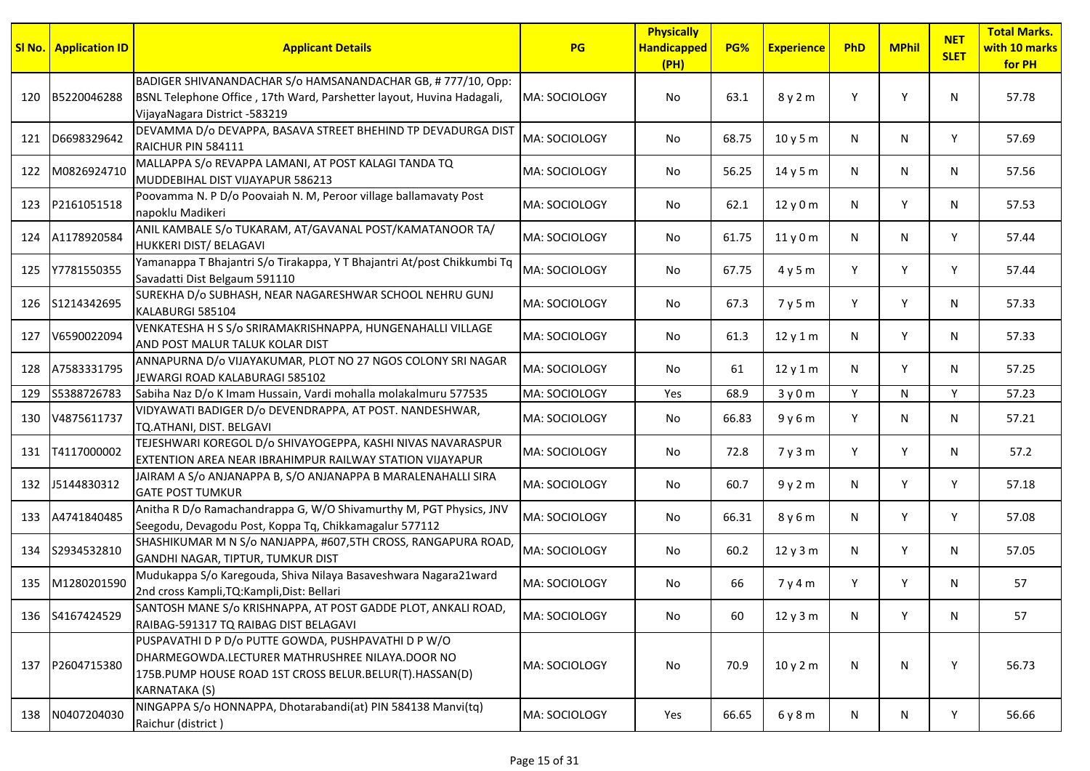|     | <b>SI No.</b> Application ID | <b>Applicant Details</b>                                                                                                                                                           | <b>PG</b>     | <b>Physically</b><br><b>Handicapped</b><br>(HH) | PG%   | <b>Experience</b> | PhD | <b>MPhil</b> | <b>NET</b><br><b>SLET</b> | <b>Total Marks.</b><br>with 10 marks<br>for PH |
|-----|------------------------------|------------------------------------------------------------------------------------------------------------------------------------------------------------------------------------|---------------|-------------------------------------------------|-------|-------------------|-----|--------------|---------------------------|------------------------------------------------|
| 120 | B5220046288                  | BADIGER SHIVANANDACHAR S/o HAMSANANDACHAR GB, #777/10, Opp:<br>BSNL Telephone Office, 17th Ward, Parshetter layout, Huvina Hadagali,<br>VijayaNagara District -583219              | MA: SOCIOLOGY | No                                              | 63.1  | 8y2m              | Y   | Y            | N                         | 57.78                                          |
| 121 | D6698329642                  | DEVAMMA D/o DEVAPPA, BASAVA STREET BHEHIND TP DEVADURGA DIST<br>RAICHUR PIN 584111                                                                                                 | MA: SOCIOLOGY | No.                                             | 68.75 | 10y5m             | N   | N            | Y                         | 57.69                                          |
| 122 | M0826924710                  | MALLAPPA S/o REVAPPA LAMANI, AT POST KALAGI TANDA TQ<br>MUDDEBIHAL DIST VIJAYAPUR 586213                                                                                           | MA: SOCIOLOGY | No.                                             | 56.25 | 14 y 5 m          | N   | N            | N                         | 57.56                                          |
| 123 | P2161051518                  | Poovamma N. P D/o Poovaiah N. M, Peroor village ballamavaty Post<br>napoklu Madikeri                                                                                               | MA: SOCIOLOGY | No                                              | 62.1  | 12 y 0 m          | N   | Y            | N                         | 57.53                                          |
|     | 124 A1178920584              | ANIL KAMBALE S/o TUKARAM, AT/GAVANAL POST/KAMATANOOR TA/<br>HUKKERI DIST/ BELAGAVI                                                                                                 | MA: SOCIOLOGY | No.                                             | 61.75 | 11y0m             | N   | N            | Y                         | 57.44                                          |
| 125 | Y7781550355                  | Yamanappa T Bhajantri S/o Tirakappa, Y T Bhajantri At/post Chikkumbi Tq<br>Savadatti Dist Belgaum 591110                                                                           | MA: SOCIOLOGY | No.                                             | 67.75 | 4y5m              | Y   | Y            | Y                         | 57.44                                          |
| 126 | S1214342695                  | SUREKHA D/o SUBHASH, NEAR NAGARESHWAR SCHOOL NEHRU GUNJ<br>KALABURGI 585104                                                                                                        | MA: SOCIOLOGY | No.                                             | 67.3  | 7y5m              | Y   | Y            | N                         | 57.33                                          |
| 127 | V6590022094                  | VENKATESHA H S S/o SRIRAMAKRISHNAPPA, HUNGENAHALLI VILLAGE<br>AND POST MALUR TALUK KOLAR DIST                                                                                      | MA: SOCIOLOGY | No                                              | 61.3  | 12y1m             | N   | Y            | N                         | 57.33                                          |
| 128 | A7583331795                  | ANNAPURNA D/o VIJAYAKUMAR, PLOT NO 27 NGOS COLONY SRI NAGAR<br>JEWARGI ROAD KALABURAGI 585102                                                                                      | MA: SOCIOLOGY | No                                              | 61    | 12y1m             | N   | Y            | N                         | 57.25                                          |
| 129 | S5388726783                  | Sabiha Naz D/o K Imam Hussain, Vardi mohalla molakalmuru 577535                                                                                                                    | MA: SOCIOLOGY | Yes                                             | 68.9  | 3y0m              | Y   | N            | Y                         | 57.23                                          |
|     | 130 V4875611737              | VIDYAWATI BADIGER D/o DEVENDRAPPA, AT POST. NANDESHWAR,<br>TQ.ATHANI, DIST. BELGAVI                                                                                                | MA: SOCIOLOGY | No.                                             | 66.83 | 9y6m              | Y   | N            | N                         | 57.21                                          |
| 131 | T4117000002                  | TEJESHWARI KOREGOL D/o SHIVAYOGEPPA, KASHI NIVAS NAVARASPUR<br>EXTENTION AREA NEAR IBRAHIMPUR RAILWAY STATION VIJAYAPUR                                                            | MA: SOCIOLOGY | No.                                             | 72.8  | 7y3m              | Y   | Y            | N                         | 57.2                                           |
|     | 132 J5144830312              | JAIRAM A S/o ANJANAPPA B, S/O ANJANAPPA B MARALENAHALLI SIRA<br><b>GATE POST TUMKUR</b>                                                                                            | MA: SOCIOLOGY | No                                              | 60.7  | 9y2m              | N   | Y            | Y                         | 57.18                                          |
|     | 133 A4741840485              | Anitha R D/o Ramachandrappa G, W/O Shivamurthy M, PGT Physics, JNV<br>Seegodu, Devagodu Post, Koppa Tq, Chikkamagalur 577112                                                       | MA: SOCIOLOGY | No.                                             | 66.31 | 8 y 6 m           | N   | Y            | Y                         | 57.08                                          |
| 134 | S2934532810                  | SHASHIKUMAR M N S/o NANJAPPA, #607,5TH CROSS, RANGAPURA ROAD,<br>GANDHI NAGAR, TIPTUR, TUMKUR DIST                                                                                 | MA: SOCIOLOGY | No                                              | 60.2  | 12y3m             | N   | Y            | N                         | 57.05                                          |
| 135 | M1280201590                  | Mudukappa S/o Karegouda, Shiva Nilaya Basaveshwara Nagara21ward<br>2nd cross Kampli, TQ: Kampli, Dist: Bellari                                                                     | MA: SOCIOLOGY | No.                                             | 66    | 7y4m              | Y   | Y            | N                         | 57                                             |
| 136 | S4167424529                  | SANTOSH MANE S/o KRISHNAPPA, AT POST GADDE PLOT, ANKALI ROAD,<br>RAIBAG-591317 TO RAIBAG DIST BELAGAVI                                                                             | MA: SOCIOLOGY | No                                              | 60    | 12y3m             | N   | Y            | N                         | 57                                             |
|     | 137 P2604715380              | PUSPAVATHI D P D/o PUTTE GOWDA, PUSHPAVATHI D P W/O<br>DHARMEGOWDA.LECTURER MATHRUSHREE NILAYA.DOOR NO<br>175B.PUMP HOUSE ROAD 1ST CROSS BELUR.BELUR(T).HASSAN(D)<br>KARNATAKA (S) | MA: SOCIOLOGY | No                                              | 70.9  | 10y2m             | N   | N            | Y                         | 56.73                                          |
| 138 | N0407204030                  | NINGAPPA S/o HONNAPPA, Dhotarabandi(at) PIN 584138 Manvi(tq)<br>Raichur (district)                                                                                                 | MA: SOCIOLOGY | Yes                                             | 66.65 | 6y8m              | N   | N            | Y                         | 56.66                                          |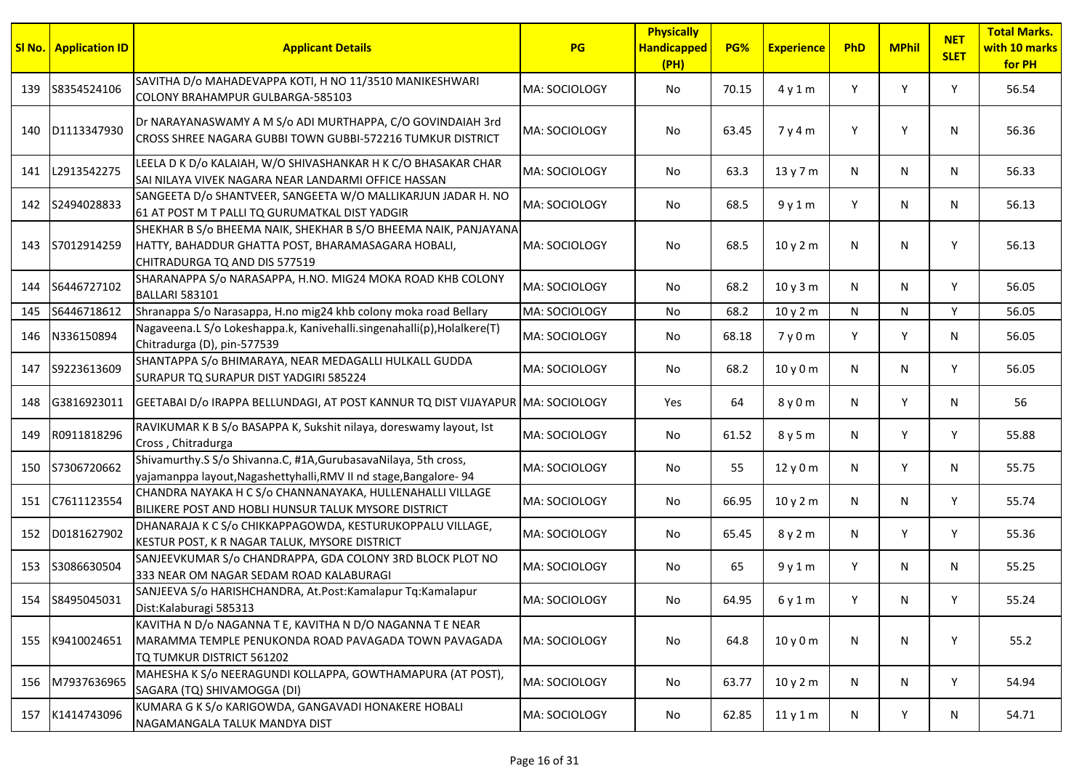|     | <b>SI No.   Application ID</b> | <b>Applicant Details</b>                                                                                                                               | PG            | <b>Physically</b><br><b>Handicapped</b><br>(H) | PG%   | <b>Experience</b> | PhD | <b>MPhil</b> | <b>NET</b><br><b>SLET</b> | <b>Total Marks.</b><br>with 10 marks<br>for PH |
|-----|--------------------------------|--------------------------------------------------------------------------------------------------------------------------------------------------------|---------------|------------------------------------------------|-------|-------------------|-----|--------------|---------------------------|------------------------------------------------|
| 139 | S8354524106                    | SAVITHA D/o MAHADEVAPPA KOTI, H NO 11/3510 MANIKESHWARI<br>COLONY BRAHAMPUR GULBARGA-585103                                                            | MA: SOCIOLOGY | No                                             | 70.15 | 4y1m              | Y   | Y            | Y                         | 56.54                                          |
| 140 | D1113347930                    | Dr NARAYANASWAMY A M S/o ADI MURTHAPPA, C/O GOVINDAIAH 3rd<br>CROSS SHREE NAGARA GUBBI TOWN GUBBI-572216 TUMKUR DISTRICT                               | MA: SOCIOLOGY | No                                             | 63.45 | 7y4m              | Y   | Y            | N                         | 56.36                                          |
|     | 141 L2913542275                | LEELA D K D/o KALAIAH, W/O SHIVASHANKAR H K C/O BHASAKAR CHAR<br>SAI NILAYA VIVEK NAGARA NEAR LANDARMI OFFICE HASSAN                                   | MA: SOCIOLOGY | No                                             | 63.3  | 13 y 7 m          | N   | N            | N                         | 56.33                                          |
|     | 142 S2494028833                | SANGEETA D/o SHANTVEER, SANGEETA W/O MALLIKARJUN JADAR H. NO<br>61 AT POST M T PALLI TQ GURUMATKAL DIST YADGIR                                         | MA: SOCIOLOGY | No                                             | 68.5  | 9y1m              | Y   | N            | N                         | 56.13                                          |
| 143 | S7012914259                    | SHEKHAR B S/o BHEEMA NAIK, SHEKHAR B S/O BHEEMA NAIK, PANJAYANA<br>HATTY, BAHADDUR GHATTA POST, BHARAMASAGARA HOBALI,<br>CHITRADURGA TQ AND DIS 577519 | MA: SOCIOLOGY | No                                             | 68.5  | 10y2m             | N   | N            | Υ                         | 56.13                                          |
| 144 | S6446727102                    | SHARANAPPA S/o NARASAPPA, H.NO. MIG24 MOKA ROAD KHB COLONY<br><b>BALLARI 583101</b>                                                                    | MA: SOCIOLOGY | No                                             | 68.2  | 10y3m             | N   | N            | Y                         | 56.05                                          |
| 145 | S6446718612                    | Shranappa S/o Narasappa, H.no mig24 khb colony moka road Bellary                                                                                       | MA: SOCIOLOGY | No                                             | 68.2  | 10 y 2 m          | N   | N            | Y                         | 56.05                                          |
| 146 | N336150894                     | Nagaveena.L S/o Lokeshappa.k, Kanivehalli.singenahalli(p), Holalkere(T)<br>Chitradurga (D), pin-577539                                                 | MA: SOCIOLOGY | No                                             | 68.18 | 7y0m              | Y   | Y            | N                         | 56.05                                          |
| 147 | S9223613609                    | SHANTAPPA S/o BHIMARAYA, NEAR MEDAGALLI HULKALL GUDDA<br>SURAPUR TQ SURAPUR DIST YADGIRI 585224                                                        | MA: SOCIOLOGY | No                                             | 68.2  | 10y0m             | N   | N            | Y                         | 56.05                                          |
| 148 | G3816923011                    | GEETABAI D/o IRAPPA BELLUNDAGI, AT POST KANNUR TO DIST VIJAYAPUR MA: SOCIOLOGY                                                                         |               | Yes                                            | 64    | 8 y 0 m           | N   | Y            | N                         | 56                                             |
| 149 | R0911818296                    | RAVIKUMAR K B S/o BASAPPA K, Sukshit nilaya, doreswamy layout, Ist<br>Cross, Chitradurga                                                               | MA: SOCIOLOGY | No                                             | 61.52 | 8 y 5 m           | N   | Υ            | Y                         | 55.88                                          |
| 150 | S7306720662                    | Shivamurthy.S S/o Shivanna.C, #1A, Gurubasava Nilaya, 5th cross,<br>yajamanppa layout, Nagashettyhalli, RMV II nd stage, Bangalore-94                  | MA: SOCIOLOGY | No                                             | 55    | 12 y 0 m          | N   | Y            | N                         | 55.75                                          |
|     | 151 C7611123554                | CHANDRA NAYAKA H C S/o CHANNANAYAKA, HULLENAHALLI VILLAGE<br>BILIKERE POST AND HOBLI HUNSUR TALUK MYSORE DISTRICT                                      | MA: SOCIOLOGY | No                                             | 66.95 | 10 y 2 m          | N   | N            | Y                         | 55.74                                          |
| 152 | D0181627902                    | DHANARAJA K C S/o CHIKKAPPAGOWDA, KESTURUKOPPALU VILLAGE,<br>KESTUR POST, K R NAGAR TALUK, MYSORE DISTRICT                                             | MA: SOCIOLOGY | No                                             | 65.45 | 8 y 2 m           | N   | Y            | Y                         | 55.36                                          |
| 153 | S3086630504                    | SANJEEVKUMAR S/o CHANDRAPPA, GDA COLONY 3RD BLOCK PLOT NO<br>333 NEAR OM NAGAR SEDAM ROAD KALABURAGI                                                   | MA: SOCIOLOGY | No                                             | 65    | 9y1m              | Y   | N            | N                         | 55.25                                          |
|     | 154 S8495045031                | SANJEEVA S/o HARISHCHANDRA, At.Post:Kamalapur Tq:Kamalapur<br>Dist:Kalaburagi 585313                                                                   | MA: SOCIOLOGY | No                                             | 64.95 | 6 y 1 m           | Υ   | N            |                           | 55.24                                          |
| 155 | K9410024651                    | KAVITHA N D/o NAGANNA T E, KAVITHA N D/O NAGANNA T E NEAR<br>MARAMMA TEMPLE PENUKONDA ROAD PAVAGADA TOWN PAVAGADA<br>TQ TUMKUR DISTRICT 561202         | MA: SOCIOLOGY | No                                             | 64.8  | 10y0m             | N   | N            | Y                         | 55.2                                           |
|     | 156 M7937636965                | MAHESHA K S/o NEERAGUNDI KOLLAPPA, GOWTHAMAPURA (AT POST),<br>SAGARA (TQ) SHIVAMOGGA (DI)                                                              | MA: SOCIOLOGY | No                                             | 63.77 | 10 y 2 m          | N   | N            | Y                         | 54.94                                          |
| 157 | K1414743096                    | KUMARA G K S/o KARIGOWDA, GANGAVADI HONAKERE HOBALI<br>NAGAMANGALA TALUK MANDYA DIST                                                                   | MA: SOCIOLOGY | No                                             | 62.85 | 11y1m             | N   | Υ            | N                         | 54.71                                          |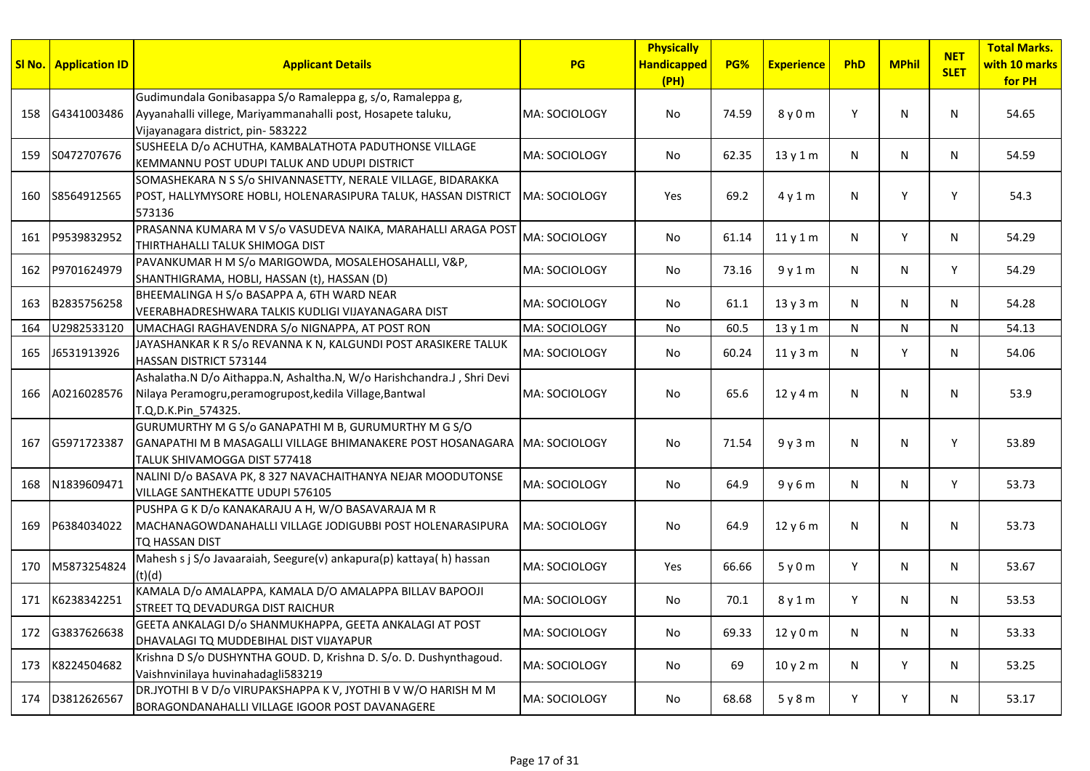|     | SI No. Application ID | <b>Applicant Details</b>                                                                                                                                        | <b>PG</b>             | <b>Physically</b><br><b>Handicapped</b><br>(PH) | <b>PG%</b> | <b>Experience</b> | PhD | <b>MPhil</b> | <b>NET</b><br><b>SLET</b> | <b>Total Marks.</b><br>with 10 marks<br>for PH |
|-----|-----------------------|-----------------------------------------------------------------------------------------------------------------------------------------------------------------|-----------------------|-------------------------------------------------|------------|-------------------|-----|--------------|---------------------------|------------------------------------------------|
| 158 | G4341003486           | Gudimundala Gonibasappa S/o Ramaleppa g, s/o, Ramaleppa g,<br>Ayyanahalli villege, Mariyammanahalli post, Hosapete taluku,<br>Vijayanagara district, pin-583222 | MA: SOCIOLOGY         | No                                              | 74.59      | 8 y 0 m           | Y   | N            | N                         | 54.65                                          |
| 159 | S0472707676           | SUSHEELA D/o ACHUTHA, KAMBALATHOTA PADUTHONSE VILLAGE<br>KEMMANNU POST UDUPI TALUK AND UDUPI DISTRICT                                                           | MA: SOCIOLOGY         | No                                              | 62.35      | 13 y 1 m          | N   | $\mathsf{N}$ | N                         | 54.59                                          |
| 160 | S8564912565           | SOMASHEKARA N S S/o SHIVANNASETTY, NERALE VILLAGE, BIDARAKKA<br>POST, HALLYMYSORE HOBLI, HOLENARASIPURA TALUK, HASSAN DISTRICT<br>573136                        | MA: SOCIOLOGY         | Yes                                             | 69.2       | 4y1m              | N   | Υ            | Υ                         | 54.3                                           |
| 161 | P9539832952           | PRASANNA KUMARA M V S/o VASUDEVA NAIKA, MARAHALLI ARAGA POST<br>THIRTHAHALLI TALUK SHIMOGA DIST                                                                 | MA: SOCIOLOGY         | No                                              | 61.14      | 11y1m             | N   | Y            | N                         | 54.29                                          |
| 162 | P9701624979           | PAVANKUMAR H M S/o MARIGOWDA, MOSALEHOSAHALLI, V&P,<br>SHANTHIGRAMA, HOBLI, HASSAN (t), HASSAN (D)                                                              | MA: SOCIOLOGY         | No                                              | 73.16      | 9y1m              | N   | $\mathsf{N}$ | Y                         | 54.29                                          |
| 163 | B2835756258           | BHEEMALINGA H S/o BASAPPA A, 6TH WARD NEAR<br>VEERABHADRESHWARA TALKIS KUDLIGI VIJAYANAGARA DIST                                                                | MA: SOCIOLOGY         | No                                              | 61.1       | 13 y 3 m          | N   | N            | N                         | 54.28                                          |
| 164 | U2982533120           | UMACHAGI RAGHAVENDRA S/o NIGNAPPA, AT POST RON                                                                                                                  | MA: SOCIOLOGY         | <b>No</b>                                       | 60.5       | 13 y 1 m          | N   | N            | N                         | 54.13                                          |
| 165 | J6531913926           | JAYASHANKAR K R S/o REVANNA K N, KALGUNDI POST ARASIKERE TALUK<br>HASSAN DISTRICT 573144                                                                        | MA: SOCIOLOGY         | No                                              | 60.24      | 11y3m             | N   | Y            | N                         | 54.06                                          |
| 166 | A0216028576           | Ashalatha.N D/o Aithappa.N, Ashaltha.N, W/o Harishchandra.J, Shri Devi<br>Nilaya Peramogru, peramogrupost, kedila Village, Bantwal<br>T.Q,D.K.Pin 574325.       | MA: SOCIOLOGY         | No                                              | 65.6       | 12 y 4 m          | N   | N            | N                         | 53.9                                           |
| 167 | G5971723387           | GURUMURTHY M G S/o GANAPATHI M B, GURUMURTHY M G S/O<br>GANAPATHI M B MASAGALLI VILLAGE BHIMANAKERE POST HOSANAGARA<br>TALUK SHIVAMOGGA DIST 577418             | <b>IMA: SOCIOLOGY</b> | No                                              | 71.54      | 9y3m              | N   | N            | Y                         | 53.89                                          |
| 168 | N1839609471           | NALINI D/o BASAVA PK, 8 327 NAVACHAITHANYA NEJAR MOODUTONSE<br>VILLAGE SANTHEKATTE UDUPI 576105                                                                 | MA: SOCIOLOGY         | No                                              | 64.9       | 9y6m              | N   | N            | Y                         | 53.73                                          |
| 169 | P6384034022           | PUSHPA G K D/o KANAKARAJU A H, W/O BASAVARAJA M R<br>MACHANAGOWDANAHALLI VILLAGE JODIGUBBI POST HOLENARASIPURA<br>TQ HASSAN DIST                                | MA: SOCIOLOGY         | <b>No</b>                                       | 64.9       | 12y6m             | N   | N            | N                         | 53.73                                          |
| 170 | M5873254824           | Mahesh s j S/o Javaaraiah, Seegure(v) ankapura(p) kattaya(h) hassan<br>(t)(d)                                                                                   | MA: SOCIOLOGY         | Yes                                             | 66.66      | 5y0m              | Y   | N            | N                         | 53.67                                          |
| 171 | K6238342251           | KAMALA D/o AMALAPPA, KAMALA D/O AMALAPPA BILLAV BAPOOJI<br>STREET TQ DEVADURGA DIST RAICHUR                                                                     | MA: SOCIOLOGY         | No                                              | 70.1       | 8 y 1 m           | Y   | N            | N                         | 53.53                                          |
| 172 | G3837626638           | GEETA ANKALAGI D/o SHANMUKHAPPA, GEETA ANKALAGI AT POST<br>DHAVALAGI TQ MUDDEBIHAL DIST VIJAYAPUR                                                               | MA: SOCIOLOGY         | No                                              | 69.33      | 12 y 0 m          | N   | N            | N                         | 53.33                                          |
| 173 | K8224504682           | Krishna D S/o DUSHYNTHA GOUD. D, Krishna D. S/o. D. Dushynthagoud.<br>Vaishnvinilaya huvinahadagli583219                                                        | MA: SOCIOLOGY         | No                                              | 69         | 10 y 2 m          | N   | Y            | N                         | 53.25                                          |
| 174 | D3812626567           | DR.JYOTHI B V D/o VIRUPAKSHAPPA K V, JYOTHI B V W/O HARISH M M<br>BORAGONDANAHALLI VILLAGE IGOOR POST DAVANAGERE                                                | MA: SOCIOLOGY         | No.                                             | 68.68      | 5y8m              | Y   | Y            | N                         | 53.17                                          |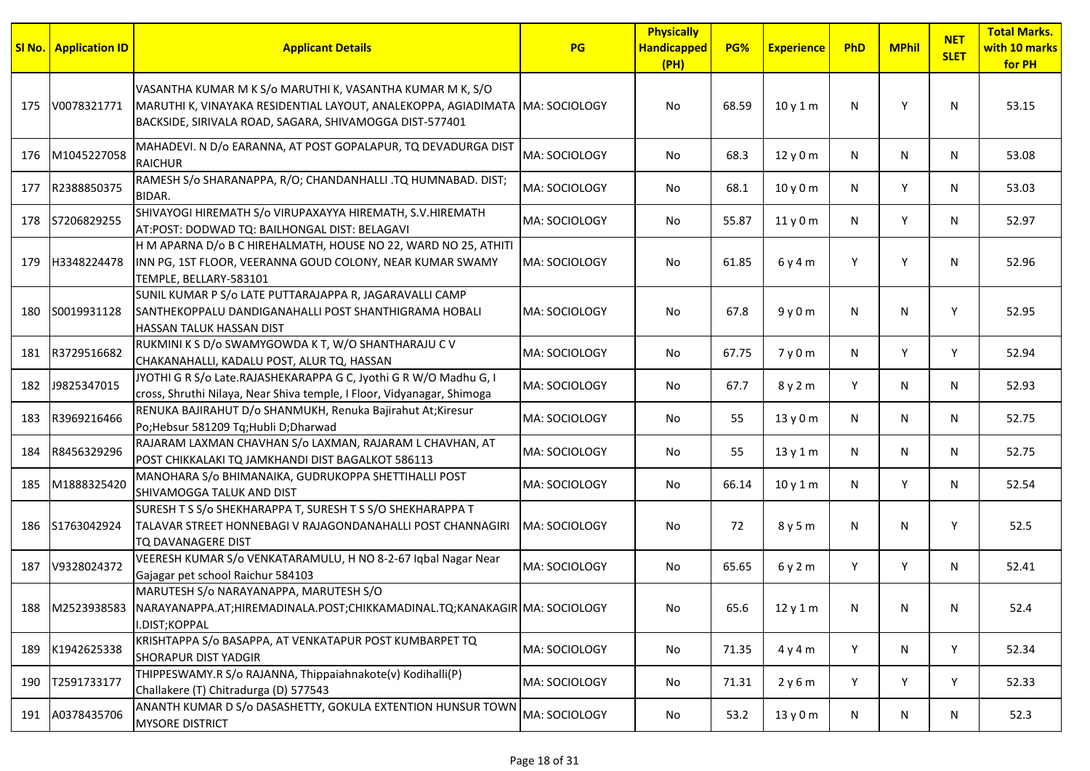|     | <b>SI No.</b> Application ID | <b>Applicant Details</b>                                                                                                                                                                             | <b>PG</b>             | <b>Physically</b><br><b>Handicapped</b><br>(PH) | PG%   | <b>Experience</b> | PhD | <b>MPhil</b> | <b>NET</b><br><b>SLET</b> | <b>Total Marks.</b><br>with 10 marks<br>for PH |
|-----|------------------------------|------------------------------------------------------------------------------------------------------------------------------------------------------------------------------------------------------|-----------------------|-------------------------------------------------|-------|-------------------|-----|--------------|---------------------------|------------------------------------------------|
| 175 | V0078321771                  | VASANTHA KUMAR M K S/o MARUTHI K, VASANTHA KUMAR M K, S/O<br>MARUTHI K, VINAYAKA RESIDENTIAL LAYOUT, ANALEKOPPA, AGIADIMATA MA: SOCIOLOGY<br>BACKSIDE, SIRIVALA ROAD, SAGARA, SHIVAMOGGA DIST-577401 |                       | No                                              | 68.59 | 10y1m             | N   | Y            | N                         | 53.15                                          |
| 176 | M1045227058                  | MAHADEVI. N D/o EARANNA, AT POST GOPALAPUR, TO DEVADURGA DIST<br><b>RAICHUR</b>                                                                                                                      | MA: SOCIOLOGY         | No                                              | 68.3  | 12y0m             | N   | N            | N                         | 53.08                                          |
| 177 | R2388850375                  | RAMESH S/o SHARANAPPA, R/O; CHANDANHALLI .TQ HUMNABAD. DIST;<br>BIDAR.                                                                                                                               | MA: SOCIOLOGY         | No                                              | 68.1  | 10y0m             | N   | Y            | N                         | 53.03                                          |
| 178 | S7206829255                  | SHIVAYOGI HIREMATH S/o VIRUPAXAYYA HIREMATH, S.V.HIREMATH<br>AT:POST: DODWAD TQ: BAILHONGAL DIST: BELAGAVI                                                                                           | MA: SOCIOLOGY         | No                                              | 55.87 | 11y0m             | N   | Y            | N                         | 52.97                                          |
| 179 | H3348224478                  | H M APARNA D/o B C HIREHALMATH, HOUSE NO 22, WARD NO 25, ATHITI<br>INN PG, 1ST FLOOR, VEERANNA GOUD COLONY, NEAR KUMAR SWAMY<br>TEMPLE, BELLARY-583101                                               | MA: SOCIOLOGY         | No                                              | 61.85 | 6y4m              | Y   | Y            | N                         | 52.96                                          |
| 180 | S0019931128                  | SUNIL KUMAR P S/o LATE PUTTARAJAPPA R, JAGARAVALLI CAMP<br>SANTHEKOPPALU DANDIGANAHALLI POST SHANTHIGRAMA HOBALI<br><b>HASSAN TALUK HASSAN DIST</b>                                                  | MA: SOCIOLOGY         | No                                              | 67.8  | 9y0m              | N   | N            | Y                         | 52.95                                          |
| 181 | R3729516682                  | RUKMINI K S D/o SWAMYGOWDA K T, W/O SHANTHARAJU C V<br>CHAKANAHALLI, KADALU POST, ALUR TQ, HASSAN                                                                                                    | MA: SOCIOLOGY         | No.                                             | 67.75 | 7y0m              | N   | Y            | Y                         | 52.94                                          |
| 182 | J9825347015                  | JYOTHI G R S/o Late.RAJASHEKARAPPA G C, Jyothi G R W/O Madhu G, I<br>cross, Shruthi Nilaya, Near Shiva temple, I Floor, Vidyanagar, Shimoga                                                          | MA: SOCIOLOGY         | No                                              | 67.7  | 8 y 2 m           | Y   | N            | N                         | 52.93                                          |
| 183 | R3969216466                  | RENUKA BAJIRAHUT D/o SHANMUKH, Renuka Bajirahut At;Kiresur<br>Po;Hebsur 581209 Tq;Hubli D;Dharwad                                                                                                    | MA: SOCIOLOGY         | No.                                             | 55    | 13y0m             | N   | N            | N                         | 52.75                                          |
| 184 | R8456329296                  | RAJARAM LAXMAN CHAVHAN S/o LAXMAN, RAJARAM L CHAVHAN, AT<br>POST CHIKKALAKI TQ JAMKHANDI DIST BAGALKOT 586113                                                                                        | MA: SOCIOLOGY         | No.                                             | 55    | 13 y 1 m          | N   | N            | N                         | 52.75                                          |
| 185 | M1888325420                  | MANOHARA S/o BHIMANAIKA, GUDRUKOPPA SHETTIHALLI POST<br>SHIVAMOGGA TALUK AND DIST                                                                                                                    | MA: SOCIOLOGY         | No.                                             | 66.14 | 10y1m             | N   | Y            | N                         | 52.54                                          |
| 186 | S1763042924                  | SURESH T S S/o SHEKHARAPPA T, SURESH T S S/O SHEKHARAPPA T<br>TALAVAR STREET HONNEBAGI V RAJAGONDANAHALLI POST CHANNAGIRI<br>TQ DAVANAGERE DIST                                                      | <b>IMA: SOCIOLOGY</b> | No                                              | 72    | 8 y 5 m           | N   | N            | Υ                         | 52.5                                           |
| 187 | V9328024372                  | VEERESH KUMAR S/o VENKATARAMULU, H NO 8-2-67 Iqbal Nagar Near<br>Gajagar pet school Raichur 584103                                                                                                   | MA: SOCIOLOGY         | No.                                             | 65.65 | 6y2m              | Y   | Y            | N                         | 52.41                                          |
| 188 | M2523938583                  | MARUTESH S/o NARAYANAPPA, MARUTESH S/O<br>NARAYANAPPA.AT;HIREMADINALA.POST;CHIKKAMADINAL.TQ;KANAKAGIR MA: SOCIOLOGY<br>I.DIST;KOPPAL                                                                 |                       | No                                              | 65.6  | 12y1m             | N   | N            | N                         | 52.4                                           |
| 189 | K1942625338                  | KRISHTAPPA S/o BASAPPA, AT VENKATAPUR POST KUMBARPET TQ<br><b>SHORAPUR DIST YADGIR</b>                                                                                                               | MA: SOCIOLOGY         | No                                              | 71.35 | 4y4m              | Y   | N            | Y                         | 52.34                                          |
| 190 | T2591733177                  | THIPPESWAMY.R S/o RAJANNA, Thippaiahnakote(v) Kodihalli(P)<br>Challakere (T) Chitradurga (D) 577543                                                                                                  | MA: SOCIOLOGY         | No                                              | 71.31 | 2y6m              | Y   | Y            | Y                         | 52.33                                          |
| 191 | A0378435706                  | ANANTH KUMAR D S/o DASASHETTY, GOKULA EXTENTION HUNSUR TOWN<br><b>MYSORE DISTRICT</b>                                                                                                                | MA: SOCIOLOGY         | No                                              | 53.2  | 13y0m             | N   | N            | N                         | 52.3                                           |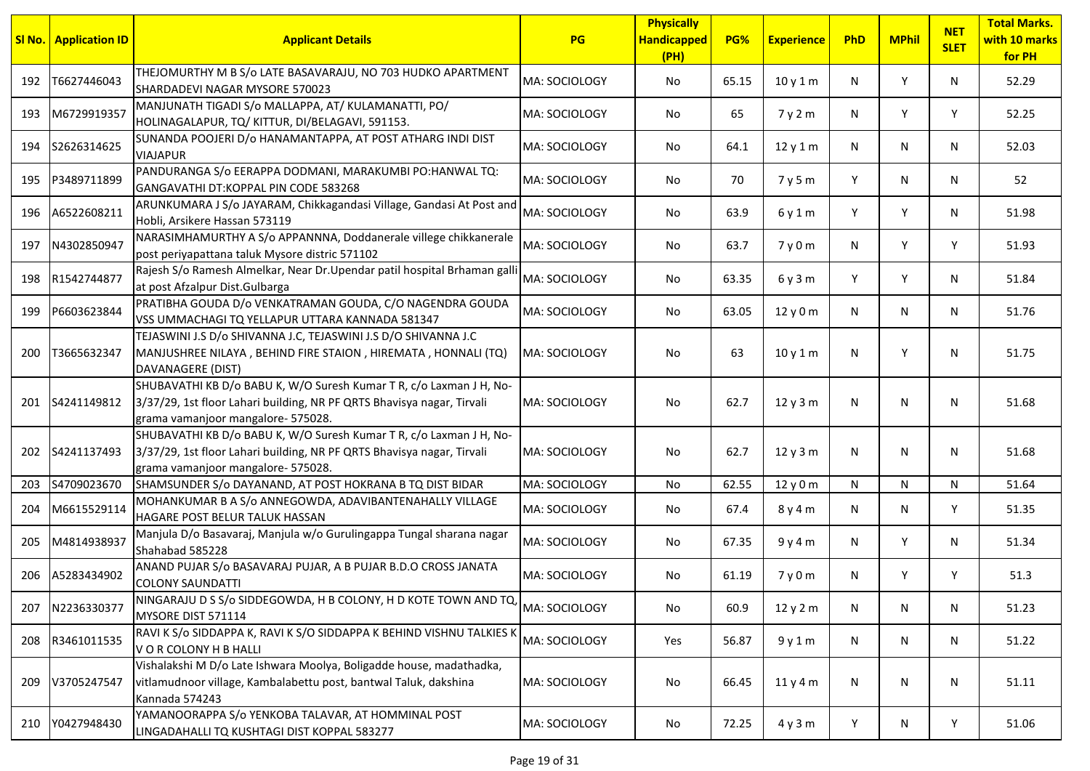| SI No. | <b>Application ID</b> | <b>Applicant Details</b>                                                                                                                                                            | PG            | <b>Physically</b><br><b>Handicapped</b><br>(PH) | PG%   | <b>Experience</b> | PhD | <b>MPhil</b> | <b>NET</b><br><b>SLET</b> | <b>Total Marks.</b><br>with 10 marks<br>for PH |
|--------|-----------------------|-------------------------------------------------------------------------------------------------------------------------------------------------------------------------------------|---------------|-------------------------------------------------|-------|-------------------|-----|--------------|---------------------------|------------------------------------------------|
| 192    | T6627446043           | THEJOMURTHY M B S/o LATE BASAVARAJU, NO 703 HUDKO APARTMENT<br>SHARDADEVI NAGAR MYSORE 570023                                                                                       | MA: SOCIOLOGY | No                                              | 65.15 | 10y1m             | N   | Y            | N                         | 52.29                                          |
| 193    | M6729919357           | MANJUNATH TIGADI S/o MALLAPPA, AT/ KULAMANATTI, PO/<br>HOLINAGALAPUR, TQ/KITTUR, DI/BELAGAVI, 591153.                                                                               | MA: SOCIOLOGY | No                                              | 65    | 7y2m              | N   | Y            | Y                         | 52.25                                          |
| 194    | S2626314625           | SUNANDA POOJERI D/o HANAMANTAPPA, AT POST ATHARG INDI DIST<br><b>VIAJAPUR</b>                                                                                                       | MA: SOCIOLOGY | No                                              | 64.1  | 12y1m             | N   | N            | N                         | 52.03                                          |
| 195    | P3489711899           | PANDURANGA S/o EERAPPA DODMANI, MARAKUMBI PO:HANWAL TQ:<br>GANGAVATHI DT:KOPPAL PIN CODE 583268                                                                                     | MA: SOCIOLOGY | No                                              | 70    | 7y5m              | Y   | N            | N                         | 52                                             |
| 196    | A6522608211           | ARUNKUMARA J S/o JAYARAM, Chikkagandasi Village, Gandasi At Post and<br>Hobli, Arsikere Hassan 573119                                                                               | MA: SOCIOLOGY | No                                              | 63.9  | 6y1m              | Y   | Y            | N                         | 51.98                                          |
| 197    | N4302850947           | NARASIMHAMURTHY A S/o APPANNNA, Doddanerale villege chikkanerale<br>post periyapattana taluk Mysore distric 571102                                                                  | MA: SOCIOLOGY | No                                              | 63.7  | 7y0m              | N   | Y            | Y                         | 51.93                                          |
| 198    | R1542744877           | Rajesh S/o Ramesh Almelkar, Near Dr.Upendar patil hospital Brhaman galli<br>at post Afzalpur Dist.Gulbarga                                                                          | MA: SOCIOLOGY | No                                              | 63.35 | 6y3m              | Y   | Y            | N                         | 51.84                                          |
| 199    | P6603623844           | PRATIBHA GOUDA D/o VENKATRAMAN GOUDA, C/O NAGENDRA GOUDA<br>VSS UMMACHAGI TQ YELLAPUR UTTARA KANNADA 581347                                                                         | MA: SOCIOLOGY | No                                              | 63.05 | 12y0m             | N   | N            | N                         | 51.76                                          |
| 200    | T3665632347           | TEJASWINI J.S D/o SHIVANNA J.C, TEJASWINI J.S D/O SHIVANNA J.C<br>MANJUSHREE NILAYA, BEHIND FIRE STAION, HIREMATA, HONNALI (TQ)<br>DAVANAGERE (DIST)                                | MA: SOCIOLOGY | No                                              | 63    | 10y1m             | N   | Y            | N                         | 51.75                                          |
| 201    | S4241149812           | SHUBAVATHI KB D/o BABU K, W/O Suresh Kumar T R, c/o Laxman J H, No-<br>3/37/29, 1st floor Lahari building, NR PF QRTS Bhavisya nagar, Tirvali<br>grama vamanjoor mangalore- 575028. | MA: SOCIOLOGY | No                                              | 62.7  | 12y3m             | N   | N            | N                         | 51.68                                          |
| 202    | S4241137493           | SHUBAVATHI KB D/o BABU K, W/O Suresh Kumar T R, c/o Laxman J H, No-<br>3/37/29, 1st floor Lahari building, NR PF QRTS Bhavisya nagar, Tirvali<br>grama vamanjoor mangalore- 575028. | MA: SOCIOLOGY | No                                              | 62.7  | 12y3m             | N   | N            | N.                        | 51.68                                          |
| 203    | S4709023670           | SHAMSUNDER S/o DAYANAND, AT POST HOKRANA B TQ DIST BIDAR                                                                                                                            | MA: SOCIOLOGY | No                                              | 62.55 | 12y0m             | N   | N            | N                         | 51.64                                          |
| 204    | M6615529114           | MOHANKUMAR B A S/o ANNEGOWDA, ADAVIBANTENAHALLY VILLAGE<br><b>HAGARE POST BELUR TALUK HASSAN</b>                                                                                    | MA: SOCIOLOGY | No                                              | 67.4  | 8 y 4 m           | N   | N            | Y                         | 51.35                                          |
| 205    | M4814938937           | Manjula D/o Basavaraj, Manjula w/o Gurulingappa Tungal sharana nagar<br>Shahabad 585228                                                                                             | MA: SOCIOLOGY | No                                              | 67.35 | 9y4m              | N   | Y            | N                         | 51.34                                          |
| 206    | A5283434902           | ANAND PUJAR S/o BASAVARAJ PUJAR, A B PUJAR B.D.O CROSS JANATA<br><b>COLONY SAUNDATTI</b>                                                                                            | MA: SOCIOLOGY | No                                              | 61.19 | 7y0m              | N.  | Y            | Y                         | 51.3                                           |
| 207    | N2236330377           | NINGARAJU D S S/o SIDDEGOWDA, H B COLONY, H D KOTE TOWN AND TO, MA: SOCIOLOGY<br>MYSORE DIST 571114                                                                                 |               | No                                              | 60.9  | 12 y 2 m          | N   | N            | N                         | 51.23                                          |
| 208    | R3461011535           | RAVI K S/o SIDDAPPA K, RAVI K S/O SIDDAPPA K BEHIND VISHNU TALKIES K<br>VOR COLONY H B HALLI                                                                                        | MA: SOCIOLOGY | Yes                                             | 56.87 | 9y1m              | N   | N            | N                         | 51.22                                          |
| 209    | V3705247547           | Vishalakshi M D/o Late Ishwara Moolya, Boligadde house, madathadka,<br>vitlamudnoor village, Kambalabettu post, bantwal Taluk, dakshina<br>Kannada 574243                           | MA: SOCIOLOGY | No                                              | 66.45 | 11y4m             | N   | N            | N                         | 51.11                                          |
| 210    | Y0427948430           | YAMANOORAPPA S/o YENKOBA TALAVAR, AT HOMMINAL POST<br>LINGADAHALLI TQ KUSHTAGI DIST KOPPAL 583277                                                                                   | MA: SOCIOLOGY | No                                              | 72.25 | 4y3m              | Y   | N            | Y                         | 51.06                                          |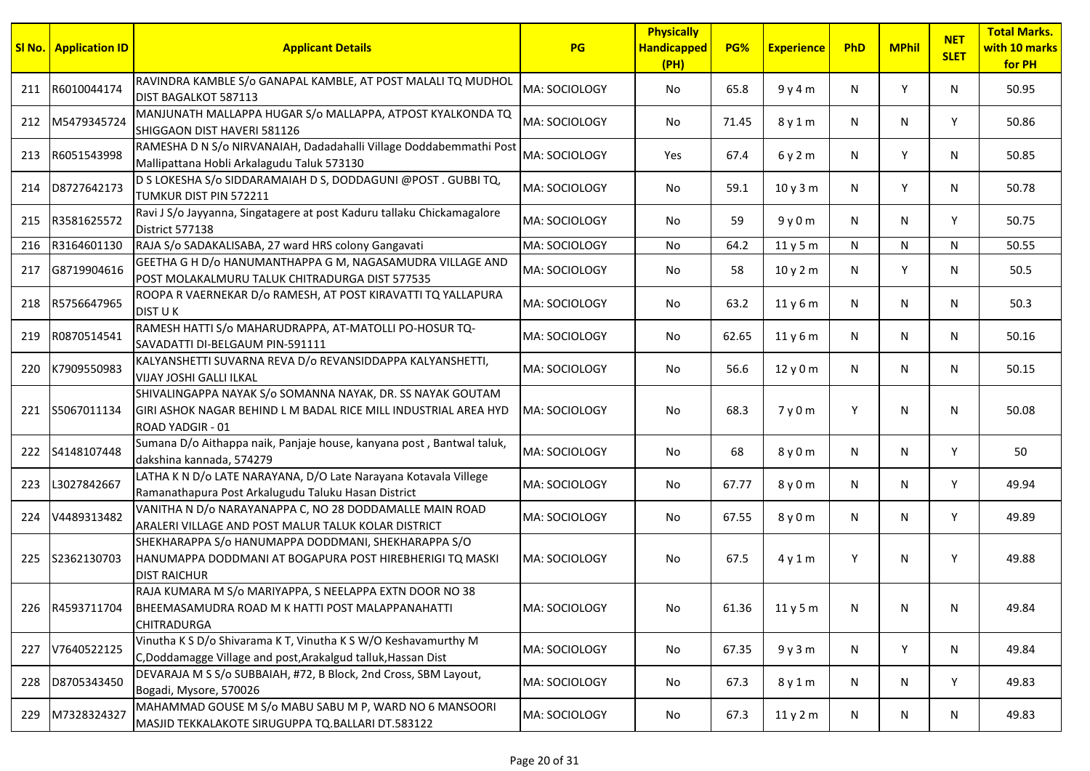|     | <b>SI No.   Application ID</b> | <b>Applicant Details</b>                                                                                                                                 | PG                   | <b>Physically</b><br><b>Handicapped</b><br>(PH) | PG%   | <b>Experience</b> | PhD | <b>MPhil</b> | <b>NET</b><br><b>SLET</b> | <b>Total Marks.</b><br>with 10 marks<br>for PH |
|-----|--------------------------------|----------------------------------------------------------------------------------------------------------------------------------------------------------|----------------------|-------------------------------------------------|-------|-------------------|-----|--------------|---------------------------|------------------------------------------------|
| 211 | R6010044174                    | RAVINDRA KAMBLE S/o GANAPAL KAMBLE, AT POST MALALI TQ MUDHOL<br>DIST BAGALKOT 587113                                                                     | MA: SOCIOLOGY        | No                                              | 65.8  | 9y4m              | N   | Y            | N                         | 50.95                                          |
| 212 | M5479345724                    | MANJUNATH MALLAPPA HUGAR S/o MALLAPPA, ATPOST KYALKONDA TQ<br>SHIGGAON DIST HAVERI 581126                                                                | MA: SOCIOLOGY        | No                                              | 71.45 | 8 y 1 m           | N   | N            | Y                         | 50.86                                          |
| 213 | R6051543998                    | RAMESHA D N S/o NIRVANAIAH, Dadadahalli Village Doddabemmathi Post<br>Mallipattana Hobli Arkalagudu Taluk 573130                                         | MA: SOCIOLOGY        | Yes                                             | 67.4  | 6y2m              | N   | Y            | N                         | 50.85                                          |
| 214 | D8727642173                    | D S LOKESHA S/o SIDDARAMAIAH D S, DODDAGUNI @POST. GUBBI TQ,<br>TUMKUR DIST PIN 572211                                                                   | MA: SOCIOLOGY        | No                                              | 59.1  | 10y3m             | N   | Y            | N                         | 50.78                                          |
| 215 | R3581625572                    | Ravi J S/o Jayyanna, Singatagere at post Kaduru tallaku Chickamagalore<br>District 577138                                                                | MA: SOCIOLOGY        | No                                              | 59    | 9y0m              | N   | N            | Y                         | 50.75                                          |
| 216 | R3164601130                    | RAJA S/o SADAKALISABA, 27 ward HRS colony Gangavati                                                                                                      | MA: SOCIOLOGY        | No                                              | 64.2  | 11 y 5 m          | N   | N            | N                         | 50.55                                          |
| 217 | G8719904616                    | GEETHA G H D/o HANUMANTHAPPA G M, NAGASAMUDRA VILLAGE AND<br>POST MOLAKALMURU TALUK CHITRADURGA DIST 577535                                              | MA: SOCIOLOGY        | No                                              | 58    | 10 y 2 m          | N   | Y            | N                         | 50.5                                           |
| 218 | R5756647965                    | ROOPA R VAERNEKAR D/o RAMESH, AT POST KIRAVATTI TQ YALLAPURA<br><b>DIST UK</b>                                                                           | MA: SOCIOLOGY        | No                                              | 63.2  | 11y6m             | N   | N            | N                         | 50.3                                           |
| 219 | R0870514541                    | RAMESH HATTI S/o MAHARUDRAPPA, AT-MATOLLI PO-HOSUR TQ-<br>SAVADATTI DI-BELGAUM PIN-591111                                                                | MA: SOCIOLOGY        | No                                              | 62.65 | 11y6m             | N   | N            | N                         | 50.16                                          |
| 220 | K7909550983                    | KALYANSHETTI SUVARNA REVA D/o REVANSIDDAPPA KALYANSHETTI,<br><b>VIJAY JOSHI GALLI ILKAL</b>                                                              | MA: SOCIOLOGY        | No                                              | 56.6  | 12 y 0 m          | N   | N            | N                         | 50.15                                          |
| 221 | S5067011134                    | SHIVALINGAPPA NAYAK S/o SOMANNA NAYAK, DR. SS NAYAK GOUTAM<br>GIRI ASHOK NAGAR BEHIND L M BADAL RICE MILL INDUSTRIAL AREA HYD<br><b>ROAD YADGIR - 01</b> | MA: SOCIOLOGY        | No                                              | 68.3  | 7y0m              | Y   | N            | N                         | 50.08                                          |
| 222 | S4148107448                    | Sumana D/o Aithappa naik, Panjaje house, kanyana post, Bantwal taluk,<br>dakshina kannada, 574279                                                        | <b>MA: SOCIOLOGY</b> | No                                              | 68    | 8 y 0 m           | N   | N            | Y                         | 50                                             |
| 223 | L3027842667                    | LATHA K N D/o LATE NARAYANA, D/O Late Narayana Kotavala Villege<br>Ramanathapura Post Arkalugudu Taluku Hasan District                                   | MA: SOCIOLOGY        | No                                              | 67.77 | 8 y 0 m           | N   | N            | Y                         | 49.94                                          |
| 224 | V4489313482                    | VANITHA N D/o NARAYANAPPA C, NO 28 DODDAMALLE MAIN ROAD<br>ARALERI VILLAGE AND POST MALUR TALUK KOLAR DISTRICT                                           | MA: SOCIOLOGY        | No                                              | 67.55 | 8 y 0 m           | N   | N            | Y                         | 49.89                                          |
| 225 | S2362130703                    | SHEKHARAPPA S/o HANUMAPPA DODDMANI, SHEKHARAPPA S/O<br>HANUMAPPA DODDMANI AT BOGAPURA POST HIREBHERIGI TQ MASKI<br><b>DIST RAICHUR</b>                   | MA: SOCIOLOGY        | No                                              | 67.5  | 4y1m              | Y   | N            | Y                         | 49.88                                          |
| 226 | R4593711704                    | RAJA KUMARA M S/o MARIYAPPA, S NEELAPPA EXTN DOOR NO 38<br>BHEEMASAMUDRA ROAD M K HATTI POST MALAPPANAHATTI<br><b>CHITRADURGA</b>                        | MA: SOCIOLOGY        | $\operatorname{\mathsf{No}}$                    | 61.36 | 11y5m             | N   | N            | N                         | 49.84                                          |
| 227 | V7640522125                    | Vinutha K S D/o Shivarama K T, Vinutha K S W/O Keshavamurthy M<br>C, Doddamagge Village and post, Arakalgud talluk, Hassan Dist                          | MA: SOCIOLOGY        | No                                              | 67.35 | 9y3m              | N   | Y            | N                         | 49.84                                          |
| 228 | D8705343450                    | DEVARAJA M S S/o SUBBAIAH, #72, B Block, 2nd Cross, SBM Layout,<br>Bogadi, Mysore, 570026                                                                | MA: SOCIOLOGY        | No                                              | 67.3  | 8y1m              | N   | N            | Y                         | 49.83                                          |
| 229 | M7328324327                    | MAHAMMAD GOUSE M S/o MABU SABU M P, WARD NO 6 MANSOORI<br>MASJID TEKKALAKOTE SIRUGUPPA TQ.BALLARI DT.583122                                              | MA: SOCIOLOGY        | No                                              | 67.3  | 11y2m             | N   | N            | N                         | 49.83                                          |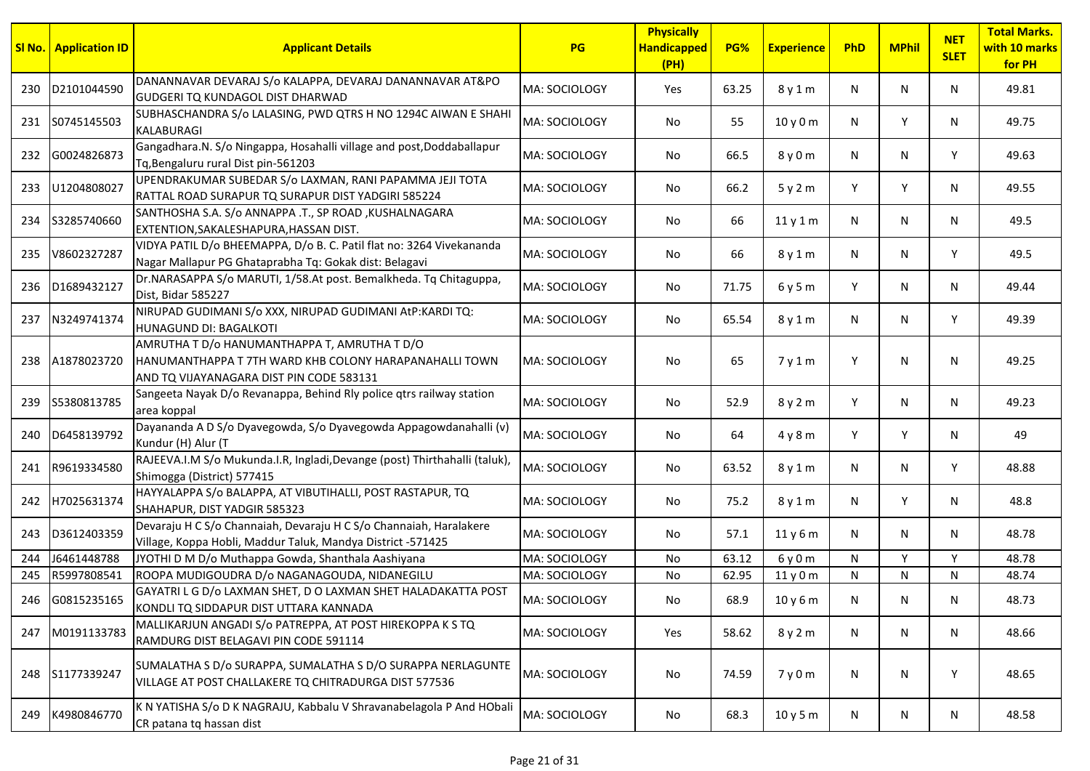|     | <b>SI No.</b> Application ID | <b>Applicant Details</b>                                                                                                                           | PG                   | <b>Physically</b><br><b>Handicapped</b><br>(PH) | PG%   | <b>Experience</b> | PhD | <b>MPhil</b> | <b>NET</b><br><b>SLET</b> | <b>Total Marks.</b><br>with 10 marks<br>for PH |
|-----|------------------------------|----------------------------------------------------------------------------------------------------------------------------------------------------|----------------------|-------------------------------------------------|-------|-------------------|-----|--------------|---------------------------|------------------------------------------------|
| 230 | D2101044590                  | DANANNAVAR DEVARAJ S/o KALAPPA, DEVARAJ DANANNAVAR AT&PO<br>GUDGERI TQ KUNDAGOL DIST DHARWAD                                                       | MA: SOCIOLOGY        | Yes                                             | 63.25 | 8 y 1 m           | N   | N            | N                         | 49.81                                          |
| 231 | S0745145503                  | SUBHASCHANDRA S/o LALASING, PWD QTRS H NO 1294C AIWAN E SHAHI<br>KALABURAGI                                                                        | MA: SOCIOLOGY        | No                                              | 55    | 10 y 0 m          | N   | Y            | N                         | 49.75                                          |
| 232 | G0024826873                  | Gangadhara.N. S/o Ningappa, Hosahalli village and post, Doddaballapur<br>Tq, Bengaluru rural Dist pin-561203                                       | MA: SOCIOLOGY        | No                                              | 66.5  | 8 y 0 m           | N   | N            | Y                         | 49.63                                          |
| 233 | U1204808027                  | UPENDRAKUMAR SUBEDAR S/o LAXMAN, RANI PAPAMMA JEJI TOTA<br>RATTAL ROAD SURAPUR TQ SURAPUR DIST YADGIRI 585224                                      | <b>MA: SOCIOLOGY</b> | No                                              | 66.2  | 5y2m              | Y   | Y            | N                         | 49.55                                          |
| 234 | S3285740660                  | SANTHOSHA S.A. S/o ANNAPPA .T., SP ROAD , KUSHALNAGARA<br>EXTENTION, SAKALESHAPURA, HASSAN DIST.                                                   | MA: SOCIOLOGY        | No                                              | 66    | 11y1m             | N   | N            | N                         | 49.5                                           |
| 235 | V8602327287                  | VIDYA PATIL D/o BHEEMAPPA, D/o B. C. Patil flat no: 3264 Vivekananda<br>Nagar Mallapur PG Ghataprabha Tq: Gokak dist: Belagavi                     | MA: SOCIOLOGY        | No                                              | 66    | 8 y 1 m           | N   | N            | Y                         | 49.5                                           |
| 236 | D1689432127                  | Dr.NARASAPPA S/o MARUTI, 1/58.At post. Bemalkheda. Tq Chitaguppa,<br>Dist, Bidar 585227                                                            | MA: SOCIOLOGY        | No                                              | 71.75 | 6y5m              | Y   | N            | N                         | 49.44                                          |
| 237 | N3249741374                  | NIRUPAD GUDIMANI S/o XXX, NIRUPAD GUDIMANI AtP:KARDI TQ:<br><b>HUNAGUND DI: BAGALKOTI</b>                                                          | <b>MA: SOCIOLOGY</b> | No                                              | 65.54 | 8 y 1 m           | N   | N            | Y                         | 49.39                                          |
| 238 | A1878023720                  | AMRUTHA T D/o HANUMANTHAPPA T, AMRUTHA T D/O<br>HANUMANTHAPPA T 7TH WARD KHB COLONY HARAPANAHALLI TOWN<br>AND TQ VIJAYANAGARA DIST PIN CODE 583131 | MA: SOCIOLOGY        | No                                              | 65    | 7y1m              | Y   | N            | N                         | 49.25                                          |
| 239 | S5380813785                  | Sangeeta Nayak D/o Revanappa, Behind Rly police qtrs railway station<br>area koppal                                                                | MA: SOCIOLOGY        | No                                              | 52.9  | 8 y 2 m           | Y   | N            | N                         | 49.23                                          |
| 240 | D6458139792                  | Dayananda A D S/o Dyavegowda, S/o Dyavegowda Appagowdanahalli (v)<br>Kundur (H) Alur (T                                                            | MA: SOCIOLOGY        | No                                              | 64    | 4y8m              | Y   | Y            | N                         | 49                                             |
| 241 | R9619334580                  | RAJEEVA.I.M S/o Mukunda.I.R, Ingladi, Devange (post) Thirthahalli (taluk),<br>Shimogga (District) 577415                                           | MA: SOCIOLOGY        | No                                              | 63.52 | 8 y 1 m           | N   | N            | Y                         | 48.88                                          |
| 242 | H7025631374                  | HAYYALAPPA S/o BALAPPA, AT VIBUTIHALLI, POST RASTAPUR, TQ<br>SHAHAPUR, DIST YADGIR 585323                                                          | MA: SOCIOLOGY        | No                                              | 75.2  | 8 y 1 m           | N   | Y            | N                         | 48.8                                           |
| 243 | D3612403359                  | Devaraju H C S/o Channaiah, Devaraju H C S/o Channaiah, Haralakere<br>Village, Koppa Hobli, Maddur Taluk, Mandya District -571425                  | MA: SOCIOLOGY        | No                                              | 57.1  | 11y6m             | N   | N            | N                         | 48.78                                          |
| 244 | J6461448788                  | JYOTHI D M D/o Muthappa Gowda, Shanthala Aashiyana                                                                                                 | MA: SOCIOLOGY        | No                                              | 63.12 | 6y0m              | N   | Y            | Υ                         | 48.78                                          |
| 245 | R5997808541                  | ROOPA MUDIGOUDRA D/o NAGANAGOUDA, NIDANEGILU                                                                                                       | MA: SOCIOLOGY        | No                                              | 62.95 | 11y0m             | N   | N            | N                         | 48.74                                          |
|     | 246 G0815235165              | GAYATRI L G D/o LAXMAN SHET, D O LAXMAN SHET HALADAKATTA POST<br>KONDLI TQ SIDDAPUR DIST UTTARA KANNADA                                            | MA: SOCIOLOGY        | No                                              | 68.9  | 10y6m             | N   | N            | N                         | 48.73                                          |
| 247 | M0191133783                  | MALLIKARJUN ANGADI S/o PATREPPA, AT POST HIREKOPPA K S TQ<br>RAMDURG DIST BELAGAVI PIN CODE 591114                                                 | MA: SOCIOLOGY        | Yes                                             | 58.62 | 8 y 2 m           | N   | N            | N                         | 48.66                                          |
| 248 | S1177339247                  | SUMALATHA S D/o SURAPPA, SUMALATHA S D/O SURAPPA NERLAGUNTE<br>VILLAGE AT POST CHALLAKERE TO CHITRADURGA DIST 577536                               | MA: SOCIOLOGY        | No                                              | 74.59 | 7y0m              | N   | N            | Y                         | 48.65                                          |
| 249 | K4980846770                  | K N YATISHA S/o D K NAGRAJU, Kabbalu V Shravanabelagola P And HObali<br>CR patana tq hassan dist                                                   | MA: SOCIOLOGY        | No                                              | 68.3  | 10y5m             | N   | N            | N                         | 48.58                                          |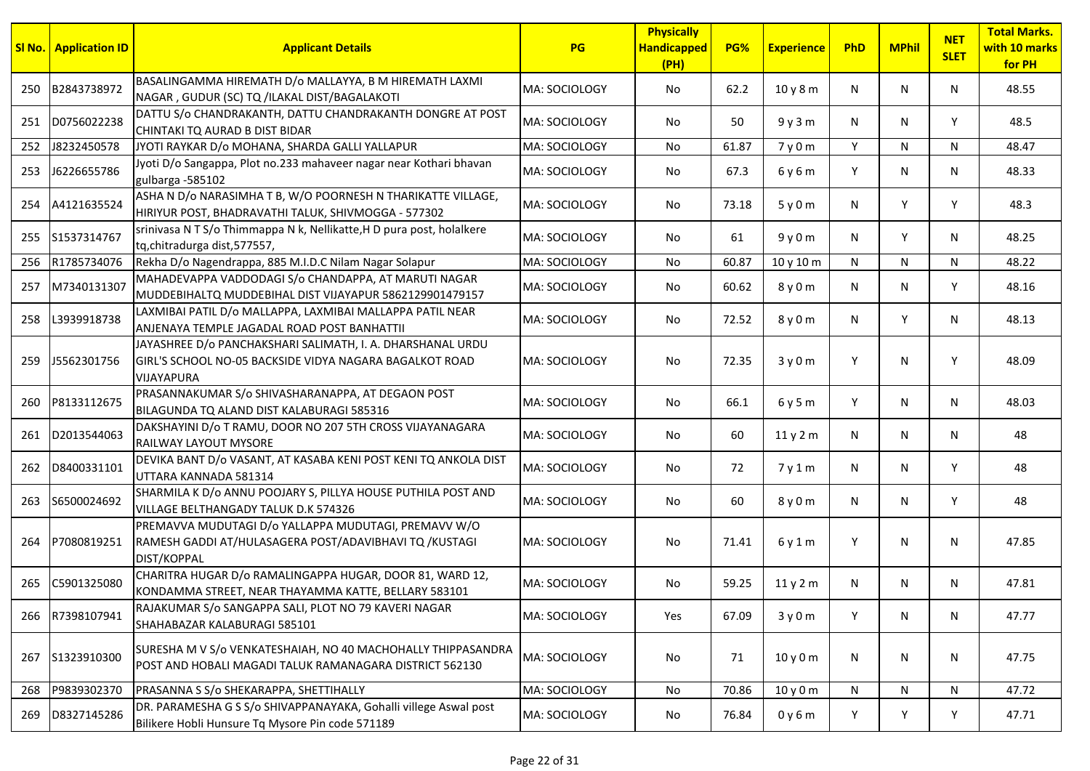|     | <b>SI No.</b> Application ID | <b>Applicant Details</b>                                                                                                                   | PG                   | <b>Physically</b><br><b>Handicapped</b><br>(PH) | PG%   | <b>Experience</b> | PhD | <b>MPhil</b> | <b>NET</b><br><b>SLET</b> | <b>Total Marks.</b><br>with 10 marks<br>for PH |
|-----|------------------------------|--------------------------------------------------------------------------------------------------------------------------------------------|----------------------|-------------------------------------------------|-------|-------------------|-----|--------------|---------------------------|------------------------------------------------|
| 250 | B2843738972                  | BASALINGAMMA HIREMATH D/o MALLAYYA, B M HIREMATH LAXMI<br>NAGAR, GUDUR (SC) TQ /ILAKAL DIST/BAGALAKOTI                                     | MA: SOCIOLOGY        | No                                              | 62.2  | 10y8m             | N   | N            | N                         | 48.55                                          |
| 251 | D0756022238                  | DATTU S/o CHANDRAKANTH, DATTU CHANDRAKANTH DONGRE AT POST<br>CHINTAKI TQ AURAD B DIST BIDAR                                                | MA: SOCIOLOGY        | No                                              | 50    | 9y3m              | N   | N            | Y                         | 48.5                                           |
| 252 | J8232450578                  | JYOTI RAYKAR D/o MOHANA, SHARDA GALLI YALLAPUR                                                                                             | MA: SOCIOLOGY        | <b>No</b>                                       | 61.87 | 7y0m              | Y   | N            | N                         | 48.47                                          |
| 253 | J6226655786                  | Jyoti D/o Sangappa, Plot no.233 mahaveer nagar near Kothari bhavan<br>gulbarga -585102                                                     | <b>MA: SOCIOLOGY</b> | No                                              | 67.3  | 6 y 6 m           | Y   | N            | N                         | 48.33                                          |
| 254 | A4121635524                  | ASHA N D/o NARASIMHA T B, W/O POORNESH N THARIKATTE VILLAGE,<br>HIRIYUR POST, BHADRAVATHI TALUK, SHIVMOGGA - 577302                        | MA: SOCIOLOGY        | No                                              | 73.18 | 5y0m              | N   | Y            | Y                         | 48.3                                           |
|     | 255 S1537314767              | srinivasa NTS/o Thimmappa N k, Nellikatte, H D pura post, holalkere<br>tq, chitradurga dist, 577557,                                       | MA: SOCIOLOGY        | No                                              | 61    | 9y0m              | N   | Y            | N                         | 48.25                                          |
| 256 | R1785734076                  | Rekha D/o Nagendrappa, 885 M.I.D.C Nilam Nagar Solapur                                                                                     | MA: SOCIOLOGY        | No                                              | 60.87 | 10 y 10 m         | N   | N            | N                         | 48.22                                          |
| 257 | M7340131307                  | MAHADEVAPPA VADDODAGI S/o CHANDAPPA, AT MARUTI NAGAR<br>MUDDEBIHALTQ MUDDEBIHAL DIST VIJAYAPUR 5862129901479157                            | MA: SOCIOLOGY        | No                                              | 60.62 | 8 y 0 m           | N   | N            | Y                         | 48.16                                          |
| 258 | L3939918738                  | LAXMIBAI PATIL D/o MALLAPPA, LAXMIBAI MALLAPPA PATIL NEAR<br>ANJENAYA TEMPLE JAGADAL ROAD POST BANHATTII                                   | MA: SOCIOLOGY        | No                                              | 72.52 | 8 y 0 m           | N   | Y            | N                         | 48.13                                          |
| 259 | J5562301756                  | JAYASHREE D/o PANCHAKSHARI SALIMATH, I. A. DHARSHANAL URDU<br>GIRL'S SCHOOL NO-05 BACKSIDE VIDYA NAGARA BAGALKOT ROAD<br><b>VIJAYAPURA</b> | lMA: SOCIOLOGY       | No                                              | 72.35 | 3y0m              | Y   | N            | Y                         | 48.09                                          |
| 260 | P8133112675                  | PRASANNAKUMAR S/o SHIVASHARANAPPA, AT DEGAON POST<br>BILAGUNDA TQ ALAND DIST KALABURAGI 585316                                             | MA: SOCIOLOGY        | No                                              | 66.1  | 6y5m              | Y   | N            | N                         | 48.03                                          |
| 261 | D2013544063                  | DAKSHAYINI D/o T RAMU, DOOR NO 207 5TH CROSS VIJAYANAGARA<br>RAILWAY LAYOUT MYSORE                                                         | MA: SOCIOLOGY        | No                                              | 60    | 11y2m             | N   | N            | N                         | 48                                             |
| 262 | D8400331101                  | DEVIKA BANT D/o VASANT, AT KASABA KENI POST KENI TQ ANKOLA DIST<br>UTTARA KANNADA 581314                                                   | MA: SOCIOLOGY        | No                                              | 72    | 7y1m              | N   | N            | Y                         | 48                                             |
| 263 | S6500024692                  | SHARMILA K D/o ANNU POOJARY S, PILLYA HOUSE PUTHILA POST AND<br>VILLAGE BELTHANGADY TALUK D.K 574326                                       | MA: SOCIOLOGY        | No                                              | 60    | 8 y 0 m           | N   | N            | Y                         | 48                                             |
| 264 | P7080819251                  | PREMAVVA MUDUTAGI D/o YALLAPPA MUDUTAGI, PREMAVV W/O<br>RAMESH GADDI AT/HULASAGERA POST/ADAVIBHAVI TQ /KUSTAGI<br>DIST/KOPPAL              | MA: SOCIOLOGY        | No                                              | 71.41 | 6y1m              | Y   | N            | N                         | 47.85                                          |
| 265 | C5901325080                  | CHARITRA HUGAR D/o RAMALINGAPPA HUGAR, DOOR 81, WARD 12,<br>KONDAMMA STREET, NEAR THAYAMMA KATTE, BELLARY 583101                           | <b>MA: SOCIOLOGY</b> | No                                              | 59.25 | 11y2m             | N   | N            | N                         | 47.81                                          |
| 266 | R7398107941                  | RAJAKUMAR S/o SANGAPPA SALI, PLOT NO 79 KAVERI NAGAR<br>SHAHABAZAR KALABURAGI 585101                                                       | MA: SOCIOLOGY        | Yes                                             | 67.09 | 3y0m              | Y   | N            | N                         | 47.77                                          |
| 267 | S1323910300                  | SURESHA M V S/o VENKATESHAIAH, NO 40 MACHOHALLY THIPPASANDRA<br>POST AND HOBALI MAGADI TALUK RAMANAGARA DISTRICT 562130                    | MA: SOCIOLOGY        | No                                              | 71    | 10y0m             | N   | N            | N                         | 47.75                                          |
| 268 | P9839302370                  | PRASANNA S S/o SHEKARAPPA, SHETTIHALLY                                                                                                     | MA: SOCIOLOGY        | No                                              | 70.86 | 10 y 0 m          | N   | N            | N                         | 47.72                                          |
| 269 | D8327145286                  | DR. PARAMESHA G S S/o SHIVAPPANAYAKA, Gohalli villege Aswal post<br>Bilikere Hobli Hunsure Tq Mysore Pin code 571189                       | MA: SOCIOLOGY        | No                                              | 76.84 | 0y6m              | Y   | Υ            | Y                         | 47.71                                          |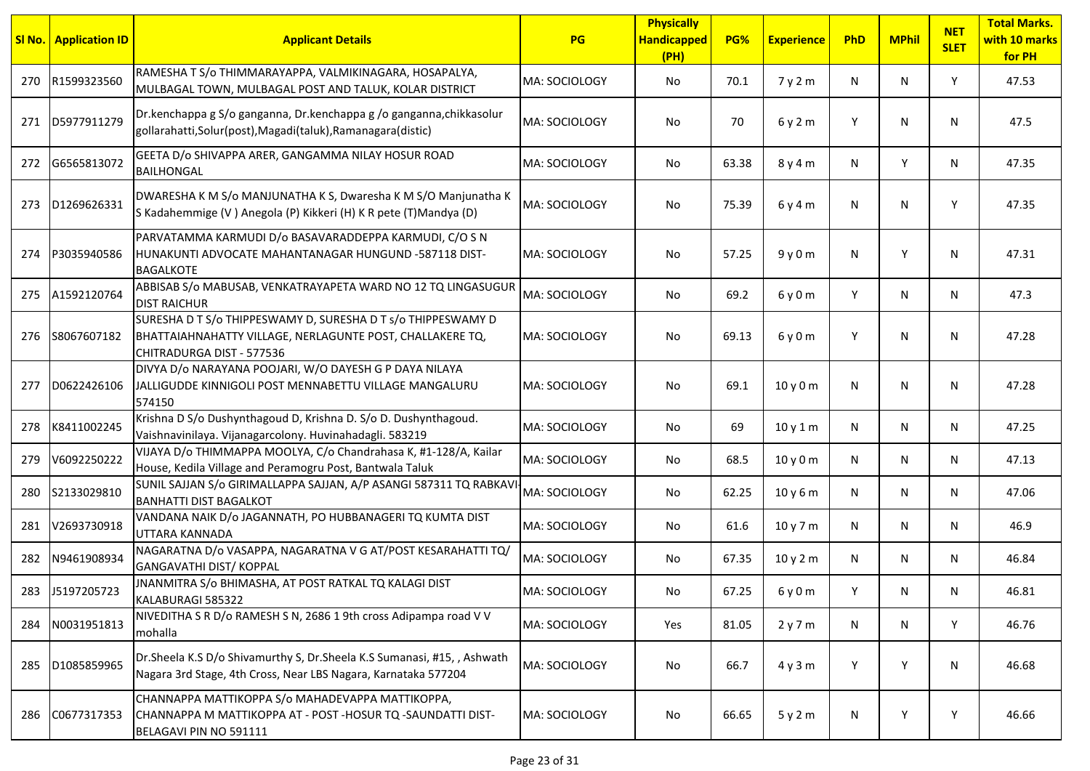| SI No. | <b>Application ID</b> | <b>Applicant Details</b>                                                                                                                               | PG             | <b>Physically</b><br><b>Handicapped</b><br>(PH) | PG%   | <b>Experience</b> | PhD | <b>MPhil</b> | <b>NET</b><br><b>SLET</b> | <b>Total Marks.</b><br>with 10 marks<br>for PH |
|--------|-----------------------|--------------------------------------------------------------------------------------------------------------------------------------------------------|----------------|-------------------------------------------------|-------|-------------------|-----|--------------|---------------------------|------------------------------------------------|
| 270    | R1599323560           | RAMESHA T S/o THIMMARAYAPPA, VALMIKINAGARA, HOSAPALYA,<br>MULBAGAL TOWN, MULBAGAL POST AND TALUK, KOLAR DISTRICT                                       | MA: SOCIOLOGY  | No                                              | 70.1  | 7 y 2 m           | N   | N            | Y                         | 47.53                                          |
| 271    | D5977911279           | Dr.kenchappa g S/o ganganna, Dr.kenchappa g /o ganganna,chikkasolur<br>gollarahatti, Solur (post), Magadi (taluk), Ramanagara (distic)                 | MA: SOCIOLOGY  | No.                                             | 70    | 6y2m              | Y   | N            | N.                        | 47.5                                           |
| 272    | G6565813072           | GEETA D/o SHIVAPPA ARER, GANGAMMA NILAY HOSUR ROAD<br><b>BAILHONGAL</b>                                                                                | MA: SOCIOLOGY  | No                                              | 63.38 | 8 y 4 m           | N   | Y            | N.                        | 47.35                                          |
| 273    | D1269626331           | DWARESHA K M S/o MANJUNATHA K S, Dwaresha K M S/O Manjunatha K<br>S Kadahemmige (V) Anegola (P) Kikkeri (H) K R pete (T) Mandya (D)                    | MA: SOCIOLOGY  | No                                              | 75.39 | 6y4m              | N   | N            | Υ                         | 47.35                                          |
| 274    | P3035940586           | PARVATAMMA KARMUDI D/o BASAVARADDEPPA KARMUDI, C/O S N<br>HUNAKUNTI ADVOCATE MAHANTANAGAR HUNGUND -587118 DIST-<br><b>BAGALKOTE</b>                    | MA: SOCIOLOGY  | No.                                             | 57.25 | 9y0m              | N   | Y            | N.                        | 47.31                                          |
| 275    | A1592120764           | ABBISAB S/o MABUSAB, VENKATRAYAPETA WARD NO 12 TQ LINGASUGUR<br><b>DIST RAICHUR</b>                                                                    | lMA: SOCIOLOGY | No                                              | 69.2  | 6y0m              | Y   | N            | N.                        | 47.3                                           |
| 276    | S8067607182           | SURESHA D T S/o THIPPESWAMY D, SURESHA D T s/o THIPPESWAMY D<br>BHATTAIAHNAHATTY VILLAGE, NERLAGUNTE POST, CHALLAKERE TQ,<br>CHITRADURGA DIST - 577536 | MA: SOCIOLOGY  | No                                              | 69.13 | 6y0m              | Y   | N            | N.                        | 47.28                                          |
| 277    | D0622426106           | DIVYA D/o NARAYANA POOJARI, W/O DAYESH G P DAYA NILAYA<br>JALLIGUDDE KINNIGOLI POST MENNABETTU VILLAGE MANGALURU<br>574150                             | MA: SOCIOLOGY  | No                                              | 69.1  | 10y0m             | N   | N            | N.                        | 47.28                                          |
| 278    | K8411002245           | Krishna D S/o Dushynthagoud D, Krishna D. S/o D. Dushynthagoud.<br>Vaishnavinilaya. Vijanagarcolony. Huvinahadagli. 583219                             | MA: SOCIOLOGY  | No                                              | 69    | 10y1m             | N   | N            | N                         | 47.25                                          |
| 279    | V6092250222           | VIJAYA D/o THIMMAPPA MOOLYA, C/o Chandrahasa K, #1-128/A, Kailar<br>House, Kedila Village and Peramogru Post, Bantwala Taluk                           | MA: SOCIOLOGY  | No                                              | 68.5  | 10y0m             | N   | N            | N.                        | 47.13                                          |
| 280    | S2133029810           | SUNIL SAJJAN S/o GIRIMALLAPPA SAJJAN, A/P ASANGI 587311 TQ RABKAVI<br><b>BANHATTI DIST BAGALKOT</b>                                                    | MA: SOCIOLOGY  | No                                              | 62.25 | 10y6m             | N   | N            | N                         | 47.06                                          |
| 281    | V2693730918           | VANDANA NAIK D/o JAGANNATH, PO HUBBANAGERI TQ KUMTA DIST<br>UTTARA KANNADA                                                                             | MA: SOCIOLOGY  | No.                                             | 61.6  | 10y7m             | N   | N            | N.                        | 46.9                                           |
| 282    | N9461908934           | NAGARATNA D/o VASAPPA, NAGARATNA V G AT/POST KESARAHATTI TQ/<br><b>GANGAVATHI DIST/ KOPPAL</b>                                                         | MA: SOCIOLOGY  | No                                              | 67.35 | 10y2m             | N   | N            | N                         | 46.84                                          |
|        | 283 J5197205723       | JNANMITRA S/o BHIMASHA, AT POST RATKAL TQ KALAGI DIST<br>KALABURAGI 585322                                                                             | MA: SOCIOLOGY  | No                                              | 67.25 | 6 y 0 m           |     | N            | N.                        | 46.81                                          |
| 284    | N0031951813           | NIVEDITHA S R D/o RAMESH S N, 2686 1 9th cross Adipampa road V V<br>mohalla                                                                            | MA: SOCIOLOGY  | Yes                                             | 81.05 | 2y7m              | N   | N            | Y                         | 46.76                                          |
| 285    | D1085859965           | Dr.Sheela K.S D/o Shivamurthy S, Dr.Sheela K.S Sumanasi, #15,, Ashwath<br>Nagara 3rd Stage, 4th Cross, Near LBS Nagara, Karnataka 577204               | MA: SOCIOLOGY  | No                                              | 66.7  | 4y3m              | Y   | Y            | N                         | 46.68                                          |
| 286    | C0677317353           | CHANNAPPA MATTIKOPPA S/o MAHADEVAPPA MATTIKOPPA,<br>CHANNAPPA M MATTIKOPPA AT - POST -HOSUR TQ -SAUNDATTI DIST-<br>BELAGAVI PIN NO 591111              | MA: SOCIOLOGY  | No                                              | 66.65 | 5y2m              | N   | Y            |                           | 46.66                                          |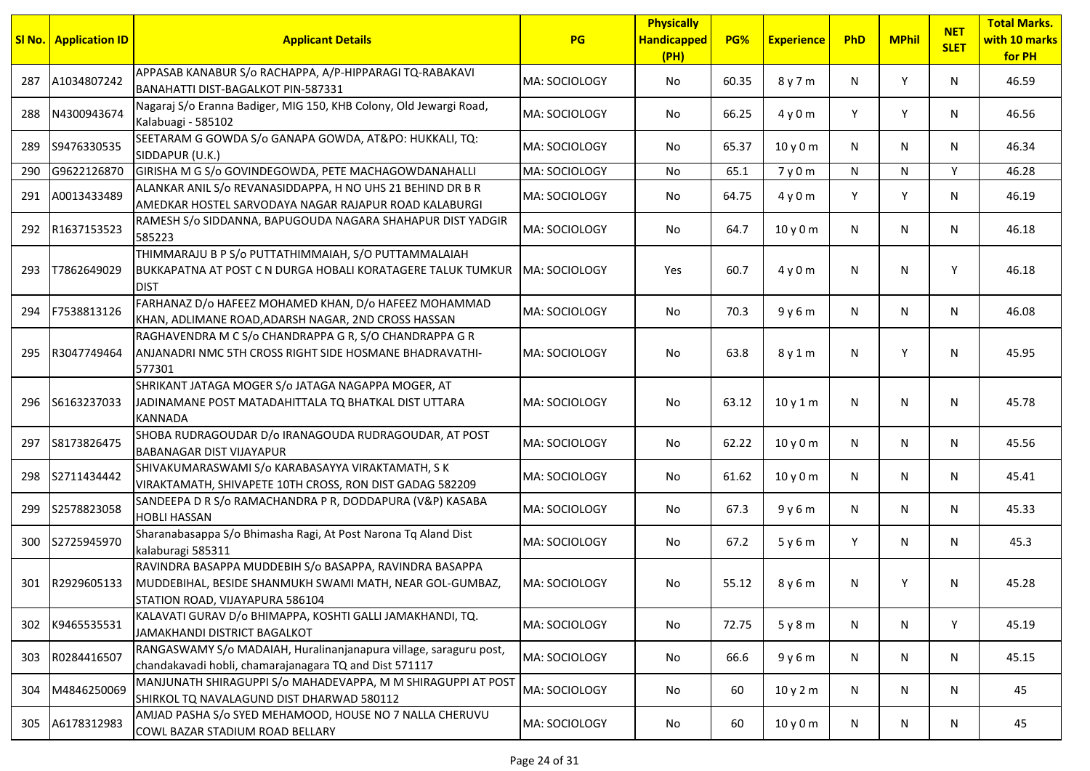| <u>SI No.</u> | <b>Application ID</b> | <b>Applicant Details</b>                                                                                                                               | PG                    | <b>Physically</b><br><b>Handicapped</b><br>(PH) | PG%   | <b>Experience</b> | PhD | <b>MPhil</b> | <b>NET</b><br><b>SLET</b> | <b>Total Marks.</b><br>with 10 marks<br>for PH |
|---------------|-----------------------|--------------------------------------------------------------------------------------------------------------------------------------------------------|-----------------------|-------------------------------------------------|-------|-------------------|-----|--------------|---------------------------|------------------------------------------------|
| 287           | A1034807242           | APPASAB KANABUR S/o RACHAPPA, A/P-HIPPARAGI TQ-RABAKAVI<br>BANAHATTI DIST-BAGALKOT PIN-587331                                                          | MA: SOCIOLOGY         | No                                              | 60.35 | 8 y 7 m           | N   | Y            | N                         | 46.59                                          |
| 288           | N4300943674           | Nagaraj S/o Eranna Badiger, MIG 150, KHB Colony, Old Jewargi Road,<br>Kalabuagi - 585102                                                               | MA: SOCIOLOGY         | No                                              | 66.25 | 4y0m              | Y   | Y            | N                         | 46.56                                          |
| 289           | S9476330535           | SEETARAM G GOWDA S/o GANAPA GOWDA, AT&PO: HUKKALI, TQ:<br>SIDDAPUR (U.K.)                                                                              | MA: SOCIOLOGY         | No                                              | 65.37 | 10y0m             | N   | N            | N                         | 46.34                                          |
| 290           | G9622126870           | GIRISHA M G S/o GOVINDEGOWDA, PETE MACHAGOWDANAHALLI                                                                                                   | MA: SOCIOLOGY         | No                                              | 65.1  | 7y0m              | N   | N            | Y                         | 46.28                                          |
| 291           | A0013433489           | ALANKAR ANIL S/o REVANASIDDAPPA, H NO UHS 21 BEHIND DR B R<br>AMEDKAR HOSTEL SARVODAYA NAGAR RAJAPUR ROAD KALABURGI                                    | MA: SOCIOLOGY         | No                                              | 64.75 | 4y0m              | Y   | Y            | N                         | 46.19                                          |
| 292           | R1637153523           | RAMESH S/o SIDDANNA, BAPUGOUDA NAGARA SHAHAPUR DIST YADGIR<br>585223                                                                                   | MA: SOCIOLOGY         | No                                              | 64.7  | 10y0m             | N   | N            | N                         | 46.18                                          |
| 293           | T7862649029           | THIMMARAJU B P S/o PUTTATHIMMAIAH, S/O PUTTAMMALAIAH<br>BUKKAPATNA AT POST C N DURGA HOBALI KORATAGERE TALUK TUMKUR<br>idist                           | <b>IMA: SOCIOLOGY</b> | Yes                                             | 60.7  | 4y0m              | N   | N            | Υ                         | 46.18                                          |
| 294           | F7538813126           | FARHANAZ D/o HAFEEZ MOHAMED KHAN, D/o HAFEEZ MOHAMMAD<br>KHAN, ADLIMANE ROAD, ADARSH NAGAR, 2ND CROSS HASSAN                                           | <b>MA: SOCIOLOGY</b>  | No.                                             | 70.3  | 9y6m              | N   | N            | N                         | 46.08                                          |
| 295           | R3047749464           | RAGHAVENDRA M C S/o CHANDRAPPA G R, S/O CHANDRAPPA G R<br>ANJANADRI NMC 5TH CROSS RIGHT SIDE HOSMANE BHADRAVATHI-<br>577301                            | MA: SOCIOLOGY         | No                                              | 63.8  | 8y1m              | N   | Y            | N                         | 45.95                                          |
| 296           | \$6163237033          | SHRIKANT JATAGA MOGER S/o JATAGA NAGAPPA MOGER, AT<br>JADINAMANE POST MATADAHITTALA TQ BHATKAL DIST UTTARA<br><b>KANNADA</b>                           | MA: SOCIOLOGY         | No                                              | 63.12 | 10y1m             | N   | N            | N                         | 45.78                                          |
| 297           | S8173826475           | SHOBA RUDRAGOUDAR D/o IRANAGOUDA RUDRAGOUDAR, AT POST<br><b>BABANAGAR DIST VIJAYAPUR</b>                                                               | MA: SOCIOLOGY         | No.                                             | 62.22 | 10y0m             | N   | N            | N                         | 45.56                                          |
| 298           | S2711434442           | SHIVAKUMARASWAMI S/o KARABASAYYA VIRAKTAMATH, S K<br>VIRAKTAMATH, SHIVAPETE 10TH CROSS, RON DIST GADAG 582209                                          | MA: SOCIOLOGY         | No                                              | 61.62 | 10y0m             | N   | N            | N                         | 45.41                                          |
| 299           | S2578823058           | SANDEEPA D R S/o RAMACHANDRA P R, DODDAPURA (V&P) KASABA<br><b>HOBLI HASSAN</b>                                                                        | MA: SOCIOLOGY         | No                                              | 67.3  | 9y6m              | N   | N            | N                         | 45.33                                          |
| 300           | S2725945970           | Sharanabasappa S/o Bhimasha Ragi, At Post Narona Tq Aland Dist<br>kalaburagi 585311                                                                    | MA: SOCIOLOGY         | No                                              | 67.2  | 5y6m              | Y   | N            | N                         | 45.3                                           |
|               | 301 R2929605133       | RAVINDRA BASAPPA MUDDEBIH S/o BASAPPA, RAVINDRA BASAPPA<br>MUDDEBIHAL, BESIDE SHANMUKH SWAMI MATH, NEAR GOL-GUMBAZ,<br>STATION ROAD, VIJAYAPURA 586104 | MA: SOCIOLOGY         | No                                              | 55.12 | 8 y 6 m           | N   | Y            | N.                        | 45.28                                          |
| 302           | K9465535531           | KALAVATI GURAV D/o BHIMAPPA, KOSHTI GALLI JAMAKHANDI, TQ.<br>JAMAKHANDI DISTRICT BAGALKOT                                                              | MA: SOCIOLOGY         | No                                              | 72.75 | 5y8m              | N   | N            | Y                         | 45.19                                          |
| 303           | R0284416507           | RANGASWAMY S/o MADAIAH, Huralinanjanapura village, saraguru post,<br>chandakavadi hobli, chamarajanagara TQ and Dist 571117                            | MA: SOCIOLOGY         | No                                              | 66.6  | 9y6m              | N   | N            | N                         | 45.15                                          |
| 304           | M4846250069           | MANJUNATH SHIRAGUPPI S/o MAHADEVAPPA, M M SHIRAGUPPI AT POST<br>SHIRKOL TQ NAVALAGUND DIST DHARWAD 580112                                              | MA: SOCIOLOGY         | No                                              | 60    | 10y2m             | N   | N            | N                         | 45                                             |
| 305           | A6178312983           | AMJAD PASHA S/o SYED MEHAMOOD, HOUSE NO 7 NALLA CHERUVU<br>COWL BAZAR STADIUM ROAD BELLARY                                                             | MA: SOCIOLOGY         | No                                              | 60    | 10y0m             | N   | N            | N                         | 45                                             |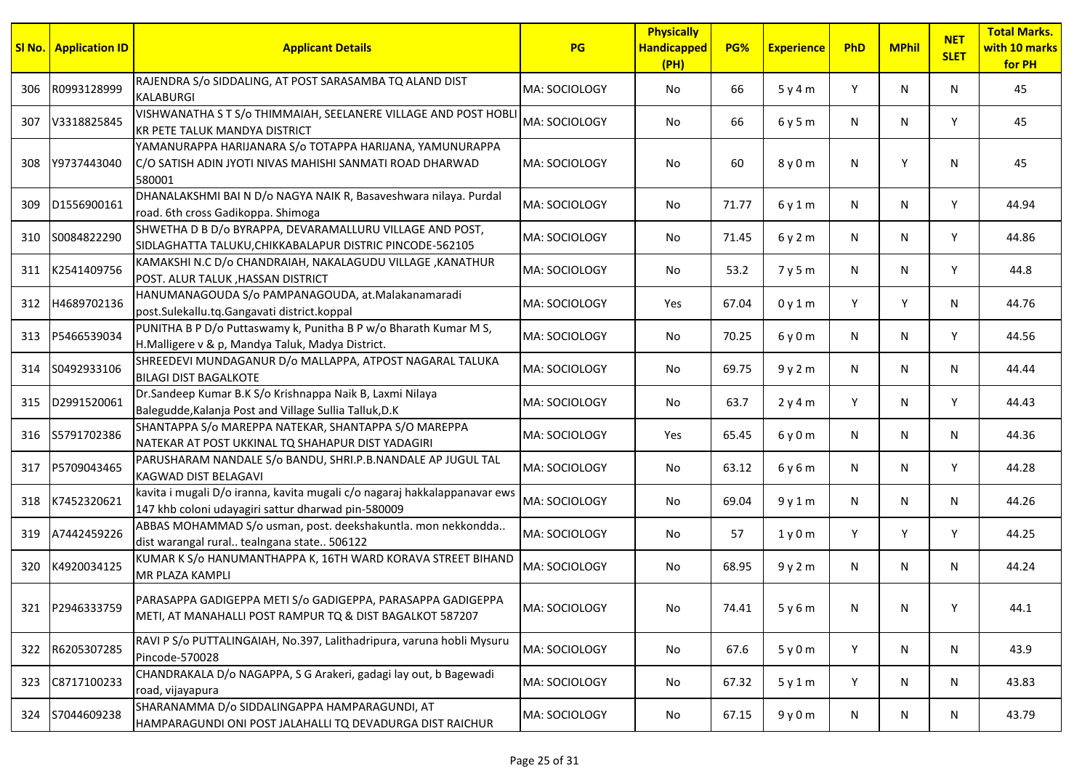|     | <b>SI No.</b> Application ID | <b>Applicant Details</b>                                                                                                        | <b>PG</b>     | <b>Physically</b><br><b>Handicapped</b><br>(PH) | PG%   | <b>Experience</b> | PhD | <b>MPhil</b> | <b>NET</b><br><b>SLET</b> | <b>Total Marks.</b><br>with 10 marks<br>for PH |
|-----|------------------------------|---------------------------------------------------------------------------------------------------------------------------------|---------------|-------------------------------------------------|-------|-------------------|-----|--------------|---------------------------|------------------------------------------------|
| 306 | R0993128999                  | RAJENDRA S/o SIDDALING, AT POST SARASAMBA TQ ALAND DIST<br><b>KALABURGI</b>                                                     | MA: SOCIOLOGY | No                                              | 66    | 5y4m              | Y   | N            | N                         | 45                                             |
| 307 | V3318825845                  | VISHWANATHA S T S/o THIMMAIAH, SEELANERE VILLAGE AND POST HOBLI<br><b>KR PETE TALUK MANDYA DISTRICT</b>                         | MA: SOCIOLOGY | No                                              | 66    | 6y5m              | N   | N            | Y                         | 45                                             |
| 308 | Y9737443040                  | YAMANURAPPA HARIJANARA S/0 TOTAPPA HARIJANA, YAMUNURAPPA<br>C/O SATISH ADIN JYOTI NIVAS MAHISHI SANMATI ROAD DHARWAD<br>580001  | MA: SOCIOLOGY | No                                              | 60    | 8 y 0 m           | N   | Y            | N                         | 45                                             |
| 309 | D1556900161                  | DHANALAKSHMI BAI N D/o NAGYA NAIK R, Basaveshwara nilaya. Purdal<br>road. 6th cross Gadikoppa. Shimoga                          | MA: SOCIOLOGY | No                                              | 71.77 | 6y1m              | N   | N            | Y                         | 44.94                                          |
| 310 | S0084822290                  | SHWETHA D B D/o BYRAPPA, DEVARAMALLURU VILLAGE AND POST,<br>SIDLAGHATTA TALUKU, CHIKKABALAPUR DISTRIC PINCODE-562105            | MA: SOCIOLOGY | No                                              | 71.45 | 6y2m              | N   | N            | Y                         | 44.86                                          |
| 311 | K2541409756                  | KAMAKSHI N.C D/o CHANDRAIAH, NAKALAGUDU VILLAGE ,KANATHUR<br>POST. ALUR TALUK , HASSAN DISTRICT                                 | MA: SOCIOLOGY | No                                              | 53.2  | 7y5m              | N   | N            | Y                         | 44.8                                           |
| 312 | H4689702136                  | HANUMANAGOUDA S/o PAMPANAGOUDA, at.Malakanamaradi<br>post.Sulekallu.tq.Gangavati district.koppal                                | MA: SOCIOLOGY | Yes                                             | 67.04 | 0y1m              | Y   | Y            | N                         | 44.76                                          |
| 313 | P5466539034                  | PUNITHA B P D/o Puttaswamy k, Punitha B P w/o Bharath Kumar M S,<br>H.Malligere v & p, Mandya Taluk, Madya District.            | MA: SOCIOLOGY | No                                              | 70.25 | 6y0m              | N   | N            | Y                         | 44.56                                          |
| 314 | S0492933106                  | SHREEDEVI MUNDAGANUR D/o MALLAPPA, ATPOST NAGARAL TALUKA<br><b>BILAGI DIST BAGALKOTE</b>                                        | MA: SOCIOLOGY | No                                              | 69.75 | 9y2m              | N   | N            | N                         | 44.44                                          |
| 315 | D2991520061                  | Dr.Sandeep Kumar B.K S/o Krishnappa Naik B, Laxmi Nilaya<br>Balegudde, Kalanja Post and Village Sullia Talluk, D.K              | MA: SOCIOLOGY | No                                              | 63.7  | 2y4m              | Y   | N            | Y                         | 44.43                                          |
|     | 316 S5791702386              | SHANTAPPA S/o MAREPPA NATEKAR, SHANTAPPA S/O MAREPPA<br>NATEKAR AT POST UKKINAL TQ SHAHAPUR DIST YADAGIRI                       | MA: SOCIOLOGY | Yes                                             | 65.45 | 6y0m              | N   | N            | N                         | 44.36                                          |
| 317 | P5709043465                  | PARUSHARAM NANDALE S/o BANDU, SHRI.P.B.NANDALE AP JUGUL TAL<br>KAGWAD DIST BELAGAVI                                             | MA: SOCIOLOGY | No                                              | 63.12 | 6y6m              | N   | N            | Y                         | 44.28                                          |
| 318 | K7452320621                  | kavita i mugali D/o iranna, kavita mugali c/o nagaraj hakkalappanavar ews<br>147 khb coloni udayagiri sattur dharwad pin-580009 | MA: SOCIOLOGY | No                                              | 69.04 | 9y1m              | N   | N            | N                         | 44.26                                          |
| 319 | A7442459226                  | ABBAS MOHAMMAD S/o usman, post. deekshakuntla. mon nekkondda<br>dist warangal rural tealngana state 506122                      | MA: SOCIOLOGY | No                                              | 57    | 1y0m              | Y   | Υ            | Y                         | 44.25                                          |
| 320 | K4920034125                  | KUMAR K S/o HANUMANTHAPPA K, 16TH WARD KORAVA STREET BIHAND<br>MR PLAZA KAMPLI                                                  | MA: SOCIOLOGY | No                                              | 68.95 | 9y2m              | N   | N            | N                         | 44.24                                          |
|     | 321 P2946333759              | PARASAPPA GADIGEPPA METI S/o GADIGEPPA, PARASAPPA GADIGEPPA<br>METI, AT MANAHALLI POST RAMPUR TQ & DIST BAGALKOT 587207         | MA: SOCIOLOGY | No                                              | 74.41 | 5y6m              | N   | N            | Y                         | 44.1                                           |
|     | 322 R6205307285              | RAVI P S/o PUTTALINGAIAH, No.397, Lalithadripura, varuna hobli Mysuru<br>Pincode-570028                                         | MA: SOCIOLOGY | No                                              | 67.6  | 5y0m              | Y   | N            | N                         | 43.9                                           |
| 323 | C8717100233                  | CHANDRAKALA D/o NAGAPPA, S G Arakeri, gadagi lay out, b Bagewadi<br>road, vijayapura                                            | MA: SOCIOLOGY | No                                              | 67.32 | 5y1m              | Y   | N            | N                         | 43.83                                          |
| 324 | S7044609238                  | SHARANAMMA D/o SIDDALINGAPPA HAMPARAGUNDI, AT<br>HAMPARAGUNDI ONI POST JALAHALLI TQ DEVADURGA DIST RAICHUR                      | MA: SOCIOLOGY | No                                              | 67.15 | 9y0m              | N   | N            | N                         | 43.79                                          |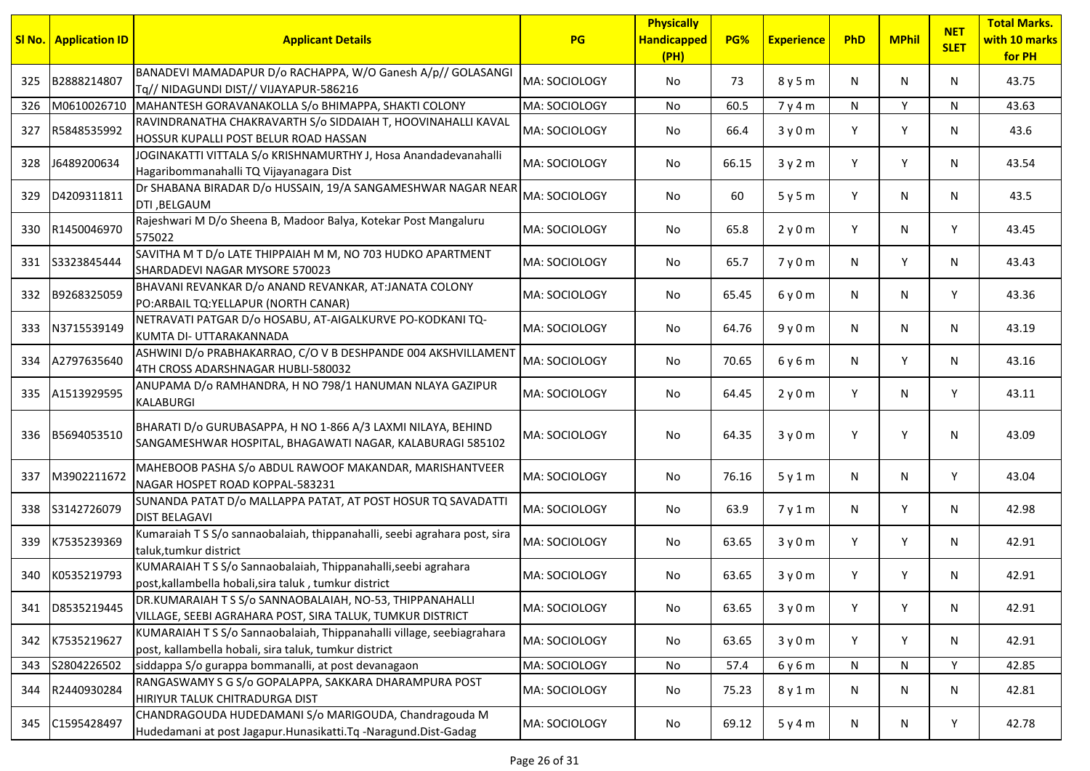| <u>SI No.</u> | <b>Application ID</b> | <b>Applicant Details</b>                                                                                                     | PG             | <b>Physically</b><br><b>Handicapped</b><br>(PH) | PG%   | <b>Experience</b> | PhD | <b>MPhil</b> | <b>NET</b><br><b>SLET</b> | <b>Total Marks.</b><br>with 10 marks<br>for PH |
|---------------|-----------------------|------------------------------------------------------------------------------------------------------------------------------|----------------|-------------------------------------------------|-------|-------------------|-----|--------------|---------------------------|------------------------------------------------|
| 325           | B2888214807           | BANADEVI MAMADAPUR D/o RACHAPPA, W/O Ganesh A/p// GOLASANGI<br>Tq// NIDAGUNDI DIST// VIJAYAPUR-586216                        | MA: SOCIOLOGY  | No                                              | 73    | 8y5m              | N   | N            | N.                        | 43.75                                          |
| 326           | M0610026710           | MAHANTESH GORAVANAKOLLA S/o BHIMAPPA, SHAKTI COLONY                                                                          | MA: SOCIOLOGY  | No                                              | 60.5  | 7y4m              | N   | Y            | N                         | 43.63                                          |
| 327           | R5848535992           | RAVINDRANATHA CHAKRAVARTH S/o SIDDAIAH T, HOOVINAHALLI KAVAL<br>HOSSUR KUPALLI POST BELUR ROAD HASSAN                        | MA: SOCIOLOGY  | No                                              | 66.4  | 3y0m              | Υ   | Y            | N.                        | 43.6                                           |
| 328           | J6489200634           | JOGINAKATTI VITTALA S/o KRISHNAMURTHY J, Hosa Anandadevanahalli<br>Hagaribommanahalli TQ Vijayanagara Dist                   | lMA: SOCIOLOGY | No                                              | 66.15 | 3y2m              | Y   | Y            | N.                        | 43.54                                          |
| 329           | D4209311811           | Dr SHABANA BIRADAR D/o HUSSAIN, 19/A SANGAMESHWAR NAGAR NEAR<br>DTI, BELGAUM                                                 | MA: SOCIOLOGY  | No                                              | 60    | 5y5m              | Y   | N            | N.                        | 43.5                                           |
| 330           | R1450046970           | Rajeshwari M D/o Sheena B, Madoor Balya, Kotekar Post Mangaluru<br>575022                                                    | lMA: SOCIOLOGY | No                                              | 65.8  | 2y0m              | Y   | N            | Y                         | 43.45                                          |
| 331           | S3323845444           | SAVITHA M T D/o LATE THIPPAIAH M M, NO 703 HUDKO APARTMENT<br>SHARDADEVI NAGAR MYSORE 570023                                 | MA: SOCIOLOGY  | No                                              | 65.7  | 7y0m              | N   | Y            | N                         | 43.43                                          |
| 332           | B9268325059           | BHAVANI REVANKAR D/o ANAND REVANKAR, AT:JANATA COLONY<br>PO: ARBAIL TQ: YELLAPUR (NORTH CANAR)                               | lMA: SOCIOLOGY | No                                              | 65.45 | 6y0m              | N.  | N            | Y                         | 43.36                                          |
| 333           | N3715539149           | NETRAVATI PATGAR D/o HOSABU, AT-AIGALKURVE PO-KODKANI TQ-<br>KUMTA DI- UTTARAKANNADA                                         | lMA: SOCIOLOGY | No.                                             | 64.76 | 9y0m              | N   | N            | N.                        | 43.19                                          |
| 334           | A2797635640           | ASHWINI D/o PRABHAKARRAO, C/O V B DESHPANDE 004 AKSHVILLAMENT<br>4TH CROSS ADARSHNAGAR HUBLI-580032                          | MA: SOCIOLOGY  | No.                                             | 70.65 | 6 y 6 m           | N   | Y            | N                         | 43.16                                          |
| 335           | A1513929595           | ANUPAMA D/o RAMHANDRA, H NO 798/1 HANUMAN NLAYA GAZIPUR<br>KALABURGI                                                         | MA: SOCIOLOGY  | No.                                             | 64.45 | 2y0m              | Y   | N            | Y                         | 43.11                                          |
| 336           | B5694053510           | BHARATI D/o GURUBASAPPA, H NO 1-866 A/3 LAXMI NILAYA, BEHIND<br>SANGAMESHWAR HOSPITAL, BHAGAWATI NAGAR, KALABURAGI 585102    | MA: SOCIOLOGY  | No                                              | 64.35 | 3y0m              | Y   | Y            | N.                        | 43.09                                          |
| 337           | M3902211672           | MAHEBOOB PASHA S/o ABDUL RAWOOF MAKANDAR, MARISHANTVEER<br>NAGAR HOSPET ROAD KOPPAL-583231                                   | MA: SOCIOLOGY  | No                                              | 76.16 | 5y1m              | N   | N            | Y                         | 43.04                                          |
| 338           | S3142726079           | SUNANDA PATAT D/o MALLAPPA PATAT, AT POST HOSUR TQ SAVADATTI<br><b>DIST BELAGAVI</b>                                         | MA: SOCIOLOGY  | No                                              | 63.9  | 7y1m              | N   | Y            | N.                        | 42.98                                          |
| 339           | K7535239369           | Kumaraiah TSS/o sannaobalaiah, thippanahalli, seebi agrahara post, sira<br>taluk, tumkur district                            | MA: SOCIOLOGY  | No                                              | 63.65 | 3y0m              | Y   | Y            | N.                        | 42.91                                          |
| 340           | K0535219793           | KUMARAIAH TSS/o Sannaobalaiah, Thippanahalli, seebi agrahara<br>post, kallambella hobali, sira taluk, tumkur district        | MA: SOCIOLOGY  | No                                              | 63.65 | 3y0m              | Y   | Y            | N.                        | 42.91                                          |
| 341           | D8535219445           | DR.KUMARAIAH T S S/o SANNAOBALAIAH, NO-53, THIPPANAHALLI<br>VILLAGE, SEEBI AGRAHARA POST, SIRA TALUK, TUMKUR DISTRICT        | MA: SOCIOLOGY  | No                                              | 63.65 | 3y0m              | Y   | Y            | N                         | 42.91                                          |
| 342           | K7535219627           | KUMARAIAH TSS/o Sannaobalaiah, Thippanahalli village, seebiagrahara<br>post, kallambella hobali, sira taluk, tumkur district | MA: SOCIOLOGY  | No                                              | 63.65 | 3y0m              | Y   | Y            | N                         | 42.91                                          |
| 343           | S2804226502           | siddappa S/o gurappa bommanalli, at post devanagaon                                                                          | MA: SOCIOLOGY  | No                                              | 57.4  | 6 y 6 m           | N   | N            | Y                         | 42.85                                          |
| 344           | R2440930284           | RANGASWAMY S G S/o GOPALAPPA, SAKKARA DHARAMPURA POST<br>HIRIYUR TALUK CHITRADURGA DIST                                      | MA: SOCIOLOGY  | No                                              | 75.23 | 8y1m              | N   | N            | N                         | 42.81                                          |
| 345           | C1595428497           | CHANDRAGOUDA HUDEDAMANI S/o MARIGOUDA, Chandragouda M<br>Hudedamani at post Jagapur.Hunasikatti.Tq -Naragund.Dist-Gadag      | MA: SOCIOLOGY  | No                                              | 69.12 | 5y4m              | N   | N            | Y                         | 42.78                                          |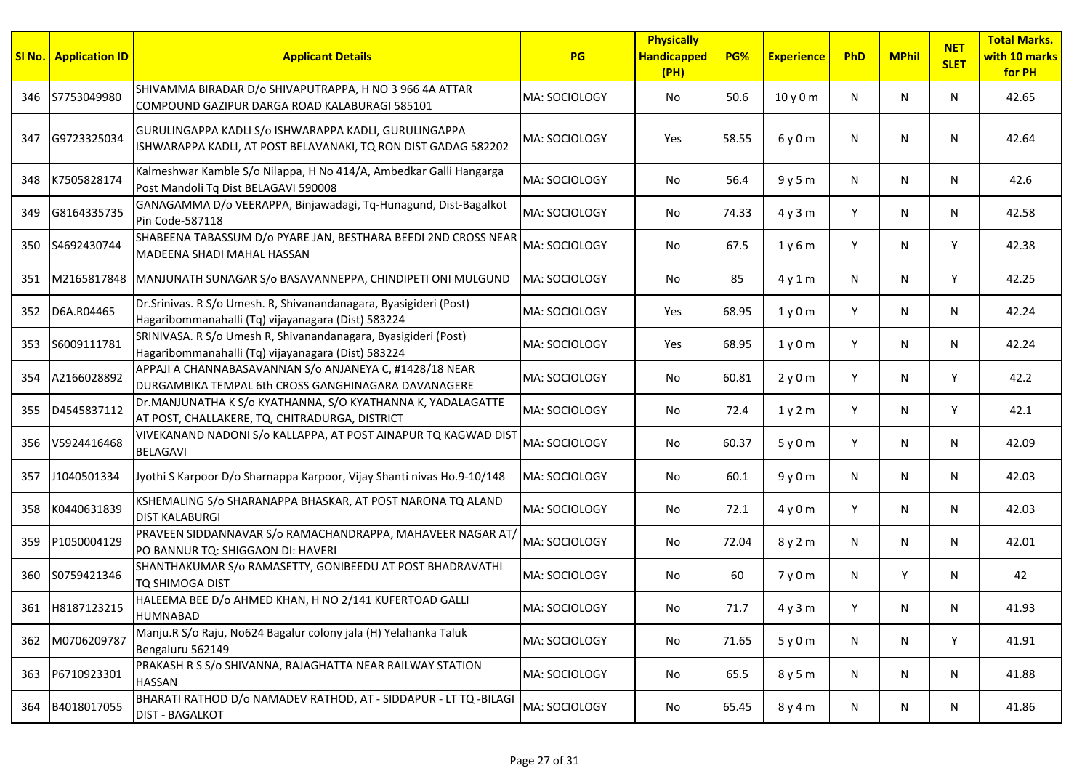|     | <b>SI No.</b> Application ID | <b>Applicant Details</b>                                                                                                 | PG            | <b>Physically</b><br><b>Handicapped</b><br>(PH) | PG%   | <b>Experience</b> | PhD | <b>MPhil</b> | <b>NET</b><br><b>SLET</b> | <b>Total Marks.</b><br>with 10 marks<br>for PH |
|-----|------------------------------|--------------------------------------------------------------------------------------------------------------------------|---------------|-------------------------------------------------|-------|-------------------|-----|--------------|---------------------------|------------------------------------------------|
| 346 | S7753049980                  | SHIVAMMA BIRADAR D/o SHIVAPUTRAPPA, H NO 3 966 4A ATTAR<br>COMPOUND GAZIPUR DARGA ROAD KALABURAGI 585101                 | MA: SOCIOLOGY | No                                              | 50.6  | 10 y 0 m          | N   | N            | N                         | 42.65                                          |
| 347 | G9723325034                  | GURULINGAPPA KADLI S/o ISHWARAPPA KADLI, GURULINGAPPA<br>ISHWARAPPA KADLI, AT POST BELAVANAKI, TQ RON DIST GADAG 582202  | MA: SOCIOLOGY | Yes                                             | 58.55 | 6y0m              | N   | N            | N                         | 42.64                                          |
| 348 | K7505828174                  | Kalmeshwar Kamble S/o Nilappa, H No 414/A, Ambedkar Galli Hangarga<br>Post Mandoli Tq Dist BELAGAVI 590008               | MA: SOCIOLOGY | No                                              | 56.4  | 9y5m              | N   | N            | N                         | 42.6                                           |
| 349 | G8164335735                  | GANAGAMMA D/o VEERAPPA, Binjawadagi, Tq-Hunagund, Dist-Bagalkot<br>Pin Code-587118                                       | MA: SOCIOLOGY | No                                              | 74.33 | 4y3m              | Y   | N            | N                         | 42.58                                          |
|     | 350 S4692430744              | SHABEENA TABASSUM D/o PYARE JAN, BESTHARA BEEDI 2ND CROSS NEAR<br>MADEENA SHADI MAHAL HASSAN                             | MA: SOCIOLOGY | No                                              | 67.5  | 1y6m              | Y   | N            | Y                         | 42.38                                          |
| 351 | M2165817848                  | MANJUNATH SUNAGAR S/o BASAVANNEPPA, CHINDIPETI ONI MULGUND                                                               | MA: SOCIOLOGY | No                                              | 85    | 4y1m              | N   | N            | Y                         | 42.25                                          |
| 352 | D6A.R04465                   | Dr. Srinivas. R S/o Umesh. R, Shivanandanagara, Byasigideri (Post)<br>Hagaribommanahalli (Tq) vijayanagara (Dist) 583224 | MA: SOCIOLOGY | Yes                                             | 68.95 | 1y0m              | Y   | N            | N                         | 42.24                                          |
| 353 | S6009111781                  | SRINIVASA. R S/o Umesh R, Shivanandanagara, Byasigideri (Post)<br>Hagaribommanahalli (Tq) vijayanagara (Dist) 583224     | MA: SOCIOLOGY | Yes                                             | 68.95 | 1y0m              | Y   | N            | N                         | 42.24                                          |
| 354 | A2166028892                  | APPAJI A CHANNABASAVANNAN S/o ANJANEYA C, #1428/18 NEAR<br>DURGAMBIKA TEMPAL 6th CROSS GANGHINAGARA DAVANAGERE           | MA: SOCIOLOGY | No                                              | 60.81 | 2y0m              | Y   | N            | Y                         | 42.2                                           |
| 355 | D4545837112                  | Dr.MANJUNATHA K S/o KYATHANNA, S/O KYATHANNA K, YADALAGATTE<br>AT POST, CHALLAKERE, TQ, CHITRADURGA, DISTRICT            | MA: SOCIOLOGY | No                                              | 72.4  | 1y2m              | Y   | N            | Y                         | 42.1                                           |
| 356 | V5924416468                  | VIVEKANAND NADONI S/o KALLAPPA, AT POST AINAPUR TQ KAGWAD DIST<br><b>BELAGAVI</b>                                        | MA: SOCIOLOGY | No                                              | 60.37 | 5y0m              | Y   | N            | N                         | 42.09                                          |
| 357 | J1040501334                  | Jyothi S Karpoor D/o Sharnappa Karpoor, Vijay Shanti nivas Ho.9-10/148                                                   | MA: SOCIOLOGY | No                                              | 60.1  | 9y0m              | N   | N            | N                         | 42.03                                          |
| 358 | K0440631839                  | KSHEMALING S/o SHARANAPPA BHASKAR, AT POST NARONA TQ ALAND<br><b>DIST KALABURGI</b>                                      | MA: SOCIOLOGY | No                                              | 72.1  | 4y0m              | Y   | N            | N                         | 42.03                                          |
| 359 | P1050004129                  | PRAVEEN SIDDANNAVAR S/o RAMACHANDRAPPA, MAHAVEER NAGAR AT/<br>PO BANNUR TQ: SHIGGAON DI: HAVERI                          | MA: SOCIOLOGY | No                                              | 72.04 | 8 y 2 m           | N   | N            | N                         | 42.01                                          |
| 360 | S0759421346                  | SHANTHAKUMAR S/o RAMASETTY, GONIBEEDU AT POST BHADRAVATHI<br>TQ SHIMOGA DIST                                             | MA: SOCIOLOGY | No.                                             | 60    | 7y0m              | N   | Y            | N                         | 42                                             |
|     | 361 H8187123215              | HALEEMA BEE D/o AHMED KHAN, H NO 2/141 KUFERTOAD GALLI<br><b>HUMNABAD</b>                                                | MA: SOCIOLOGY | No                                              | 71.7  | 4y3m              | Y   | N            | N                         | 41.93                                          |
|     | 362 M0706209787              | Manju.R S/o Raju, No624 Bagalur colony jala (H) Yelahanka Taluk<br>Bengaluru 562149                                      | MA: SOCIOLOGY | No                                              | 71.65 | 5y0m              | N   | N            | Y                         | 41.91                                          |
|     | 363 P6710923301              | PRAKASH R S S/o SHIVANNA, RAJAGHATTA NEAR RAILWAY STATION<br><b>HASSAN</b>                                               | MA: SOCIOLOGY | No                                              | 65.5  | 8 y 5 m           | N   | N            | N                         | 41.88                                          |
| 364 | B4018017055                  | BHARATI RATHOD D/o NAMADEV RATHOD, AT - SIDDAPUR - LT TQ -BILAGI<br><b>DIST - BAGALKOT</b>                               | MA: SOCIOLOGY | No                                              | 65.45 | 8 y 4 m           | N   | N            | N                         | 41.86                                          |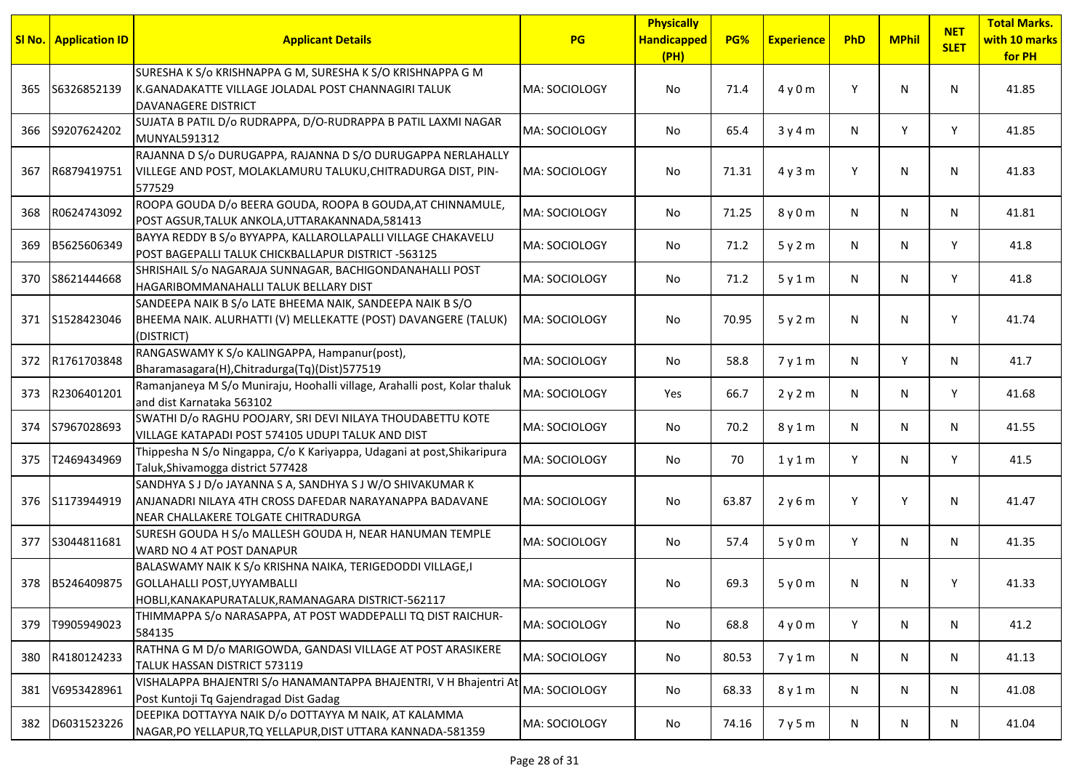|     | <b>SI No.</b> Application ID | <b>Applicant Details</b>                                                                                                                                    | <b>PG</b>     | <b>Physically</b><br><b>Handicapped</b><br>(PH) | PG%   | <b>Experience</b> | PhD | <b>MPhil</b> | <b>NET</b><br><b>SLET</b> | <b>Total Marks.</b><br>with 10 marks<br>for PH |
|-----|------------------------------|-------------------------------------------------------------------------------------------------------------------------------------------------------------|---------------|-------------------------------------------------|-------|-------------------|-----|--------------|---------------------------|------------------------------------------------|
| 365 | S6326852139                  | SURESHA K S/o KRISHNAPPA G M, SURESHA K S/O KRISHNAPPA G M<br>K.GANADAKATTE VILLAGE JOLADAL POST CHANNAGIRI TALUK<br>DAVANAGERE DISTRICT                    | MA: SOCIOLOGY | No                                              | 71.4  | 4y0m              | Y   | N            | N                         | 41.85                                          |
|     | 366 S9207624202              | SUJATA B PATIL D/o RUDRAPPA, D/O-RUDRAPPA B PATIL LAXMI NAGAR<br>MUNYAL591312                                                                               | MA: SOCIOLOGY | No                                              | 65.4  | 3y4m              | N   | Y            | Y                         | 41.85                                          |
| 367 | R6879419751                  | RAJANNA D S/o DURUGAPPA, RAJANNA D S/O DURUGAPPA NERLAHALLY<br>VILLEGE AND POST, MOLAKLAMURU TALUKU, CHITRADURGA DIST, PIN-<br>577529                       | MA: SOCIOLOGY | No                                              | 71.31 | 4y3m              | Y   | N            | N                         | 41.83                                          |
| 368 | R0624743092                  | ROOPA GOUDA D/o BEERA GOUDA, ROOPA B GOUDA, AT CHINNAMULE,<br>POST AGSUR, TALUK ANKOLA, UTTARAKANNADA, 581413                                               | MA: SOCIOLOGY | No                                              | 71.25 | 8 y 0 m           | N   | N            | N                         | 41.81                                          |
| 369 | B5625606349                  | BAYYA REDDY B S/o BYYAPPA, KALLAROLLAPALLI VILLAGE CHAKAVELU<br>POST BAGEPALLI TALUK CHICKBALLAPUR DISTRICT -563125                                         | MA: SOCIOLOGY | No.                                             | 71.2  | 5y2m              | N   | N            | Y                         | 41.8                                           |
| 370 | S8621444668                  | SHRISHAIL S/o NAGARAJA SUNNAGAR, BACHIGONDANAHALLI POST<br>HAGARIBOMMANAHALLI TALUK BELLARY DIST                                                            | MA: SOCIOLOGY | No.                                             | 71.2  | 5y1m              | N   | N            | Y                         | 41.8                                           |
|     | 371 S1528423046              | SANDEEPA NAIK B S/o LATE BHEEMA NAIK, SANDEEPA NAIK B S/O<br>BHEEMA NAIK. ALURHATTI (V) MELLEKATTE (POST) DAVANGERE (TALUK)<br>(DISTRICT)                   | MA: SOCIOLOGY | No.                                             | 70.95 | 5y2m              | N   | N            | Υ                         | 41.74                                          |
| 372 | R1761703848                  | RANGASWAMY K S/o KALINGAPPA, Hampanur(post),<br>Bharamasagara(H), Chitradurga(Tq)(Dist)577519                                                               | MA: SOCIOLOGY | No.                                             | 58.8  | 7y1m              | N   | Y            | N                         | 41.7                                           |
| 373 | R2306401201                  | Ramanjaneya M S/o Muniraju, Hoohalli village, Arahalli post, Kolar thaluk<br>and dist Karnataka 563102                                                      | MA: SOCIOLOGY | Yes                                             | 66.7  | 2y2m              | N   | N            | Y                         | 41.68                                          |
| 374 | S7967028693                  | SWATHI D/o RAGHU POOJARY, SRI DEVI NILAYA THOUDABETTU KOTE<br>VILLAGE KATAPADI POST 574105 UDUPI TALUK AND DIST                                             | MA: SOCIOLOGY | No                                              | 70.2  | 8 y 1 m           | N   | N            | N                         | 41.55                                          |
| 375 | T2469434969                  | Thippesha N S/o Ningappa, C/o K Kariyappa, Udagani at post, Shikaripura<br>Taluk, Shivamogga district 577428                                                | MA: SOCIOLOGY | No                                              | 70    | 1y1m              | Y   | N            | Y                         | 41.5                                           |
|     | 376 S1173944919              | SANDHYA S J D/o JAYANNA S A, SANDHYA S J W/O SHIVAKUMAR K<br>ANJANADRI NILAYA 4TH CROSS DAFEDAR NARAYANAPPA BADAVANE<br>NEAR CHALLAKERE TOLGATE CHITRADURGA | MA: SOCIOLOGY | No                                              | 63.87 | 2y6m              | Y   | Y            | N                         | 41.47                                          |
| 377 | S3044811681                  | SURESH GOUDA H S/o MALLESH GOUDA H, NEAR HANUMAN TEMPLE<br>WARD NO 4 AT POST DANAPUR                                                                        | MA: SOCIOLOGY | No.                                             | 57.4  | 5y0m              | Y   | N            | N                         | 41.35                                          |
|     | 378 B5246409875              | BALASWAMY NAIK K S/o KRISHNA NAIKA, TERIGEDODDI VILLAGE,I<br>GOLLAHALLI POST, UYYAMBALLI<br>HOBLI, KANAKAPURATALUK, RAMANAGARA DISTRICT-562117              | MA: SOCIOLOGY | No.                                             | 69.3  | 5y0m              | N   | N            | ٧                         | 41.33                                          |
| 379 | T9905949023                  | THIMMAPPA S/o NARASAPPA, AT POST WADDEPALLI TQ DIST RAICHUR-<br>584135                                                                                      | MA: SOCIOLOGY | No                                              | 68.8  | 4y0m              | Y   | N            | N                         | 41.2                                           |
| 380 | R4180124233                  | RATHNA G M D/o MARIGOWDA, GANDASI VILLAGE AT POST ARASIKERE<br>TALUK HASSAN DISTRICT 573119                                                                 | MA: SOCIOLOGY | No.                                             | 80.53 | 7y1m              | N   | N            | N                         | 41.13                                          |
| 381 | V6953428961                  | VISHALAPPA BHAJENTRI S/o HANAMANTAPPA BHAJENTRI, V H Bhajentri At<br>Post Kuntoji Tq Gajendragad Dist Gadag                                                 | MA: SOCIOLOGY | No                                              | 68.33 | 8 y 1 m           | N   | N            | N                         | 41.08                                          |
| 382 | D6031523226                  | DEEPIKA DOTTAYYA NAIK D/o DOTTAYYA M NAIK, AT KALAMMA<br>NAGAR, PO YELLAPUR, TQ YELLAPUR, DIST UTTARA KANNADA-581359                                        | MA: SOCIOLOGY | No                                              | 74.16 | 7y5m              | N   | N            | N                         | 41.04                                          |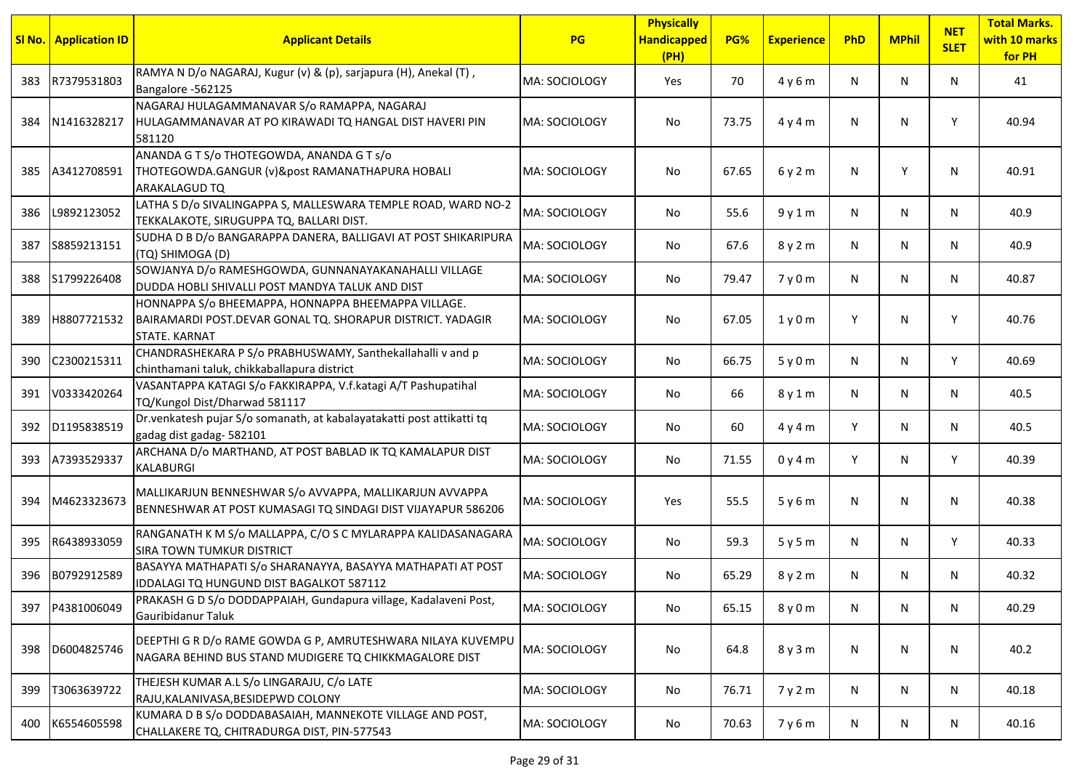|     | <b>SI No.</b> Application ID | <b>Applicant Details</b>                                                                                                                  | <b>PG</b>     | <b>Physically</b><br><b>Handicapped</b><br>(PH) | PG%   | <b>Experience</b> | PhD | <b>MPhil</b> | <b>NET</b><br><b>SLET</b> | <b>Total Marks.</b><br>with 10 marks<br>for PH |
|-----|------------------------------|-------------------------------------------------------------------------------------------------------------------------------------------|---------------|-------------------------------------------------|-------|-------------------|-----|--------------|---------------------------|------------------------------------------------|
| 383 | R7379531803                  | RAMYA N D/o NAGARAJ, Kugur (v) & (p), sarjapura (H), Anekal (T),<br>Bangalore -562125                                                     | MA: SOCIOLOGY | Yes                                             | 70    | 4y6m              | N   | N            | N                         | 41                                             |
| 384 | N1416328217                  | NAGARAJ HULAGAMMANAVAR S/o RAMAPPA, NAGARAJ<br>HULAGAMMANAVAR AT PO KIRAWADI TQ HANGAL DIST HAVERI PIN<br>581120                          | MA: SOCIOLOGY | No.                                             | 73.75 | 4y4m              | N   | N            | Υ                         | 40.94                                          |
| 385 | A3412708591                  | ANANDA G T S/o THOTEGOWDA, ANANDA G T s/o<br>THOTEGOWDA.GANGUR (v)&post RAMANATHAPURA HOBALI<br>ARAKALAGUD TQ                             | MA: SOCIOLOGY | No                                              | 67.65 | 6y2m              | N.  | Y            | N                         | 40.91                                          |
| 386 | L9892123052                  | LATHA S D/o SIVALINGAPPA S, MALLESWARA TEMPLE ROAD, WARD NO-2<br>TEKKALAKOTE, SIRUGUPPA TQ, BALLARI DIST.                                 | MA: SOCIOLOGY | No                                              | 55.6  | 9y1m              | N   | N            | N                         | 40.9                                           |
| 387 | S8859213151                  | SUDHA D B D/o BANGARAPPA DANERA, BALLIGAVI AT POST SHIKARIPURA<br>(TQ) SHIMOGA (D)                                                        | MA: SOCIOLOGY | No.                                             | 67.6  | 8y2m              | N   | N            | N                         | 40.9                                           |
| 388 | S1799226408                  | SOWJANYA D/o RAMESHGOWDA, GUNNANAYAKANAHALLI VILLAGE<br>DUDDA HOBLI SHIVALLI POST MANDYA TALUK AND DIST                                   | MA: SOCIOLOGY | No                                              | 79.47 | 7y0m              | N   | N            | N                         | 40.87                                          |
| 389 | H8807721532                  | HONNAPPA S/o BHEEMAPPA, HONNAPPA BHEEMAPPA VILLAGE.<br>BAIRAMARDI POST.DEVAR GONAL TQ. SHORAPUR DISTRICT. YADAGIR<br><b>STATE. KARNAT</b> | MA: SOCIOLOGY | No                                              | 67.05 | 1y0m              | Y   | N            | Y                         | 40.76                                          |
| 390 | C2300215311                  | CHANDRASHEKARA P S/o PRABHUSWAMY, Santhekallahalli v and p<br>chinthamani taluk, chikkaballapura district                                 | MA: SOCIOLOGY | No                                              | 66.75 | 5y0m              | N   | N            | Y                         | 40.69                                          |
| 391 | V0333420264                  | VASANTAPPA KATAGI S/o FAKKIRAPPA, V.f. katagi A/T Pashupatihal<br>TQ/Kungol Dist/Dharwad 581117                                           | MA: SOCIOLOGY | No.                                             | 66    | 8 y 1 m           | N   | N            | N                         | 40.5                                           |
| 392 | D1195838519                  | Dr. venkatesh pujar S/o somanath, at kabalayatakatti post attikatti tq<br>gadag dist gadag- 582101                                        | MA: SOCIOLOGY | No                                              | 60    | 4y4m              | Y   | N            | N                         | 40.5                                           |
| 393 | A7393529337                  | ARCHANA D/o MARTHAND, AT POST BABLAD IK TQ KAMALAPUR DIST<br><b>KALABURGI</b>                                                             | MA: SOCIOLOGY | No                                              | 71.55 | 0y4m              | Y   | N            | Y                         | 40.39                                          |
| 394 | M4623323673                  | MALLIKARJUN BENNESHWAR S/o AVVAPPA, MALLIKARJUN AVVAPPA<br>BENNESHWAR AT POST KUMASAGI TQ SINDAGI DIST VIJAYAPUR 586206                   | MA: SOCIOLOGY | Yes                                             | 55.5  | 5y6m              | N   | N            | N                         | 40.38                                          |
| 395 | R6438933059                  | RANGANATH K M S/o MALLAPPA, C/O S C MYLARAPPA KALIDASANAGARA<br><b>SIRA TOWN TUMKUR DISTRICT</b>                                          | MA: SOCIOLOGY | No                                              | 59.3  | 5y5m              | N   | N            | Y                         | 40.33                                          |
| 396 | B0792912589                  | BASAYYA MATHAPATI S/o SHARANAYYA, BASAYYA MATHAPATI AT POST<br>IDDALAGI TQ HUNGUND DIST BAGALKOT 587112                                   | MA: SOCIOLOGY | No                                              | 65.29 | 8 y 2 m           | N.  | N            | N                         | 40.32                                          |
| 397 | P4381006049                  | PRAKASH G D S/o DODDAPPAIAH, Gundapura village, Kadalaveni Post,<br>Gauribidanur Taluk                                                    | MA: SOCIOLOGY | No                                              | 65.15 | 8 y 0 m           | N   | N            | N                         | 40.29                                          |
| 398 | D6004825746                  | DEEPTHI G R D/o RAME GOWDA G P, AMRUTESHWARA NILAYA KUVEMPU<br>NAGARA BEHIND BUS STAND MUDIGERE TQ CHIKKMAGALORE DIST                     | MA: SOCIOLOGY | No                                              | 64.8  | 8y3m              | N   | N            | N                         | 40.2                                           |
| 399 | T3063639722                  | THEJESH KUMAR A.L S/o LINGARAJU, C/o LATE<br>RAJU, KALANIVASA, BESIDEPWD COLONY                                                           | MA: SOCIOLOGY | No                                              | 76.71 | 7y2m              | N   | N            | N                         | 40.18                                          |
| 400 | K6554605598                  | KUMARA D B S/o DODDABASAIAH, MANNEKOTE VILLAGE AND POST,<br>CHALLAKERE TQ, CHITRADURGA DIST, PIN-577543                                   | MA: SOCIOLOGY | No                                              | 70.63 | 7y6m              | N   | N            | N                         | 40.16                                          |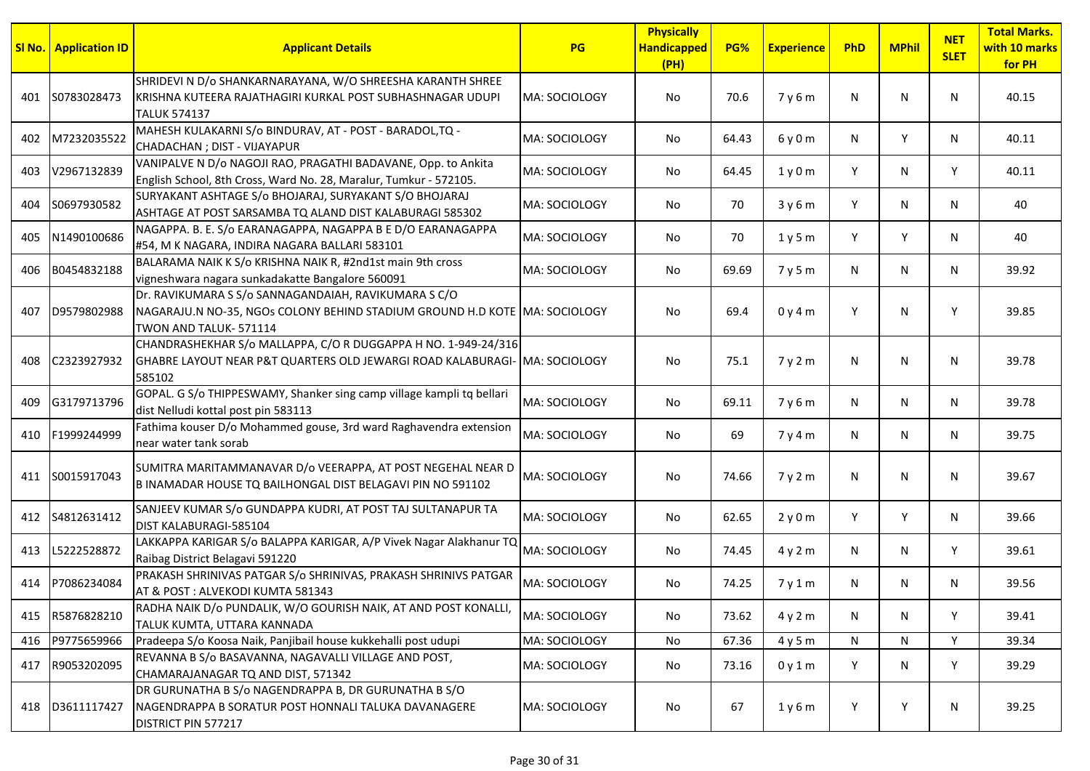|     | <b>SI No.   Application ID</b> | <b>Applicant Details</b>                                                                                                                                    | <b>PG</b>      | <b>Physically</b><br><b>Handicapped</b><br>(PH) | PG%   | <b>Experience</b> | PhD | <b>MPhil</b> | <b>NET</b><br><b>SLET</b> | <b>Total Marks.</b><br>with 10 marks<br>for PH |
|-----|--------------------------------|-------------------------------------------------------------------------------------------------------------------------------------------------------------|----------------|-------------------------------------------------|-------|-------------------|-----|--------------|---------------------------|------------------------------------------------|
| 401 | S0783028473                    | SHRIDEVI N D/o SHANKARNARAYANA, W/O SHREESHA KARANTH SHREE<br>KRISHNA KUTEERA RAJATHAGIRI KURKAL POST SUBHASHNAGAR UDUPI<br><b>TALUK 574137</b>             | lMA: SOCIOLOGY | No                                              | 70.6  | 7y6m              | N   | N            | N                         | 40.15                                          |
| 402 | M7232035522                    | MAHESH KULAKARNI S/o BINDURAV, AT - POST - BARADOL, TQ -<br>CHADACHAN ; DIST - VIJAYAPUR                                                                    | MA: SOCIOLOGY  | No                                              | 64.43 | 6y0m              | N   | Y            | N                         | 40.11                                          |
| 403 | V2967132839                    | VANIPALVE N D/o NAGOJI RAO, PRAGATHI BADAVANE, Opp. to Ankita<br>English School, 8th Cross, Ward No. 28, Maralur, Tumkur - 572105.                          | MA: SOCIOLOGY  | No                                              | 64.45 | 1y0m              | Y   | N            | Y                         | 40.11                                          |
| 404 | S0697930582                    | SURYAKANT ASHTAGE S/o BHOJARAJ, SURYAKANT S/O BHOJARAJ<br>ASHTAGE AT POST SARSAMBA TQ ALAND DIST KALABURAGI 585302                                          | MA: SOCIOLOGY  | No                                              | 70    | 3y6m              | Y   | N            | N                         | 40                                             |
| 405 | N1490100686                    | NAGAPPA. B. E. S/o EARANAGAPPA, NAGAPPA B E D/O EARANAGAPPA<br>#54, M K NAGARA, INDIRA NAGARA BALLARI 583101                                                | MA: SOCIOLOGY  | No                                              | 70    | 1y5m              | Y   | Y            | N                         | 40                                             |
|     | 406 B0454832188                | BALARAMA NAIK K S/o KRISHNA NAIK R, #2nd1st main 9th cross<br>vigneshwara nagara sunkadakatte Bangalore 560091                                              | MA: SOCIOLOGY  | No                                              | 69.69 | 7y5m              | N   | N            | N                         | 39.92                                          |
| 407 | D9579802988                    | Dr. RAVIKUMARA S S/o SANNAGANDAIAH, RAVIKUMARA S C/O<br>NAGARAJU.N NO-35, NGOs COLONY BEHIND STADIUM GROUND H.D KOTE MA: SOCIOLOGY<br>TWON AND TALUK-571114 |                | No                                              | 69.4  | 0y4m              | Y   | N            | Y                         | 39.85                                          |
| 408 | C2323927932                    | CHANDRASHEKHAR S/o MALLAPPA, C/O R DUGGAPPA H NO. 1-949-24/316<br>GHABRE LAYOUT NEAR P&T QUARTERS OLD JEWARGI ROAD KALABURAGI- MA: SOCIOLOGY<br>585102      |                | No                                              | 75.1  | 7 y 2 m           | N   | N            | N                         | 39.78                                          |
| 409 | G3179713796                    | GOPAL. G S/o THIPPESWAMY, Shanker sing camp village kampli tq bellari<br>dist Nelludi kottal post pin 583113                                                | MA: SOCIOLOGY  | No                                              | 69.11 | 7y6m              | N   | N            | N                         | 39.78                                          |
| 410 | F1999244999                    | Fathima kouser D/o Mohammed gouse, 3rd ward Raghavendra extension<br>near water tank sorab                                                                  | MA: SOCIOLOGY  | No                                              | 69    | 7y4m              | N   | N            | N                         | 39.75                                          |
| 411 | S0015917043                    | SUMITRA MARITAMMANAVAR D/o VEERAPPA, AT POST NEGEHAL NEAR D<br>B INAMADAR HOUSE TQ BAILHONGAL DIST BELAGAVI PIN NO 591102                                   | MA: SOCIOLOGY  | No                                              | 74.66 | 7y2m              | N   | N            | N                         | 39.67                                          |
|     | 412 S4812631412                | SANJEEV KUMAR S/o GUNDAPPA KUDRI, AT POST TAJ SULTANAPUR TA<br>DIST KALABURAGI-585104                                                                       | MA: SOCIOLOGY  | No                                              | 62.65 | 2y0m              | Y   | Y            | N                         | 39.66                                          |
| 413 | L5222528872                    | LAKKAPPA KARIGAR S/o BALAPPA KARIGAR, A/P Vivek Nagar Alakhanur TQ<br>Raibag District Belagavi 591220                                                       | MA: SOCIOLOGY  | No.                                             | 74.45 | 4y2m              | N   | N            | Y                         | 39.61                                          |
| 414 | P7086234084                    | PRAKASH SHRINIVAS PATGAR S/o SHRINIVAS, PRAKASH SHRINIVS PATGAR<br>AT & POST: ALVEKODI KUMTA 581343                                                         | MA: SOCIOLOGY  | No                                              | 74.25 | 7y1m              | N   | N            | N                         | 39.56                                          |
| 415 | R5876828210                    | RADHA NAIK D/o PUNDALIK, W/O GOURISH NAIK, AT AND POST KONALLI,<br>TALUK KUMTA, UTTARA KANNADA                                                              | MA: SOCIOLOGY  | No                                              | 73.62 | 4y2m              | N   | N            | Y                         | 39.41                                          |
| 416 | P9775659966                    | Pradeepa S/o Koosa Naik, Panjibail house kukkehalli post udupi                                                                                              | MA: SOCIOLOGY  | No                                              | 67.36 | 4y5m              | N   | N            | Y                         | 39.34                                          |
|     | 417 R9053202095                | REVANNA B S/o BASAVANNA, NAGAVALLI VILLAGE AND POST,<br>CHAMARAJANAGAR TQ AND DIST, 571342                                                                  | MA: SOCIOLOGY  | No                                              | 73.16 | 0y1m              | Y   | N            | Y                         | 39.29                                          |
| 418 | D3611117427                    | DR GURUNATHA B S/o NAGENDRAPPA B, DR GURUNATHA B S/O<br>NAGENDRAPPA B SORATUR POST HONNALI TALUKA DAVANAGERE<br>DISTRICT PIN 577217                         | MA: SOCIOLOGY  | No                                              | 67    | 1y6m              | Y   | Y            | N                         | 39.25                                          |